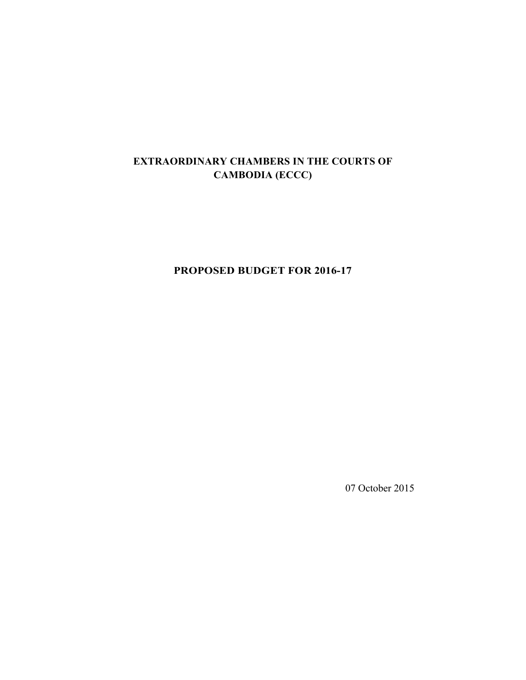## **EXTRAORDINARY CHAMBERS IN THE COURTS OF CAMBODIA (ECCC)**

**PROPOSED BUDGET FOR 2016-17** 

07 October 2015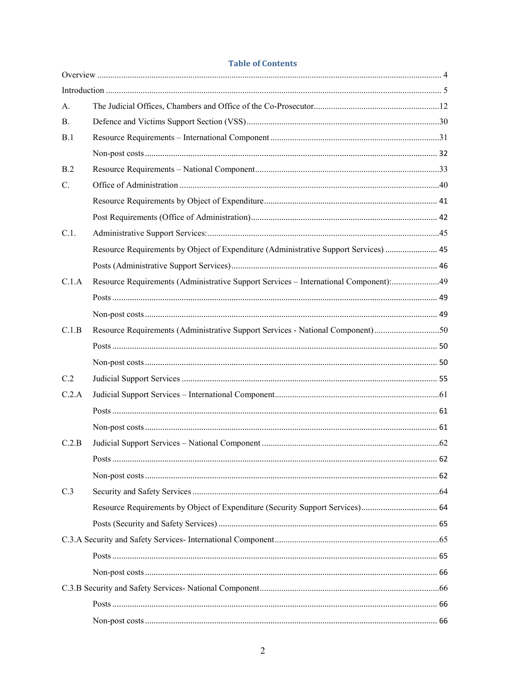#### **Table of Contents**

| A.        |                                                                                      |  |
|-----------|--------------------------------------------------------------------------------------|--|
| <b>B.</b> |                                                                                      |  |
| B.1       |                                                                                      |  |
|           |                                                                                      |  |
| B.2       |                                                                                      |  |
| C.        |                                                                                      |  |
|           |                                                                                      |  |
|           |                                                                                      |  |
| C.1.      |                                                                                      |  |
|           | Resource Requirements by Object of Expenditure (Administrative Support Services)  45 |  |
|           |                                                                                      |  |
| C.1.A     | Resource Requirements (Administrative Support Services - International Component):49 |  |
|           |                                                                                      |  |
|           |                                                                                      |  |
| C.1.B     | Resource Requirements (Administrative Support Services - National Component)50       |  |
|           |                                                                                      |  |
|           |                                                                                      |  |
| C.2       |                                                                                      |  |
| C.2.A     |                                                                                      |  |
|           |                                                                                      |  |
|           |                                                                                      |  |
| C.2.B     |                                                                                      |  |
|           |                                                                                      |  |
|           |                                                                                      |  |
| C.3       |                                                                                      |  |
|           | Resource Requirements by Object of Expenditure (Security Support Services) 64        |  |
|           |                                                                                      |  |
|           |                                                                                      |  |
|           |                                                                                      |  |
|           |                                                                                      |  |
|           |                                                                                      |  |
|           |                                                                                      |  |
|           |                                                                                      |  |
|           |                                                                                      |  |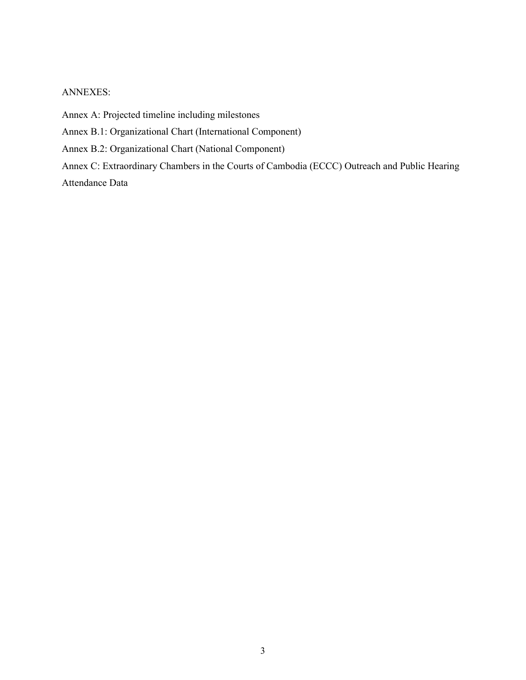#### ANNEXES:

Annex A: Projected timeline including milestones

Annex B.1: Organizational Chart (International Component)

Annex B.2: Organizational Chart (National Component)

Annex C: Extraordinary Chambers in the Courts of Cambodia (ECCC) Outreach and Public Hearing Attendance Data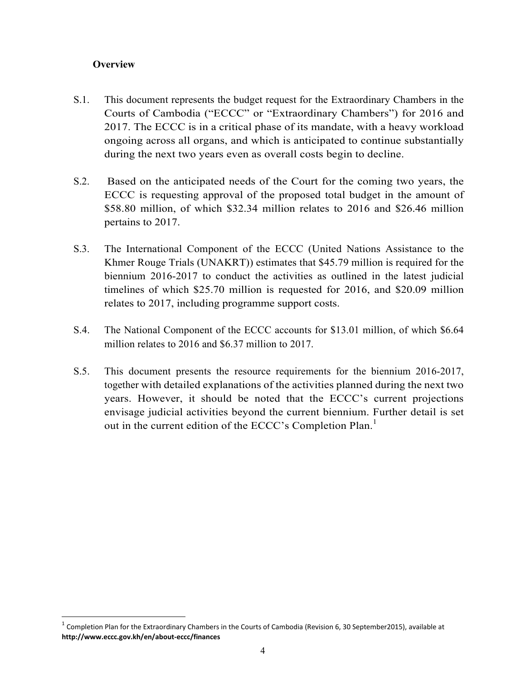## **Overview**

.<br>-

- S.1. This document represents the budget request for the Extraordinary Chambers in the Courts of Cambodia ("ECCC" or "Extraordinary Chambers") for 2016 and 2017. The ECCC is in a critical phase of its mandate, with a heavy workload ongoing across all organs, and which is anticipated to continue substantially during the next two years even as overall costs begin to decline.
- S.2. Based on the anticipated needs of the Court for the coming two years, the ECCC is requesting approval of the proposed total budget in the amount of \$58.80 million, of which \$32.34 million relates to 2016 and \$26.46 million pertains to 2017.
- S.3. The International Component of the ECCC (United Nations Assistance to the Khmer Rouge Trials (UNAKRT)) estimates that \$45.79 million is required for the biennium 2016-2017 to conduct the activities as outlined in the latest judicial timelines of which \$25.70 million is requested for 2016, and \$20.09 million relates to 2017, including programme support costs.
- S.4. The National Component of the ECCC accounts for \$13.01 million, of which \$6.64 million relates to 2016 and \$6.37 million to 2017.
- S.5. This document presents the resource requirements for the biennium 2016-2017, together with detailed explanations of the activities planned during the next two years. However, it should be noted that the ECCC's current projections envisage judicial activities beyond the current biennium. Further detail is set out in the current edition of the ECCC's Completion Plan.<sup>1</sup>

 $^1$  Completion Plan for the Extraordinary Chambers in the Courts of Cambodia (Revision 6, 30 September2015), available at **http://www.eccc.gov.kh/en/about-eccc/finances**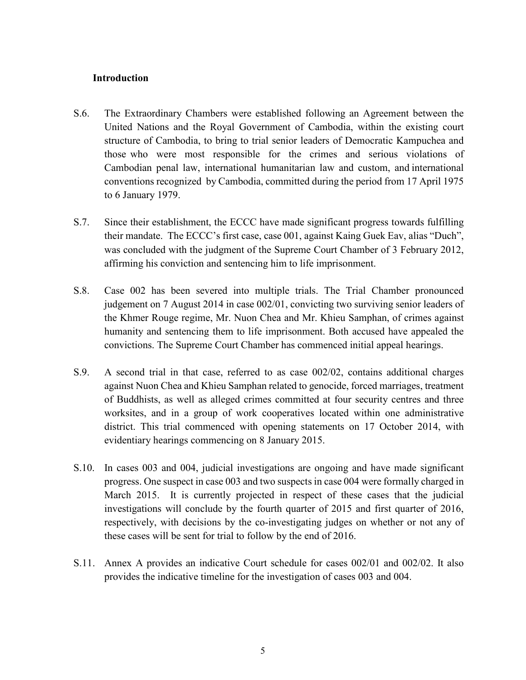#### **Introduction**

- S.6. The Extraordinary Chambers were established following an Agreement between the United Nations and the Royal Government of Cambodia, within the existing court structure of Cambodia, to bring to trial senior leaders of Democratic Kampuchea and those who were most responsible for the crimes and serious violations of Cambodian penal law, international humanitarian law and custom, and international conventions recognized by Cambodia, committed during the period from 17 April 1975 to 6 January 1979.
- S.7. Since their establishment, the ECCC have made significant progress towards fulfilling their mandate. The ECCC's first case, case 001, against Kaing Guek Eav, alias "Duch", was concluded with the judgment of the Supreme Court Chamber of 3 February 2012, affirming his conviction and sentencing him to life imprisonment.
- S.8. Case 002 has been severed into multiple trials. The Trial Chamber pronounced judgement on 7 August 2014 in case 002/01, convicting two surviving senior leaders of the Khmer Rouge regime, Mr. Nuon Chea and Mr. Khieu Samphan, of crimes against humanity and sentencing them to life imprisonment. Both accused have appealed the convictions. The Supreme Court Chamber has commenced initial appeal hearings.
- S.9. A second trial in that case, referred to as case 002/02, contains additional charges against Nuon Chea and Khieu Samphan related to genocide, forced marriages, treatment of Buddhists, as well as alleged crimes committed at four security centres and three worksites, and in a group of work cooperatives located within one administrative district. This trial commenced with opening statements on 17 October 2014, with evidentiary hearings commencing on 8 January 2015.
- S.10. In cases 003 and 004, judicial investigations are ongoing and have made significant progress. One suspect in case 003 and two suspects in case 004 were formally charged in March 2015. It is currently projected in respect of these cases that the judicial investigations will conclude by the fourth quarter of 2015 and first quarter of 2016, respectively, with decisions by the co-investigating judges on whether or not any of these cases will be sent for trial to follow by the end of 2016.
- S.11. Annex A provides an indicative Court schedule for cases 002/01 and 002/02. It also provides the indicative timeline for the investigation of cases 003 and 004.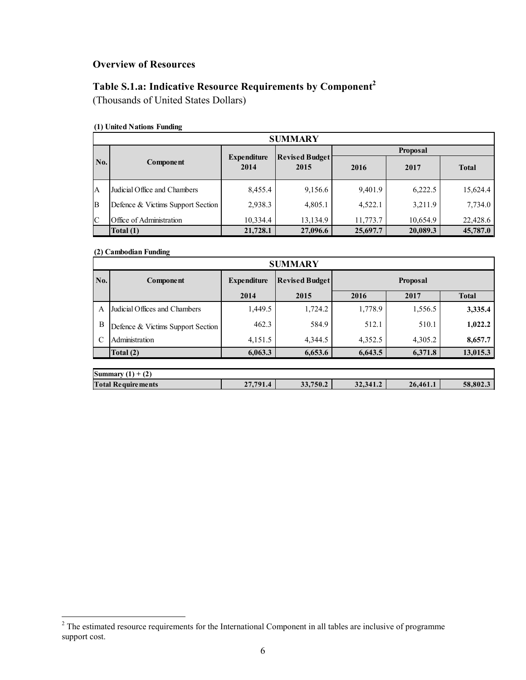### **Overview of Resources**

# **Table S.1.a: Indicative Resource Requirements by Component<sup>2</sup>**

(Thousands of United States Dollars)

#### **(1) United Nations Funding**

|                | <b>SUMMARY</b>                    |                            |                               |          |                 |              |  |  |  |  |  |  |  |  |
|----------------|-----------------------------------|----------------------------|-------------------------------|----------|-----------------|--------------|--|--|--|--|--|--|--|--|
|                |                                   |                            |                               |          | <b>Proposal</b> |              |  |  |  |  |  |  |  |  |
| No.            | Component                         | <b>Expenditure</b><br>2014 | <b>Revised Budget</b><br>2015 | 2016     | 2017            | <b>Total</b> |  |  |  |  |  |  |  |  |
| $\overline{A}$ | Judicial Office and Chambers      | 8,455.4                    | 9,156.6                       | 9,401.9  | 6,222.5         | 15,624.4     |  |  |  |  |  |  |  |  |
| ΙB             | Defence & Victims Support Section | 2,938.3                    | 4,805.1                       | 4,522.1  | 3,211.9         | 7,734.0      |  |  |  |  |  |  |  |  |
| $\mathbf C$    | Office of Administration          | 10,334.4                   | 13,134.9                      | 11,773.7 | 10,654.9        | 22,428.6     |  |  |  |  |  |  |  |  |
|                | Total (1)                         | 21,728.1                   | 27,096.6                      | 25,697.7 | 20,089.3        | 45,787.0     |  |  |  |  |  |  |  |  |

#### **(2) Cambodian Funding**

|               | <b>SUMMARY</b>                    |                    |                       |          |          |              |  |  |  |  |  |  |  |  |
|---------------|-----------------------------------|--------------------|-----------------------|----------|----------|--------------|--|--|--|--|--|--|--|--|
| No.           | <b>Component</b>                  | <b>Expenditure</b> | <b>Revised Budget</b> |          |          |              |  |  |  |  |  |  |  |  |
|               |                                   | 2014               | 2015                  | 2016     | 2017     | <b>Total</b> |  |  |  |  |  |  |  |  |
| A             | Judicial Offices and Chambers     | 1,449.5            | 1,724.2               | 1,778.9  | 1,556.5  | 3,335.4      |  |  |  |  |  |  |  |  |
| B             | Defence & Victims Support Section | 462.3              | 584.9                 | 512.1    | 510.1    | 1,022.2      |  |  |  |  |  |  |  |  |
| $\mathcal{C}$ | Administration                    | 4,151.5            | 4,344.5               | 4,352.5  | 4,305.2  | 8,657.7      |  |  |  |  |  |  |  |  |
|               | Total $(2)$                       | 6,063.3            | 6,653.6               | 6,643.5  | 6,371.8  | 13,015.3     |  |  |  |  |  |  |  |  |
|               |                                   |                    |                       |          |          |              |  |  |  |  |  |  |  |  |
|               | Summary $(1) + (2)$               |                    |                       |          |          |              |  |  |  |  |  |  |  |  |
|               | <b>Total Requirements</b>         | 27,791.4           | 33,750.2              | 32.341.2 | 26,461.1 | 58,802.3     |  |  |  |  |  |  |  |  |

<sup>&</sup>lt;sup>2</sup> The estimated resource requirements for the International Component in all tables are inclusive of programme support cost.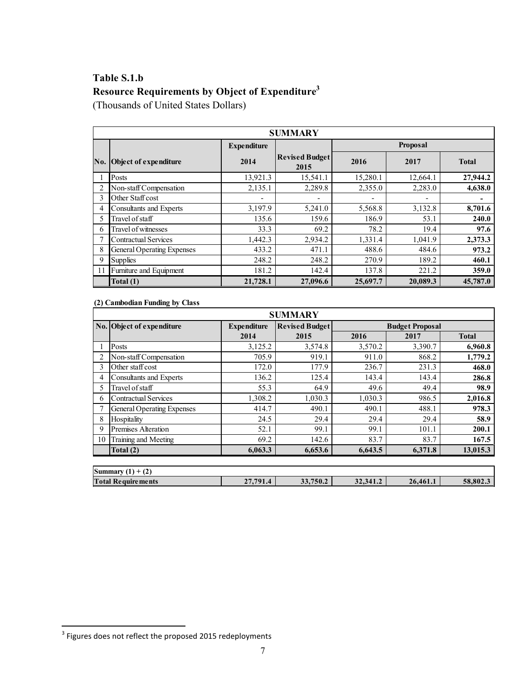# **Table S.1.b Resource Requirements by Object of Expenditure<sup>3</sup>**

(Thousands of United States Dollars)

|               |                                   |                    | <b>SUMMARY</b>                |          |                 |              |
|---------------|-----------------------------------|--------------------|-------------------------------|----------|-----------------|--------------|
|               |                                   | <b>Expenditure</b> |                               |          | <b>Proposal</b> |              |
| No.           | Object of expenditure             | 2014               | <b>Revised Budget</b><br>2015 | 2016     | 2017            | <b>Total</b> |
|               | Posts                             | 13,921.3           | 15,541.1                      | 15,280.1 | 12,664.1        | 27,944.2     |
| 2             | Non-staff Compensation            | 2,135.1            | 2,289.8                       | 2,355.0  | 2,283.0         | 4,638.0      |
| 3             | Other Staff cost                  |                    |                               |          |                 |              |
| 4             | Consultants and Experts           | 3,197.9            | 5,241.0                       | 5,568.8  | 3,132.8         | 8,701.6      |
| 5             | Travel of staff                   | 135.6              | 159.6                         | 186.9    | 53.1            | 240.0        |
| $\mathfrak b$ | Travel of witnesses               | 33.3               | 69.2                          | 78.2     | 19.4            | 97.6         |
|               | <b>Contractual Services</b>       | 1,442.3            | 2,934.2                       | 1,331.4  | 1,041.9         | 2,373.3      |
| 8             | <b>General Operating Expenses</b> | 433.2              | 471.1                         | 488.6    | 484.6           | 973.2        |
| 9             | <b>Supplies</b>                   | 248.2              | 248.2                         | 270.9    | 189.2           | 460.1        |
| 11            | Furniture and Equipment           | 181.2              | 142.4                         | 137.8    | 221.2           | 359.0        |
|               | Total (1)                         | 21,728.1           | 27,096.6                      | 25,697.7 | 20,089.3        | 45,787.0     |

**(2) Cambodian Funding by Class**

|    | <b>SUMMARY</b>              |                    |                       |         |                        |              |  |  |  |  |  |  |  |
|----|-----------------------------|--------------------|-----------------------|---------|------------------------|--------------|--|--|--|--|--|--|--|
|    | No. Object of expenditure   | <b>Expenditure</b> | <b>Revised Budget</b> |         | <b>Budget Proposal</b> |              |  |  |  |  |  |  |  |
|    |                             | 2014               | 2015                  | 2016    | 2017                   | <b>Total</b> |  |  |  |  |  |  |  |
|    | Posts                       | 3,125.2            | 3,574.8               | 3,570.2 | 3,390.7                | 6,960.8      |  |  |  |  |  |  |  |
| 2  | Non-staff Compensation      | 705.9              | 919.1                 | 911.0   | 868.2                  | 1,779.2      |  |  |  |  |  |  |  |
| 3  | Other staff cost            | 172.0              | 177.9                 | 236.7   | 231.3                  | 468.0        |  |  |  |  |  |  |  |
| 4  | Consultants and Experts     | 136.2              | 125.4                 | 143.4   | 143.4                  | 286.8        |  |  |  |  |  |  |  |
| 5  | Travel of staff             | 55.3               | 64.9                  | 49.6    | 49.4                   | 98.9         |  |  |  |  |  |  |  |
| 6  | <b>Contractual Services</b> | 1,308.2            | 1,030.3               | 1,030.3 | 986.5                  | 2,016.8      |  |  |  |  |  |  |  |
|    | General Operating Expenses  | 414.7              | 490.1                 | 490.1   | 488.1                  | 978.3        |  |  |  |  |  |  |  |
| 8  | Hospitality                 | 24.5               | 29.4                  | 29.4    | 29.4                   | 58.9         |  |  |  |  |  |  |  |
| 9  | <b>Premises Alteration</b>  | 52.1               | 99.1                  | 99.1    | 101.1                  | 200.1        |  |  |  |  |  |  |  |
| 10 | Training and Meeting        | 69.2               | 142.6                 | 83.7    | 83.7                   | 167.5        |  |  |  |  |  |  |  |
|    | Total (2)                   | 6,063.3            | 6,653.6               | 6,643.5 | 6,371.8                | 13,015.3     |  |  |  |  |  |  |  |
|    |                             |                    |                       |         |                        |              |  |  |  |  |  |  |  |
|    | Summary $(1) + (2)$         |                    |                       |         |                        |              |  |  |  |  |  |  |  |

**Total Requirements** 27,791.4 33,750.2 32,341.2 26,461.1 58,802.3

 3 Figures does not reflect the proposed 2015 redeployments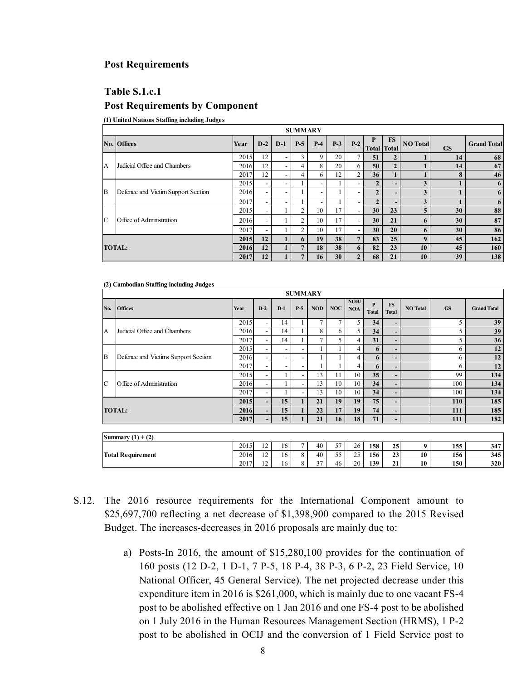#### **Post Requirements**

#### **Table S.1.c.1**

#### **Post Requirements by Component**

**(1) United Nations Staffing including Judges**

|                | <b>SUMMARY</b>                     |      |                          |                          |                |             |       |                          |                   |                    |                 |           |                    |
|----------------|------------------------------------|------|--------------------------|--------------------------|----------------|-------------|-------|--------------------------|-------------------|--------------------|-----------------|-----------|--------------------|
|                | No. Offices                        | Year | $D-2$                    | $D-1$                    | $P-5$          | $P-4$       | $P-3$ | $P-2$                    | P<br><b>Total</b> | FS<br><b>Total</b> | <b>NO</b> Total | <b>GS</b> | <b>Grand Total</b> |
|                |                                    | 2015 | 12                       | $\overline{\phantom{0}}$ | 3              | $\mathbf Q$ | 20    |                          | 51                | $\mathbf{2}$       |                 | 14        | 68                 |
| $\overline{A}$ | Judicial Office and Chambers       | 2016 | 12                       | $\overline{\phantom{a}}$ | 4              | 8           | 20    | 6                        | 50                | $\overline{2}$     |                 | 14        | 67                 |
|                |                                    | 2017 | 12                       | Ξ.                       | 4              | 6           | 12    | 2                        | 36                |                    |                 | 8         | 46                 |
|                |                                    | 2015 | $\overline{\phantom{a}}$ | $\overline{\phantom{a}}$ |                |             |       | $\overline{\phantom{a}}$ |                   |                    | 3               |           | 6                  |
| <b>B</b>       | Defence and Victim Support Section | 2016 | $\overline{\phantom{a}}$ | ۰                        |                | ۰.          |       | $\overline{\phantom{a}}$ | $\overline{2}$    |                    | 3               |           | 6                  |
|                |                                    | 2017 | $\overline{\phantom{a}}$ | $\overline{\phantom{0}}$ |                |             |       |                          |                   |                    | 3               |           | 6                  |
|                |                                    | 2015 | $\overline{\phantom{0}}$ |                          | $\overline{c}$ | 10          | 17    | $\overline{\phantom{a}}$ | 30 <sup>°</sup>   | 23                 | 5               | 30        | 88                 |
| C              | Office of Administration           | 2016 | $\overline{\phantom{a}}$ |                          | $\overline{2}$ | 10          | 17    | $\overline{\phantom{a}}$ | 30                | 21                 | 6               | 30        | 87                 |
|                |                                    | 2017 | $\overline{\phantom{a}}$ |                          | $\mathfrak{D}$ | 10          | 17    | $\overline{\phantom{a}}$ | 30                | 20                 | 6               | 30        | 86                 |
|                | <b>TOTAL:</b>                      |      | 2015<br>12               |                          | 6              | 19          | 38    | 7                        | 83                | 25                 | 9               | 45        | 162                |
|                |                                    |      | 2016<br>12               |                          |                | 18          | 38    | 6                        | 82                | 23                 | 10              | 45        | 160                |
|                |                                    | 2017 | 12                       |                          |                | 16          | 30    |                          | 68                | 21                 | 10              | 39        | 138                |

**(2) Cambodian Staffing including Judges**

|     |                                     |      |                          |                          | <b>SUMMARY</b>           |              |            |                    |                   |                           |                 |           |                    |
|-----|-------------------------------------|------|--------------------------|--------------------------|--------------------------|--------------|------------|--------------------|-------------------|---------------------------|-----------------|-----------|--------------------|
| No. | <b>Offices</b>                      | Year | $D-2$                    | $D-1$                    | $P-5$                    | <b>NOD</b>   | <b>NOC</b> | NOB/<br><b>NOA</b> | P<br><b>Total</b> | <b>FS</b><br><b>Total</b> | <b>NO</b> Total | <b>GS</b> | <b>Grand Total</b> |
|     |                                     | 2015 | $\overline{\phantom{a}}$ | 14                       |                          |              | 7          | 5                  | 34                | $\overline{\phantom{0}}$  |                 | 5         | 39                 |
| A   | Judicial Office and Chambers        | 2016 | $\overline{\phantom{0}}$ | 14                       |                          | 8            | 6          | 5                  | 34                | -                         |                 | 5         | 39                 |
|     |                                     | 2017 | $\overline{\phantom{0}}$ | 14                       |                          | $\mathbf{r}$ | 5          | 4                  | 31                | $\overline{\phantom{a}}$  |                 | 5         | 36                 |
|     |                                     | 2015 | $\overline{\phantom{0}}$ | $\overline{\phantom{a}}$ | $\overline{\phantom{a}}$ |              |            | 4                  | 6                 | $\overline{\phantom{a}}$  |                 | 6         | 12                 |
| B   | Defence and Victims Support Section | 2016 | $\overline{\phantom{a}}$ | $\overline{\phantom{a}}$ | $\overline{\phantom{0}}$ |              |            | 4                  | 6                 | -                         |                 | 6         | 12                 |
|     |                                     | 2017 | $\overline{\phantom{a}}$ | ۰                        | $\overline{\phantom{0}}$ |              |            | 4                  | 6                 | $\overline{\phantom{a}}$  |                 | 6         | 12                 |
|     |                                     | 2015 | $\overline{\phantom{a}}$ |                          | $\overline{\phantom{a}}$ | 13           | 11         | 10                 | 35                | $\overline{\phantom{a}}$  |                 | 99        | 134                |
| C   | Office of Administration            | 2016 | $\overline{\phantom{a}}$ |                          | $\overline{\phantom{a}}$ | 13           | 10         | 10                 | 34                | $\overline{a}$            |                 | 100       | 134                |
|     |                                     | 2017 | $\overline{\phantom{a}}$ |                          | $\overline{\phantom{a}}$ | 13           | 10         | 10                 | 34                | $\overline{\phantom{0}}$  |                 | 100       | 134                |
|     |                                     | 2015 |                          | 15                       |                          | 21           | 19         | 19                 | 75                |                           |                 | 110       | 185                |
|     | <b>TOTAL:</b>                       | 2016 |                          | 15                       |                          | 22           | 17         | 19                 | 74                |                           |                 | 111       | 185                |
|     |                                     | 2017 | $-$                      | 15                       |                          | 21           | 16         | 18                 | 71                | -                         |                 | 111       | 182                |
|     |                                     |      |                          |                          |                          |              |            |                    |                   |                           |                 |           |                    |
|     | Summary $(1) + (2)$                 |      |                          |                          |                          |              |            |                    |                   |                           |                 |           |                    |
|     |                                     | 2015 | 12                       | 16                       | $\overline{7}$           | 40           | 57         | 26                 | 158               | 25                        | 9               | 155       | 347                |
|     | <b>Total Requirement</b>            |      | 12                       | 16                       | 8                        | 40           | 55         | 25                 | 156               | 23                        | 10              | 156       | 345                |
|     |                                     | 2017 | 12                       | 16                       | 8                        | 37           | 46         | 20                 | 139               | 21                        | 10              | 150       | 320                |

- S.12. The 2016 resource requirements for the International Component amount to \$25,697,700 reflecting a net decrease of \$1,398,900 compared to the 2015 Revised Budget. The increases-decreases in 2016 proposals are mainly due to:
	- a) Posts-In 2016, the amount of \$15,280,100 provides for the continuation of 160 posts (12 D-2, 1 D-1, 7 P-5, 18 P-4, 38 P-3, 6 P-2, 23 Field Service, 10 National Officer, 45 General Service). The net projected decrease under this expenditure item in 2016 is \$261,000, which is mainly due to one vacant FS-4 post to be abolished effective on 1 Jan 2016 and one FS-4 post to be abolished on 1 July 2016 in the Human Resources Management Section (HRMS), 1 P-2 post to be abolished in OCIJ and the conversion of 1 Field Service post to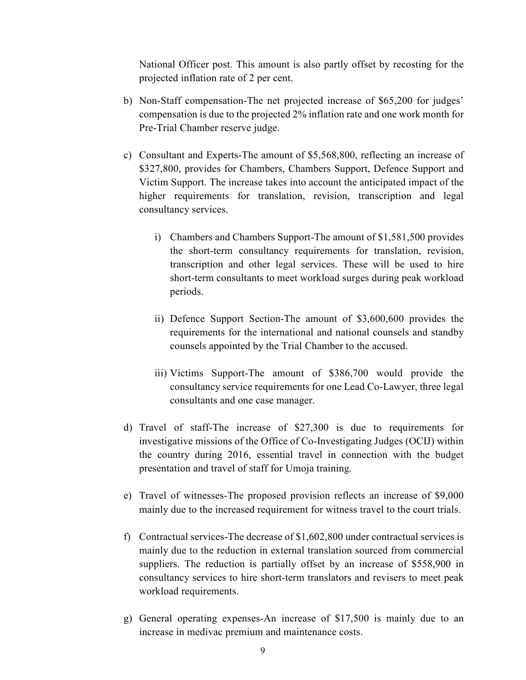National Officer post. This amount is also partly offset by recosting for the projected inflation rate of 2 per cent.

- b) Non-Staff compensation-The net projected increase of \$65,200 for judges' compensation is due to the projected 2% inflation rate and one work month for Pre-Trial Chamber reserve judge.
- c) Consultant and Experts-The amount of \$5,568,800, reflecting an increase of \$327,800, provides for Chambers, Chambers Support, Defence Support and Victim Support. The increase takes into account the anticipated impact of the higher requirements for translation, revision, transcription and legal consultancy services.
	- i) Chambers and Chambers Support-The amount of \$1,581,500 provides the short-term consultancy requirements for translation, revision, transcription and other legal services. These will be used to hire short-term consultants to meet workload surges during peak workload periods.
	- ii) Defence Support Section-The amount of \$3,600,600 provides the requirements for the international and national counsels and standby counsels appointed by the Trial Chamber to the accused.
	- iii) Victims Support-The amount of \$386,700 would provide the consultancy service requirements for one Lead Co-Lawyer, three legal consultants and one case manager.
- d) Travel of staff-The increase of \$27,300 is due to requirements for investigative missions of the Office of Co-Investigating Judges (OCIJ) within the country during 2016, essential travel in connection with the budget presentation and travel of staff for Umoja training.
- e) Travel of witnesses-The proposed provision reflects an increase of \$9,000 mainly due to the increased requirement for witness travel to the court trials.
- f) Contractual services-The decrease of \$1,602,800 under contractual services is mainly due to the reduction in external translation sourced from commercial suppliers. The reduction is partially offset by an increase of \$558,900 in consultancy services to hire short-term translators and revisers to meet peak workload requirements.
- g) General operating expenses-An increase of \$17,500 is mainly due to an increase in medivac premium and maintenance costs.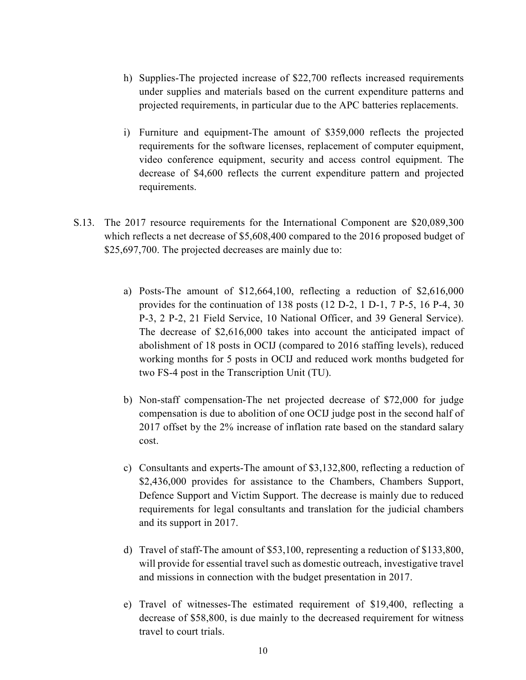- h) Supplies-The projected increase of \$22,700 reflects increased requirements under supplies and materials based on the current expenditure patterns and projected requirements, in particular due to the APC batteries replacements.
- i) Furniture and equipment-The amount of \$359,000 reflects the projected requirements for the software licenses, replacement of computer equipment, video conference equipment, security and access control equipment. The decrease of \$4,600 reflects the current expenditure pattern and projected requirements.
- S.13. The 2017 resource requirements for the International Component are \$20,089,300 which reflects a net decrease of \$5,608,400 compared to the 2016 proposed budget of \$25,697,700. The projected decreases are mainly due to:
	- a) Posts-The amount of \$12,664,100, reflecting a reduction of \$2,616,000 provides for the continuation of 138 posts (12 D-2, 1 D-1, 7 P-5, 16 P-4, 30 P-3, 2 P-2, 21 Field Service, 10 National Officer, and 39 General Service). The decrease of \$2,616,000 takes into account the anticipated impact of abolishment of 18 posts in OCIJ (compared to 2016 staffing levels), reduced working months for 5 posts in OCIJ and reduced work months budgeted for two FS-4 post in the Transcription Unit (TU).
	- b) Non-staff compensation-The net projected decrease of \$72,000 for judge compensation is due to abolition of one OCIJ judge post in the second half of 2017 offset by the 2% increase of inflation rate based on the standard salary cost.
	- c) Consultants and experts-The amount of \$3,132,800, reflecting a reduction of \$2,436,000 provides for assistance to the Chambers, Chambers Support, Defence Support and Victim Support. The decrease is mainly due to reduced requirements for legal consultants and translation for the judicial chambers and its support in 2017.
	- d) Travel of staff-The amount of \$53,100, representing a reduction of \$133,800, will provide for essential travel such as domestic outreach, investigative travel and missions in connection with the budget presentation in 2017.
	- e) Travel of witnesses-The estimated requirement of \$19,400, reflecting a decrease of \$58,800, is due mainly to the decreased requirement for witness travel to court trials.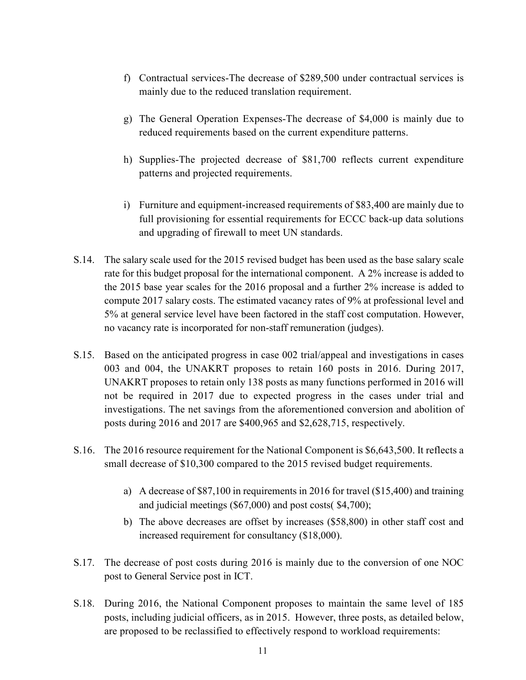- f) Contractual services-The decrease of \$289,500 under contractual services is mainly due to the reduced translation requirement.
- g) The General Operation Expenses-The decrease of \$4,000 is mainly due to reduced requirements based on the current expenditure patterns.
- h) Supplies-The projected decrease of \$81,700 reflects current expenditure patterns and projected requirements.
- i) Furniture and equipment-increased requirements of \$83,400 are mainly due to full provisioning for essential requirements for ECCC back-up data solutions and upgrading of firewall to meet UN standards.
- S.14. The salary scale used for the 2015 revised budget has been used as the base salary scale rate for this budget proposal for the international component. A 2% increase is added to the 2015 base year scales for the 2016 proposal and a further 2% increase is added to compute 2017 salary costs. The estimated vacancy rates of 9% at professional level and 5% at general service level have been factored in the staff cost computation. However, no vacancy rate is incorporated for non-staff remuneration (judges).
- S.15. Based on the anticipated progress in case 002 trial/appeal and investigations in cases 003 and 004, the UNAKRT proposes to retain 160 posts in 2016. During 2017, UNAKRT proposes to retain only 138 posts as many functions performed in 2016 will not be required in 2017 due to expected progress in the cases under trial and investigations. The net savings from the aforementioned conversion and abolition of posts during 2016 and 2017 are \$400,965 and \$2,628,715, respectively.
- S.16. The 2016 resource requirement for the National Component is \$6,643,500. It reflects a small decrease of \$10,300 compared to the 2015 revised budget requirements.
	- a) A decrease of \$87,100 in requirements in 2016 for travel (\$15,400) and training and judicial meetings (\$67,000) and post costs( \$4,700);
	- b) The above decreases are offset by increases (\$58,800) in other staff cost and increased requirement for consultancy (\$18,000).
- S.17. The decrease of post costs during 2016 is mainly due to the conversion of one NOC post to General Service post in ICT.
- S.18. During 2016, the National Component proposes to maintain the same level of 185 posts, including judicial officers, as in 2015. However, three posts, as detailed below, are proposed to be reclassified to effectively respond to workload requirements: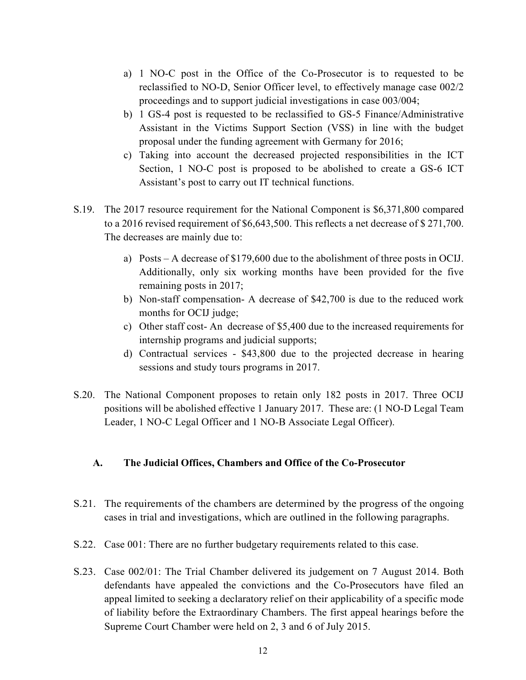- a) 1 NO-C post in the Office of the Co-Prosecutor is to requested to be reclassified to NO-D, Senior Officer level, to effectively manage case 002/2 proceedings and to support judicial investigations in case 003/004;
- b) 1 GS-4 post is requested to be reclassified to GS-5 Finance/Administrative Assistant in the Victims Support Section (VSS) in line with the budget proposal under the funding agreement with Germany for 2016;
- c) Taking into account the decreased projected responsibilities in the ICT Section, 1 NO-C post is proposed to be abolished to create a GS-6 ICT Assistant's post to carry out IT technical functions.
- S.19. The 2017 resource requirement for the National Component is \$6,371,800 compared to a 2016 revised requirement of \$6,643,500. This reflects a net decrease of \$ 271,700. The decreases are mainly due to:
	- a) Posts A decrease of \$179,600 due to the abolishment of three posts in OCIJ. Additionally, only six working months have been provided for the five remaining posts in 2017;
	- b) Non-staff compensation- A decrease of \$42,700 is due to the reduced work months for OCIJ judge;
	- c) Other staff cost- An decrease of \$5,400 due to the increased requirements for internship programs and judicial supports;
	- d) Contractual services \$43,800 due to the projected decrease in hearing sessions and study tours programs in 2017.
- S.20. The National Component proposes to retain only 182 posts in 2017. Three OCIJ positions will be abolished effective 1 January 2017. These are: (1 NO-D Legal Team Leader, 1 NO-C Legal Officer and 1 NO-B Associate Legal Officer).

## **A. The Judicial Offices, Chambers and Office of the Co-Prosecutor**

- S.21. The requirements of the chambers are determined by the progress of the ongoing cases in trial and investigations, which are outlined in the following paragraphs.
- S.22. Case 001: There are no further budgetary requirements related to this case.
- S.23. Case 002/01: The Trial Chamber delivered its judgement on 7 August 2014. Both defendants have appealed the convictions and the Co-Prosecutors have filed an appeal limited to seeking a declaratory relief on their applicability of a specific mode of liability before the Extraordinary Chambers. The first appeal hearings before the Supreme Court Chamber were held on 2, 3 and 6 of July 2015.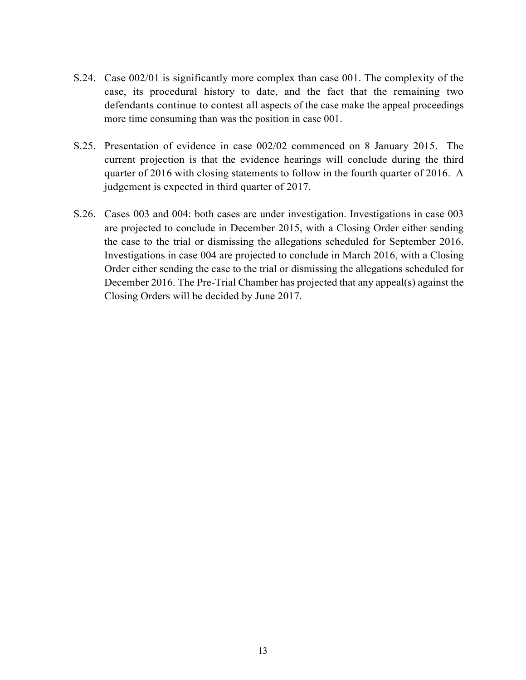- S.24. Case 002/01 is significantly more complex than case 001. The complexity of the case, its procedural history to date, and the fact that the remaining two defendants continue to contest all aspects of the case make the appeal proceedings more time consuming than was the position in case 001.
- S.25. Presentation of evidence in case 002/02 commenced on 8 January 2015. The current projection is that the evidence hearings will conclude during the third quarter of 2016 with closing statements to follow in the fourth quarter of 2016. A judgement is expected in third quarter of 2017.
- S.26. Cases 003 and 004: both cases are under investigation. Investigations in case 003 are projected to conclude in December 2015, with a Closing Order either sending the case to the trial or dismissing the allegations scheduled for September 2016. Investigations in case 004 are projected to conclude in March 2016, with a Closing Order either sending the case to the trial or dismissing the allegations scheduled for December 2016. The Pre-Trial Chamber has projected that any appeal(s) against the Closing Orders will be decided by June 2017.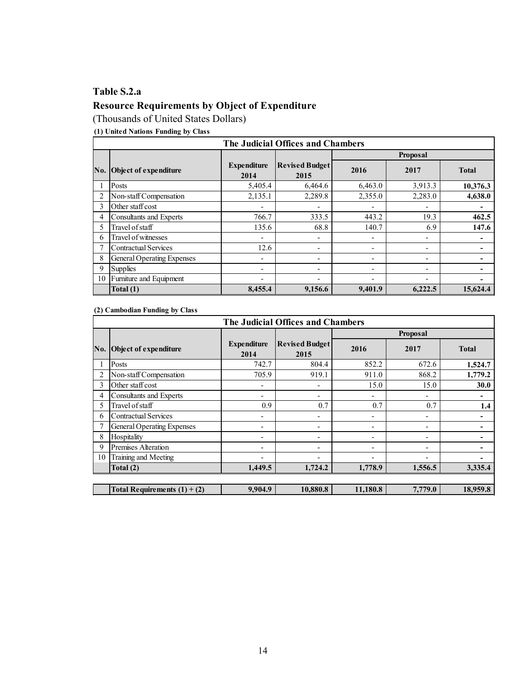# **Table S.2.a Resource Requirements by Object of Expenditure**

(Thousands of United States Dollars)

**(1) United Nations Funding by Class**

|     | The Judicial Offices and Chambers |                            |                               |                          |                          |              |  |  |  |  |  |  |  |
|-----|-----------------------------------|----------------------------|-------------------------------|--------------------------|--------------------------|--------------|--|--|--|--|--|--|--|
|     |                                   |                            |                               |                          | <b>Proposal</b>          |              |  |  |  |  |  |  |  |
| No. | Object of expenditure             | <b>Expenditure</b><br>2014 | <b>Revised Budget</b><br>2015 | 2016                     | 2017                     | <b>Total</b> |  |  |  |  |  |  |  |
|     | Posts                             | 5,405.4                    | 6,464.6                       | 6,463.0                  | 3,913.3                  | 10,376.3     |  |  |  |  |  |  |  |
|     | Non-staff Compensation            | 2,135.1                    | 2,289.8                       | 2,355.0                  | 2,283.0                  | 4,638.0      |  |  |  |  |  |  |  |
| 3   | Other staff cost                  |                            |                               | $\overline{\phantom{0}}$ | $\overline{\phantom{0}}$ |              |  |  |  |  |  |  |  |
| 4   | <b>Consultants and Experts</b>    | 766.7                      | 333.5                         | 443.2                    | 19.3                     | 462.5        |  |  |  |  |  |  |  |
| 5   | Travel of staff                   | 135.6                      | 68.8                          | 140.7                    | 6.9                      | 147.6        |  |  |  |  |  |  |  |
| 6   | Travel of witnesses               | $\overline{ }$             | ۰                             | ٠                        | ٠                        |              |  |  |  |  |  |  |  |
|     | <b>Contractual Services</b>       | 12.6                       | ٠                             | $\overline{\phantom{0}}$ | $\overline{\phantom{0}}$ |              |  |  |  |  |  |  |  |
| 8   | General Operating Expenses        |                            | ٠                             | ٠                        | $\overline{\phantom{a}}$ |              |  |  |  |  |  |  |  |
| 9   | <b>Supplies</b>                   |                            | $\overline{\phantom{0}}$      | ۰                        | $\overline{\phantom{0}}$ |              |  |  |  |  |  |  |  |
| 10  | Furniture and Equipment           |                            | ٠                             | ٠                        | $\overline{\phantom{0}}$ |              |  |  |  |  |  |  |  |
|     | Total (1)                         | 8,455.4                    | 9,156.6                       | 9,401.9                  | 6,222.5                  | 15,624.4     |  |  |  |  |  |  |  |

#### **(2) Cambodian Funding by Class**

|     |                                   |                            | The Judicial Offices and Chambers |          |                          |                |
|-----|-----------------------------------|----------------------------|-----------------------------------|----------|--------------------------|----------------|
|     |                                   |                            |                                   |          | Proposal                 |                |
| No. | <b>Object of expenditure</b>      | <b>Expenditure</b><br>2014 | <b>Revised Budget</b><br>2015     | 2016     | 2017                     | <b>Total</b>   |
|     | Posts                             | 742.7                      | 804.4                             | 852.2    | 672.6                    | 1,524.7        |
|     | Non-staff Compensation            | 705.9                      | 919.1                             | 911.0    | 868.2                    | 1,779.2        |
| 3   | Other staff cost                  |                            |                                   | 15.0     | 15.0                     | 30.0           |
| 4   | <b>Consultants and Experts</b>    | $\overline{\phantom{0}}$   | ۰                                 | ٠        | $\overline{\phantom{a}}$ | ٠              |
| 5   | Travel of staff                   | 0.9                        | 0.7                               | 0.7      | 0.7                      | 1.4            |
| 6   | <b>Contractual Services</b>       | $\overline{\phantom{0}}$   | -                                 | ٠        | ٠                        | $\blacksquare$ |
|     | <b>General Operating Expenses</b> | $\overline{\phantom{0}}$   | -                                 | ٠        | -                        |                |
| 8   | Hospitality                       | -                          | -                                 | ٠        | -                        |                |
| 9   | Premises Alteration               | -                          | ۰                                 | ٠        | ٠                        |                |
| 10  | Training and Meeting              |                            |                                   |          |                          |                |
|     | Total (2)                         | 1,449.5                    | 1,724.2                           | 1,778.9  | 1,556.5                  | 3,335.4        |
|     |                                   |                            |                                   |          |                          |                |
|     | Total Requirements $(1) + (2)$    | 9,904.9                    | 10,880.8                          | 11,180.8 | 7,779.0                  | 18,959.8       |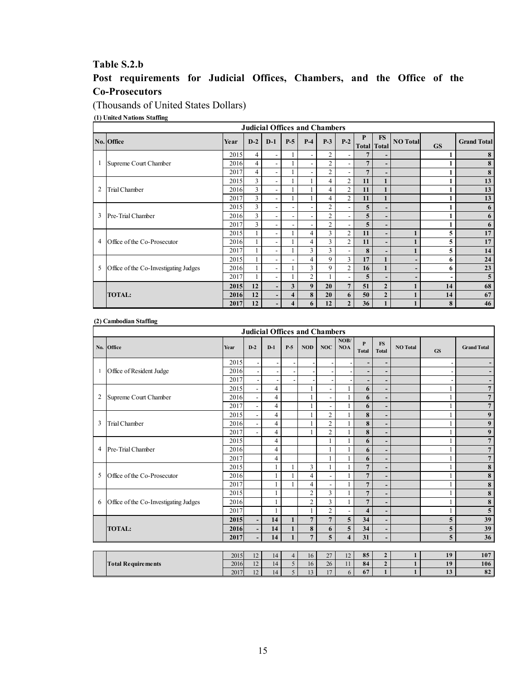#### **Table S.2.b**

## **Post requirements for Judicial Offices, Chambers, and the Office of the Co-Prosecutors**

(Thousands of United States Dollars)

#### **(1) United Nations Staffing**

|                | <b>Judicial Offices and Chambers</b>  |      |                |                          |                          |                          |                |                |                         |                          |                 |           |                    |
|----------------|---------------------------------------|------|----------------|--------------------------|--------------------------|--------------------------|----------------|----------------|-------------------------|--------------------------|-----------------|-----------|--------------------|
|                | No. Office                            | Year | $D-2$          | $D-1$                    | $P-5$                    | $P-4$                    | $P-3$          | $P-2$          | P<br><b>Total</b> Total | <b>FS</b>                | <b>NO</b> Total | <b>GS</b> | <b>Grand Total</b> |
|                |                                       | 2015 | $\overline{4}$ | $\overline{\phantom{0}}$ |                          |                          | $\overline{2}$ | ۰.             | 7                       |                          |                 |           | 8                  |
|                | Supreme Court Chamber                 | 2016 | $\overline{4}$ | $\overline{\phantom{a}}$ |                          | $\overline{\phantom{0}}$ | $\overline{2}$ | ۰              | $\overline{7}$          | ٠                        |                 |           | 8                  |
|                |                                       | 2017 | $\overline{4}$ | $\overline{\phantom{0}}$ |                          |                          | $\overline{2}$ |                | $7\phantom{.0}$         |                          |                 |           | 8                  |
|                |                                       | 2015 | 3              | $\overline{\phantom{a}}$ |                          |                          | $\overline{4}$ | $\overline{2}$ | 11                      | $\mathbf{1}$             |                 |           | 13                 |
| 2              | Trial Chamber                         | 2016 | 3              | $\overline{\phantom{0}}$ |                          |                          | $\overline{4}$ | $\overline{2}$ | 11                      | 1                        |                 |           | 13                 |
|                |                                       | 2017 | 3              | $\overline{\phantom{a}}$ |                          |                          | 4              | $\overline{2}$ | 11                      | $\mathbf{1}$             |                 |           | 13                 |
|                |                                       | 2015 | 3              | $\overline{\phantom{a}}$ |                          | $\overline{\phantom{0}}$ | $\overline{2}$ |                | 5                       | $\overline{\phantom{a}}$ |                 |           | 6                  |
| 3              | Pre-Trial Chamber                     | 2016 | $\overline{3}$ | $\overline{\phantom{a}}$ | $\overline{\phantom{a}}$ | $\overline{\phantom{0}}$ | $\overline{2}$ |                | 5                       | $\overline{\phantom{a}}$ |                 |           | 6                  |
|                |                                       | 2017 | 3              | Ξ.                       |                          | $\overline{\phantom{0}}$ | $\overline{2}$ |                | 5                       | $\overline{\phantom{a}}$ |                 |           | 6                  |
|                |                                       | 2015 |                | $\overline{\phantom{a}}$ |                          | $\overline{4}$           | 3              | 2              | 11                      | $\overline{\phantom{a}}$ |                 | 5         | 17                 |
| $\overline{4}$ | Office of the Co-Prosecutor           | 2016 |                | $\overline{\phantom{0}}$ |                          | $\overline{4}$           | 3              | $\overline{2}$ | 11                      | $\overline{\phantom{a}}$ |                 | 5         | 17                 |
|                |                                       | 2017 |                | $\overline{\phantom{a}}$ |                          | 3                        | 3              |                | 8                       | $\overline{\phantom{a}}$ |                 | 5         | 14                 |
|                |                                       | 2015 |                | ٠                        |                          | $\overline{4}$           | 9              | 3              | 17                      | 1                        |                 | 6         | 24                 |
| 5              | Office of the Co-Investigating Judges | 2016 |                | $\overline{\phantom{a}}$ |                          | 3                        | 9              | $\overline{2}$ | 16                      | 1                        |                 | 6         | 23                 |
|                |                                       | 2017 |                | $\overline{\phantom{a}}$ |                          | $\overline{2}$           |                |                | 5                       | $\overline{\phantom{a}}$ |                 |           | 5                  |
|                |                                       | 2015 | 12             | $\overline{\phantom{0}}$ | 3                        | $\boldsymbol{9}$         | 20             | 7              | 51                      | $\overline{2}$           |                 | 14        | 68                 |
|                | <b>TOTAL:</b>                         | 2016 | 12             | $\overline{\phantom{0}}$ | $\overline{\mathbf{4}}$  | 8                        | 20             | 6              | 50                      | $\overline{2}$           |                 | 14        | 67                 |
|                |                                       | 2017 | 12             | -                        | $\overline{\mathbf{4}}$  | 6                        | 12             | $\mathbf{2}$   | 36                      | $\mathbf{1}$             |                 | 8         | 46                 |

#### **(2) Cambodian Staffing**

|                | <b>Judicial Offices and Chambers</b>  |      |                          |                          |                |                |                          |                         |                              |                              |                 |              |                    |
|----------------|---------------------------------------|------|--------------------------|--------------------------|----------------|----------------|--------------------------|-------------------------|------------------------------|------------------------------|-----------------|--------------|--------------------|
|                | No. Office                            | Year | $D-2$                    | $D-1$                    | $P-5$          | <b>NOD</b>     | <b>NOC</b>               | NOB/<br><b>NOA</b>      | $\mathbf{P}$<br><b>Total</b> | <b>FS</b><br><b>Total</b>    | <b>NO</b> Total | <b>GS</b>    | <b>Grand Total</b> |
|                |                                       | 2015 |                          | $\overline{\phantom{a}}$ |                |                |                          |                         |                              | $\overline{\phantom{a}}$     |                 |              |                    |
| -1             | Office of Resident Judge              | 2016 |                          |                          |                |                |                          |                         |                              | $\overline{\phantom{0}}$     |                 |              |                    |
|                |                                       | 2017 | $\overline{\phantom{a}}$ | $\overline{\phantom{a}}$ |                |                |                          |                         |                              | $\overline{\phantom{0}}$     |                 |              |                    |
|                |                                       | 2015 | $\blacksquare$           | $\overline{\mathbf{4}}$  |                | 1              | ÷.                       |                         | 6                            | $\overline{\phantom{0}}$     |                 |              | $\overline{7}$     |
| $\overline{2}$ | Supreme Court Chamber                 | 2016 | $\frac{1}{2}$            | $\overline{4}$           |                | $\mathbf{1}$   | $\overline{a}$           |                         | 6                            | -                            |                 |              | $\overline{7}$     |
|                |                                       | 2017 | Ĭ.                       | $\overline{4}$           |                | $\mathbf{1}$   | L,                       |                         | 6                            | $\qquad \qquad \blacksquare$ |                 | 1            | $\overline{7}$     |
|                |                                       | 2015 | $\frac{1}{2}$            | $\overline{4}$           |                | 1              | $\overline{2}$           |                         | 8                            | $\overline{\phantom{a}}$     |                 | $\mathbf{1}$ | 9                  |
| 3              | <b>Trial Chamber</b>                  | 2016 | $\frac{1}{2}$            | $\overline{4}$           |                |                | $\overline{c}$           |                         | 8                            | $\overline{\phantom{a}}$     |                 | 1            | 9                  |
|                |                                       | 2017 | $\blacksquare$           | $\overline{4}$           |                | $\mathbf{1}$   | $\overline{2}$           | $\mathbf{1}$            | 8                            | $\overline{\phantom{a}}$     |                 | 1            | 9                  |
|                |                                       | 2015 |                          | $\overline{4}$           |                |                | 1                        |                         | 6                            | $\overline{\phantom{a}}$     |                 |              | $\overline{7}$     |
| 4              | Pre-Trial Chamber                     | 2016 |                          | $\overline{\mathbf{4}}$  |                |                | $\mathbf{1}$             | $\mathbf{1}$            | 6                            | $\qquad \qquad \blacksquare$ |                 | 1            | $\overline{7}$     |
|                |                                       | 2017 |                          | $\overline{4}$           |                |                | $\mathbf{1}$             |                         | 6                            | $\overline{\phantom{0}}$     |                 | 1            | $\overline{7}$     |
|                |                                       | 2015 |                          | 1                        |                | 3              | $\mathbf{1}$             |                         | $\overline{7}$               | $\overline{\phantom{a}}$     |                 | 1            | 8                  |
| 5              | Office of the Co-Prosecutor           | 2016 |                          | $\mathbf{1}$             | 1              | $\overline{4}$ | $\blacksquare$           | $\mathbf{1}$            | $\overline{7}$               | $\overline{a}$               |                 | 1            | 8                  |
|                |                                       | 2017 |                          | 1                        |                | 4              | $\overline{\phantom{a}}$ |                         | $\overline{7}$               | ٠                            |                 |              | 8                  |
|                |                                       | 2015 |                          | $\mathbf{1}$             |                | $\overline{c}$ | 3                        |                         | $\overline{7}$               | $\overline{\phantom{0}}$     |                 | 1            | 8                  |
| 6              | Office of the Co-Investigating Judges | 2016 |                          | $\mathbf{1}$             |                | $\overline{2}$ | $\overline{3}$           |                         | $\overline{7}$               | $\qquad \qquad \blacksquare$ |                 | $\mathbf{1}$ | 8                  |
|                |                                       | 2017 |                          | $\mathbf{1}$             |                | $\mathbf{1}$   | $\overline{2}$           |                         | $\overline{\mathbf{4}}$      | $\overline{\phantom{a}}$     |                 | 1            | 5                  |
|                |                                       | 2015 |                          | 14                       |                | $\overline{7}$ | $\overline{7}$           | 5                       | 34                           | $\overline{\phantom{0}}$     |                 | 5            | 39                 |
|                | <b>TOTAL:</b>                         | 2016 | $\overline{\phantom{a}}$ | 14                       | $\mathbf{1}$   | 8              | 6                        | 5                       | 34                           | $\qquad \qquad \blacksquare$ |                 | 5            | 39                 |
|                |                                       | 2017 | $\overline{\phantom{a}}$ | 14                       | $\mathbf{1}$   | $\overline{7}$ | 5                        | $\overline{\mathbf{4}}$ | 31                           | $\overline{\phantom{0}}$     |                 | 5            | 36                 |
|                |                                       |      |                          |                          |                |                |                          |                         |                              |                              |                 |              |                    |
|                |                                       | 2015 | 12                       | 14                       | $\overline{4}$ | 16             | 27                       | 12                      | 85                           | $\mathbf{2}$                 | $\mathbf{1}$    | 19           | 107                |
|                | <b>Total Requirements</b>             | 2016 | 12                       | 14                       | 5              | 16             | 26                       | 11                      | 84                           | $\overline{2}$               | $\mathbf{1}$    | 19           | 106                |
|                |                                       | 2017 | 12                       | 14                       | 5              | 13             | 17                       | 6                       | 67                           | $\mathbf{1}$                 | $\mathbf{1}$    | 13           | 82                 |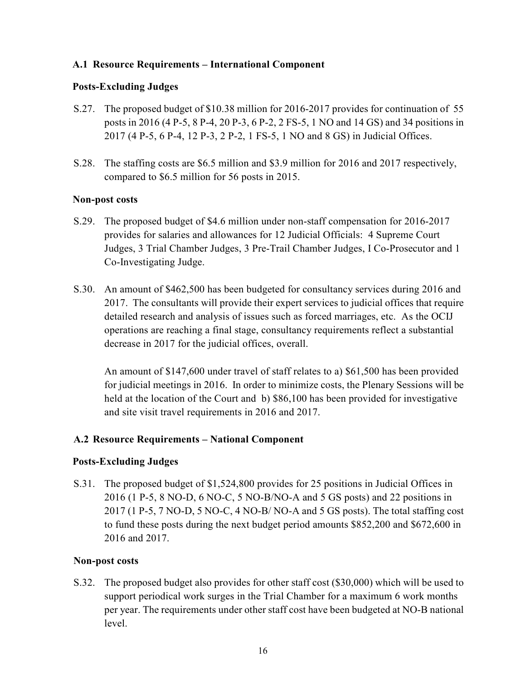## **A.1 Resource Requirements – International Component**

## **Posts-Excluding Judges**

- S.27. The proposed budget of \$10.38 million for 2016-2017 provides for continuation of 55 posts in 2016 (4 P-5, 8 P-4, 20 P-3, 6 P-2, 2 FS-5, 1 NO and 14 GS) and 34 positions in 2017 (4 P-5, 6 P-4, 12 P-3, 2 P-2, 1 FS-5, 1 NO and 8 GS) in Judicial Offices.
- S.28. The staffing costs are \$6.5 million and \$3.9 million for 2016 and 2017 respectively, compared to \$6.5 million for 56 posts in 2015.

## **Non-post costs**

- S.29. The proposed budget of \$4.6 million under non-staff compensation for 2016-2017 provides for salaries and allowances for 12 Judicial Officials: 4 Supreme Court Judges, 3 Trial Chamber Judges, 3 Pre-Trail Chamber Judges, I Co-Prosecutor and 1 Co-Investigating Judge.
- S.30. An amount of \$462,500 has been budgeted for consultancy services during 2016 and 2017. The consultants will provide their expert services to judicial offices that require detailed research and analysis of issues such as forced marriages, etc. As the OCIJ operations are reaching a final stage, consultancy requirements reflect a substantial decrease in 2017 for the judicial offices, overall.

An amount of \$147,600 under travel of staff relates to a) \$61,500 has been provided for judicial meetings in 2016. In order to minimize costs, the Plenary Sessions will be held at the location of the Court andb) \$86,100 has been provided for investigative and site visit travel requirements in 2016 and 2017.

## **A.2 Resource Requirements – National Component**

## **Posts-Excluding Judges**

S.31. The proposed budget of \$1,524,800 provides for 25 positions in Judicial Offices in 2016 (1 P-5, 8 NO-D, 6 NO-C, 5 NO-B/NO-A and 5 GS posts) and 22 positions in 2017 (1 P-5, 7 NO-D, 5 NO-C, 4 NO-B/ NO-A and 5 GS posts). The total staffing cost to fund these posts during the next budget period amounts \$852,200 and \$672,600 in 2016 and 2017.

## **Non-post costs**

S.32. The proposed budget also provides for other staff cost (\$30,000) which will be used to support periodical work surges in the Trial Chamber for a maximum 6 work months per year. The requirements under other staff cost have been budgeted at NO-B national level.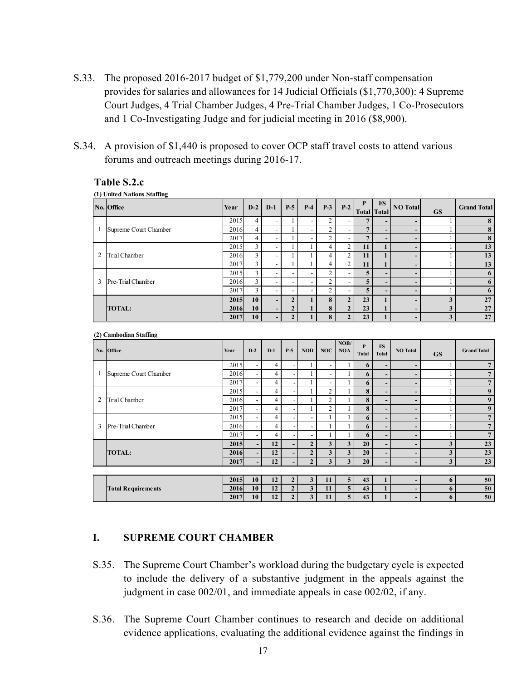- S.33. The proposed 2016-2017 budget of \$1,779,200 under Non-staff compensation provides for salaries and allowances for 14 Judicial Officials (\$1,770,300): 4 Supreme Court Judges, 4 Trial Chamber Judges, 4 Pre-Trial Chamber Judges, 1 Co-Prosecutors and 1 Co-Investigating Judge and for judicial meeting in 2016 (\$8,900).
- S.34. A provision of \$1,440 is proposed to cover OCP staff travel costs to attend various forums and outreach meetings during 2016-17.

#### **Table S.2.c**

**(1) United Nations Staffing** 

|                | -<br>No. Office       | Year | $D-2$          | $D-1$                    | $P-5$                    | $P-4$                    | $P-3$ | $P-2$             | P  | <b>FS</b><br><b>Total Total</b> | <b>NO</b> Total          | <b>GS</b> | <b>Grand Total</b> |
|----------------|-----------------------|------|----------------|--------------------------|--------------------------|--------------------------|-------|-------------------|----|---------------------------------|--------------------------|-----------|--------------------|
|                |                       | 2015 | 4              | -                        |                          | -                        | 2     | -                 |    | $\overline{\phantom{0}}$        | -                        |           |                    |
|                | Supreme Court Chamber | 2016 | $\overline{4}$ |                          |                          | $\overline{\phantom{0}}$ |       |                   |    | -                               | -                        |           |                    |
|                |                       | 2017 | 4              |                          |                          | $\overline{\phantom{0}}$ |       |                   |    | -                               | -                        |           |                    |
|                |                       | 2015 | 3              | -                        |                          |                          | 4     | $\overline{2}$    | 11 |                                 | $\overline{\phantom{0}}$ |           | 13                 |
| $\overline{2}$ | <b>Trial Chamber</b>  | 2016 | 3              | -                        |                          |                          |       | $\mathbf{\hat{}}$ | 11 |                                 | -                        |           | 13                 |
|                |                       | 2017 | $\overline{3}$ | -                        |                          |                          | 4     | 2                 | 11 |                                 | $\overline{\phantom{0}}$ |           | 13                 |
|                |                       | 2015 | 3              | -                        | $\overline{\phantom{a}}$ | $\overline{\phantom{a}}$ |       |                   | 5  | -                               | -                        |           |                    |
| 3              | Pre-Trial Chamber     | 2016 | 3              |                          | $\overline{\phantom{a}}$ | $\overline{\phantom{a}}$ |       |                   |    | -                               |                          |           |                    |
|                |                       | 2017 | 3              |                          | ۰                        | -                        |       |                   | 5  | -                               | -                        |           |                    |
|                |                       | 2015 | 10             | $\overline{\phantom{0}}$ |                          |                          |       |                   | 23 |                                 | -                        | 3         | 27                 |
|                | <b>TOTAL:</b>         | 2016 | 10             | $\overline{\phantom{0}}$ | $\overline{2}$           |                          | 8     | $\mathbf{2}$      | 23 |                                 | -                        | 3         | 27                 |
|                |                       | 2017 | 10             | -                        |                          |                          | 8     |                   | 23 |                                 | -                        | 3         | 27                 |

#### **(2) Cambodian Staffing**

| $\overline{\phantom{a}}$ | $\circ$<br>No. Office     | Year | $D-2$                    | $D-1$ | $P-5$                    | <b>NOD</b>               | NOC            | NOB/<br><b>NOA</b>      | P<br><b>Total</b> | FS<br><b>Total</b>       | <b>NO Total</b>          | <b>GS</b> | <b>Grand Total</b> |
|--------------------------|---------------------------|------|--------------------------|-------|--------------------------|--------------------------|----------------|-------------------------|-------------------|--------------------------|--------------------------|-----------|--------------------|
|                          |                           | 2015 | $\overline{\phantom{a}}$ | 4     |                          |                          |                |                         | 6                 | $\overline{\phantom{a}}$ | $\overline{\phantom{a}}$ |           |                    |
|                          | Supreme Court Chamber     | 2016 | $\blacksquare$           | 4     |                          |                          |                |                         | 6                 | $\overline{\phantom{a}}$ | $\overline{\phantom{a}}$ |           |                    |
|                          |                           | 2017 | $\overline{\phantom{a}}$ | 4     |                          |                          |                |                         | 6                 | $\overline{\phantom{a}}$ | $\overline{\phantom{0}}$ |           |                    |
|                          |                           | 2015 | $\overline{\phantom{a}}$ | 4     | -                        |                          | $\overline{2}$ |                         | 8                 | $\overline{\phantom{a}}$ | $\overline{\phantom{0}}$ |           | 9                  |
| 2                        | <b>Trial Chamber</b>      | 2016 | $\blacksquare$           | 4     | -                        |                          | 2              |                         | 8                 | $\overline{\phantom{a}}$ | $\qquad \qquad$          |           | 9                  |
|                          |                           | 2017 | $\overline{\phantom{a}}$ | 4     | $\overline{\phantom{0}}$ |                          | $\overline{c}$ |                         | 8                 | $\overline{\phantom{a}}$ | $\overline{\phantom{a}}$ |           | $\boldsymbol{9}$   |
|                          |                           | 2015 | $\overline{\phantom{a}}$ | 4     | -                        | $\overline{\phantom{a}}$ |                |                         | 6                 | $\overline{\phantom{a}}$ | $\overline{\phantom{a}}$ |           |                    |
| 3                        | Pre-Trial Chamber         | 2016 | $\overline{\phantom{a}}$ | 4     |                          | $\overline{\phantom{a}}$ |                |                         | 6                 | $\overline{\phantom{a}}$ | $\overline{\phantom{a}}$ |           |                    |
|                          |                           | 2017 | $\overline{\phantom{a}}$ | 4     | ٠                        | $\overline{\phantom{a}}$ |                |                         | 6                 | $\overline{\phantom{a}}$ | $\overline{\phantom{a}}$ |           |                    |
|                          |                           | 2015 | $\overline{\phantom{a}}$ | 12    |                          | $\overline{2}$           | $\mathbf{3}$   | 3                       | 20                | $\overline{\phantom{a}}$ | $\overline{\phantom{a}}$ | 3         | 23                 |
|                          | <b>TOTAL:</b>             | 2016 | $\overline{\phantom{a}}$ | 12    | -                        | $\overline{2}$           | 3              | 3                       | 20 <sup>°</sup>   | $\overline{\phantom{a}}$ | $\overline{\phantom{a}}$ | 3         | 23                 |
|                          |                           | 2017 | $\overline{\phantom{a}}$ | 12    |                          | $\overline{2}$           | $\mathbf{3}$   | $\overline{\mathbf{3}}$ | 20 <sup>°</sup>   | $\overline{\phantom{a}}$ | $\overline{\phantom{a}}$ | 3         | 23                 |
|                          |                           |      |                          |       |                          |                          |                |                         |                   |                          |                          |           |                    |
|                          |                           | 2015 | 10                       | 12    | $\overline{2}$           | 3                        | 11             | 5                       | 43                |                          | $\overline{\phantom{0}}$ | 6         | 50                 |
|                          | <b>Total Requirements</b> | 2016 | 10                       | 12    | $\overline{2}$           | $\mathbf{3}$             | 11             | 5 <sup>5</sup>          | 43                |                          | $\overline{\phantom{0}}$ | 6         | 50                 |

**2017 10 12 2 3 11 5 43 1 - 6 50**

#### **I. SUPREME COURT CHAMBER**

- S.35. The Supreme Court Chamber's workload during the budgetary cycle is expected to include the delivery of a substantive judgment in the appeals against the judgment in case 002/01, and immediate appeals in case 002/02, if any.
- S.36. The Supreme Court Chamber continues to research and decide on additional evidence applications, evaluating the additional evidence against the findings in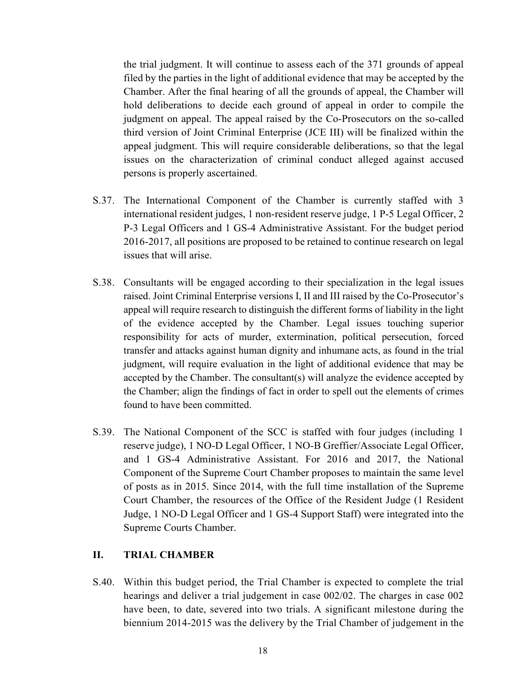the trial judgment. It will continue to assess each of the 371 grounds of appeal filed by the parties in the light of additional evidence that may be accepted by the Chamber. After the final hearing of all the grounds of appeal, the Chamber will hold deliberations to decide each ground of appeal in order to compile the judgment on appeal. The appeal raised by the Co-Prosecutors on the so-called third version of Joint Criminal Enterprise (JCE III) will be finalized within the appeal judgment. This will require considerable deliberations, so that the legal issues on the characterization of criminal conduct alleged against accused persons is properly ascertained.

- S.37. The International Component of the Chamber is currently staffed with 3 international resident judges, 1 non-resident reserve judge, 1 P-5 Legal Officer, 2 P-3 Legal Officers and 1 GS-4 Administrative Assistant. For the budget period 2016-2017, all positions are proposed to be retained to continue research on legal issues that will arise.
- S.38. Consultants will be engaged according to their specialization in the legal issues raised. Joint Criminal Enterprise versions I, II and III raised by the Co-Prosecutor's appeal will require research to distinguish the different forms of liability in the light of the evidence accepted by the Chamber. Legal issues touching superior responsibility for acts of murder, extermination, political persecution, forced transfer and attacks against human dignity and inhumane acts, as found in the trial judgment, will require evaluation in the light of additional evidence that may be accepted by the Chamber. The consultant(s) will analyze the evidence accepted by the Chamber; align the findings of fact in order to spell out the elements of crimes found to have been committed.
- S.39. The National Component of the SCC is staffed with four judges (including 1 reserve judge), 1 NO-D Legal Officer, 1 NO-B Greffier/Associate Legal Officer, and 1 GS-4 Administrative Assistant. For 2016 and 2017, the National Component of the Supreme Court Chamber proposes to maintain the same level of posts as in 2015. Since 2014, with the full time installation of the Supreme Court Chamber, the resources of the Office of the Resident Judge (1 Resident Judge, 1 NO-D Legal Officer and 1 GS-4 Support Staff) were integrated into the Supreme Courts Chamber.

## **II. TRIAL CHAMBER**

S.40. Within this budget period, the Trial Chamber is expected to complete the trial hearings and deliver a trial judgement in case 002/02. The charges in case 002 have been, to date, severed into two trials. A significant milestone during the biennium 2014-2015 was the delivery by the Trial Chamber of judgement in the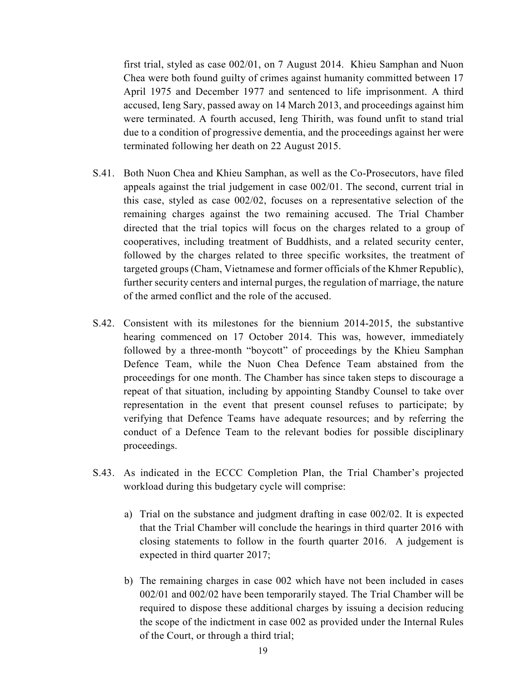first trial, styled as case 002/01, on 7 August 2014. Khieu Samphan and Nuon Chea were both found guilty of crimes against humanity committed between 17 April 1975 and December 1977 and sentenced to life imprisonment. A third accused, Ieng Sary, passed away on 14 March 2013, and proceedings against him were terminated. A fourth accused, Ieng Thirith, was found unfit to stand trial due to a condition of progressive dementia, and the proceedings against her were terminated following her death on 22 August 2015.

- S.41. Both Nuon Chea and Khieu Samphan, as well as the Co-Prosecutors, have filed appeals against the trial judgement in case 002/01. The second, current trial in this case, styled as case 002/02, focuses on a representative selection of the remaining charges against the two remaining accused. The Trial Chamber directed that the trial topics will focus on the charges related to a group of cooperatives, including treatment of Buddhists, and a related security center, followed by the charges related to three specific worksites, the treatment of targeted groups (Cham, Vietnamese and former officials of the Khmer Republic), further security centers and internal purges, the regulation of marriage, the nature of the armed conflict and the role of the accused.
- S.42. Consistent with its milestones for the biennium 2014-2015, the substantive hearing commenced on 17 October 2014. This was, however, immediately followed by a three-month "boycott" of proceedings by the Khieu Samphan Defence Team, while the Nuon Chea Defence Team abstained from the proceedings for one month. The Chamber has since taken steps to discourage a repeat of that situation, including by appointing Standby Counsel to take over representation in the event that present counsel refuses to participate; by verifying that Defence Teams have adequate resources; and by referring the conduct of a Defence Team to the relevant bodies for possible disciplinary proceedings.
- S.43. As indicated in the ECCC Completion Plan, the Trial Chamber's projected workload during this budgetary cycle will comprise:
	- a) Trial on the substance and judgment drafting in case 002/02. It is expected that the Trial Chamber will conclude the hearings in third quarter 2016 with closing statements to follow in the fourth quarter 2016. A judgement is expected in third quarter 2017;
	- b) The remaining charges in case 002 which have not been included in cases 002/01 and 002/02 have been temporarily stayed. The Trial Chamber will be required to dispose these additional charges by issuing a decision reducing the scope of the indictment in case 002 as provided under the Internal Rules of the Court, or through a third trial;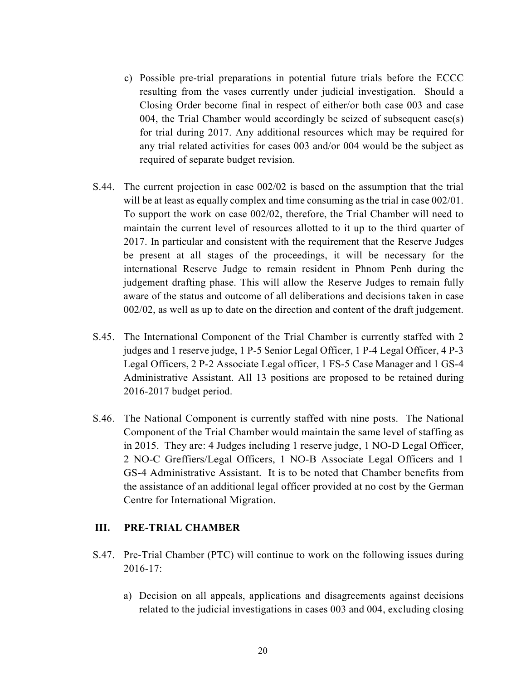- c) Possible pre-trial preparations in potential future trials before the ECCC resulting from the vases currently under judicial investigation. Should a Closing Order become final in respect of either/or both case 003 and case 004, the Trial Chamber would accordingly be seized of subsequent case(s) for trial during 2017. Any additional resources which may be required for any trial related activities for cases 003 and/or 004 would be the subject as required of separate budget revision.
- S.44. The current projection in case 002/02 is based on the assumption that the trial will be at least as equally complex and time consuming as the trial in case  $002/01$ . To support the work on case 002/02, therefore, the Trial Chamber will need to maintain the current level of resources allotted to it up to the third quarter of 2017. In particular and consistent with the requirement that the Reserve Judges be present at all stages of the proceedings, it will be necessary for the international Reserve Judge to remain resident in Phnom Penh during the judgement drafting phase. This will allow the Reserve Judges to remain fully aware of the status and outcome of all deliberations and decisions taken in case 002/02, as well as up to date on the direction and content of the draft judgement.
- S.45. The International Component of the Trial Chamber is currently staffed with 2 judges and 1 reserve judge, 1 P-5 Senior Legal Officer, 1 P-4 Legal Officer, 4 P-3 Legal Officers, 2 P-2 Associate Legal officer, 1 FS-5 Case Manager and 1 GS-4 Administrative Assistant. All 13 positions are proposed to be retained during 2016-2017 budget period.
- S.46. The National Component is currently staffed with nine posts. The National Component of the Trial Chamber would maintain the same level of staffing as in 2015. They are: 4 Judges including 1 reserve judge, 1 NO-D Legal Officer, 2 NO-C Greffiers/Legal Officers, 1 NO-B Associate Legal Officers and 1 GS-4 Administrative Assistant. It is to be noted that Chamber benefits from the assistance of an additional legal officer provided at no cost by the German Centre for International Migration.

#### **III. PRE-TRIAL CHAMBER**

- S.47. Pre-Trial Chamber (PTC) will continue to work on the following issues during 2016-17:
	- a) Decision on all appeals, applications and disagreements against decisions related to the judicial investigations in cases 003 and 004, excluding closing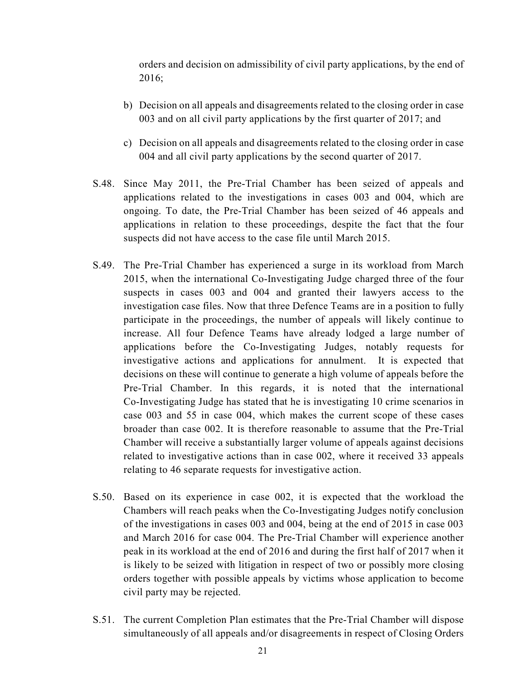orders and decision on admissibility of civil party applications, by the end of 2016;

- b) Decision on all appeals and disagreements related to the closing order in case 003 and on all civil party applications by the first quarter of 2017; and
- c) Decision on all appeals and disagreements related to the closing order in case 004 and all civil party applications by the second quarter of 2017.
- S.48. Since May 2011, the Pre-Trial Chamber has been seized of appeals and applications related to the investigations in cases 003 and 004, which are ongoing. To date, the Pre-Trial Chamber has been seized of 46 appeals and applications in relation to these proceedings, despite the fact that the four suspects did not have access to the case file until March 2015.
- S.49. The Pre-Trial Chamber has experienced a surge in its workload from March 2015, when the international Co-Investigating Judge charged three of the four suspects in cases 003 and 004 and granted their lawyers access to the investigation case files. Now that three Defence Teams are in a position to fully participate in the proceedings, the number of appeals will likely continue to increase. All four Defence Teams have already lodged a large number of applications before the Co-Investigating Judges, notably requests for investigative actions and applications for annulment. It is expected that decisions on these will continue to generate a high volume of appeals before the Pre-Trial Chamber. In this regards, it is noted that the international Co-Investigating Judge has stated that he is investigating 10 crime scenarios in case 003 and 55 in case 004, which makes the current scope of these cases broader than case 002. It is therefore reasonable to assume that the Pre-Trial Chamber will receive a substantially larger volume of appeals against decisions related to investigative actions than in case 002, where it received 33 appeals relating to 46 separate requests for investigative action.
- S.50. Based on its experience in case 002, it is expected that the workload the Chambers will reach peaks when the Co-Investigating Judges notify conclusion of the investigations in cases 003 and 004, being at the end of 2015 in case 003 and March 2016 for case 004. The Pre-Trial Chamber will experience another peak in its workload at the end of 2016 and during the first half of 2017 when it is likely to be seized with litigation in respect of two or possibly more closing orders together with possible appeals by victims whose application to become civil party may be rejected.
- S.51. The current Completion Plan estimates that the Pre-Trial Chamber will dispose simultaneously of all appeals and/or disagreements in respect of Closing Orders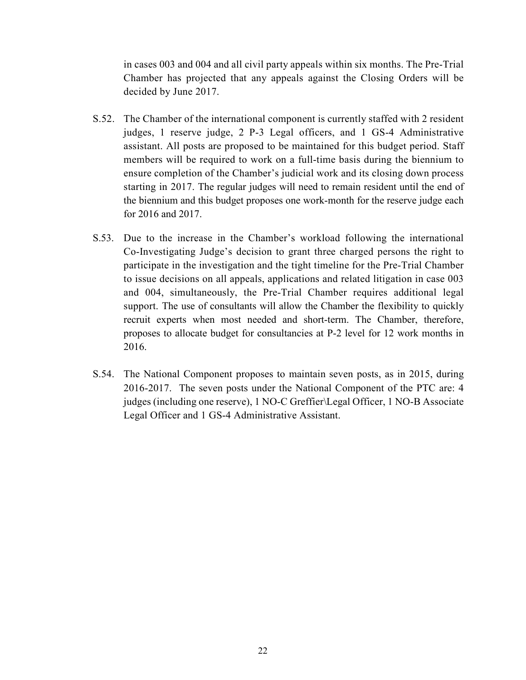in cases 003 and 004 and all civil party appeals within six months. The Pre-Trial Chamber has projected that any appeals against the Closing Orders will be decided by June 2017.

- S.52. The Chamber of the international component is currently staffed with 2 resident judges, 1 reserve judge, 2 P-3 Legal officers, and 1 GS-4 Administrative assistant. All posts are proposed to be maintained for this budget period. Staff members will be required to work on a full-time basis during the biennium to ensure completion of the Chamber's judicial work and its closing down process starting in 2017. The regular judges will need to remain resident until the end of the biennium and this budget proposes one work-month for the reserve judge each for 2016 and 2017.
- S.53. Due to the increase in the Chamber's workload following the international Co-Investigating Judge's decision to grant three charged persons the right to participate in the investigation and the tight timeline for the Pre-Trial Chamber to issue decisions on all appeals, applications and related litigation in case 003 and 004, simultaneously, the Pre-Trial Chamber requires additional legal support. The use of consultants will allow the Chamber the flexibility to quickly recruit experts when most needed and short-term. The Chamber, therefore, proposes to allocate budget for consultancies at P-2 level for 12 work months in 2016.
- S.54. The National Component proposes to maintain seven posts, as in 2015, during 2016-2017. The seven posts under the National Component of the PTC are: 4 judges (including one reserve), 1 NO-C Greffier\Legal Officer, 1 NO-B Associate Legal Officer and 1 GS-4 Administrative Assistant.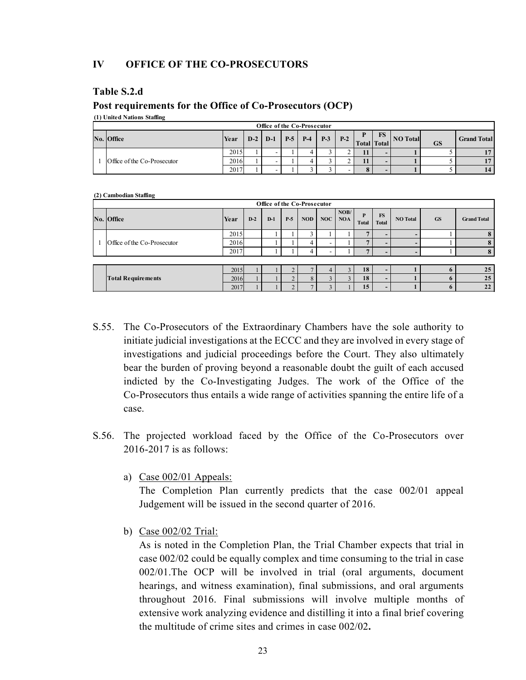#### **IV OFFICE OF THE CO-PROSECUTORS**

#### **Table S.2.d**

#### **Post requirements for the Office of Co-Prosecutors (OCP)**

**(1) United Nations Staffing** 

|  | Office of the Co-Prosecutor |      |       |       |       |       |       |  |  |    |                      |           |                    |  |
|--|-----------------------------|------|-------|-------|-------|-------|-------|--|--|----|----------------------|-----------|--------------------|--|
|  | No. Office                  | Year | $D-2$ | $D-1$ | $P-5$ | $P-4$ | $P-3$ |  |  | FS | Total Total NO Total | <b>GS</b> | <b>Grand Total</b> |  |
|  |                             |      | 2015  |       | -     |       |       |  |  |    |                      |           |                    |  |
|  | Office of the Co-Prosecutor | 2016 |       |       |       |       |       |  |  |    |                      |           | 17                 |  |
|  |                             | 2017 |       |       |       |       |       |  |  |    |                      |           | 14                 |  |

#### **(2) Cambodian Staffing**

| Office of the Co-Prosecutor |      |       |       |       |            |     |                    |            |                           |                          |             |                    |
|-----------------------------|------|-------|-------|-------|------------|-----|--------------------|------------|---------------------------|--------------------------|-------------|--------------------|
| No. Office                  | Year | $D-2$ | $D-1$ | $P-5$ | <b>NOD</b> | NOC | NOB/<br><b>NOA</b> | P<br>Total | <b>FS</b><br><b>Total</b> | <b>NO</b> Total          | <b>GS</b>   | <b>Grand Total</b> |
|                             | 2015 |       |       |       |            |     |                    |            | $\overline{\phantom{0}}$  |                          |             |                    |
| Office of the Co-Prosecutor | 2016 |       |       |       | 4          |     |                    |            | -                         |                          |             | $\mathbf{a}$       |
|                             | 2017 |       |       |       | 4          |     |                    |            | $\overline{\phantom{0}}$  | $\overline{\phantom{0}}$ |             |                    |
|                             |      |       |       |       |            |     |                    |            |                           |                          |             |                    |
|                             | 2015 |       |       |       |            | 4   |                    | 18         | $\overline{\phantom{0}}$  |                          |             | 25                 |
| <b>Total Requirements</b>   | 2016 |       |       |       |            |     |                    | 18         | $\overline{\phantom{0}}$  |                          |             | 25                 |
|                             | 2017 |       |       |       |            |     |                    | 15         | $\overline{\phantom{a}}$  |                          | $\mathbf o$ | 22                 |

- S.55. The Co-Prosecutors of the Extraordinary Chambers have the sole authority to initiate judicial investigations at the ECCC and they are involved in every stage of investigations and judicial proceedings before the Court. They also ultimately bear the burden of proving beyond a reasonable doubt the guilt of each accused indicted by the Co-Investigating Judges. The work of the Office of the Co-Prosecutors thus entails a wide range of activities spanning the entire life of a case.
- S.56. The projected workload faced by the Office of the Co-Prosecutors over 2016-2017 is as follows:
	- a) Case 002/01 Appeals:

 The Completion Plan currently predicts that the case 002/01 appeal Judgement will be issued in the second quarter of 2016.

b) Case 002/02 Trial:

 As is noted in the Completion Plan, the Trial Chamber expects that trial in case 002/02 could be equally complex and time consuming to the trial in case 002/01.The OCP will be involved in trial (oral arguments, document hearings, and witness examination), final submissions, and oral arguments throughout 2016. Final submissions will involve multiple months of extensive work analyzing evidence and distilling it into a final brief covering the multitude of crime sites and crimes in case 002/02**.**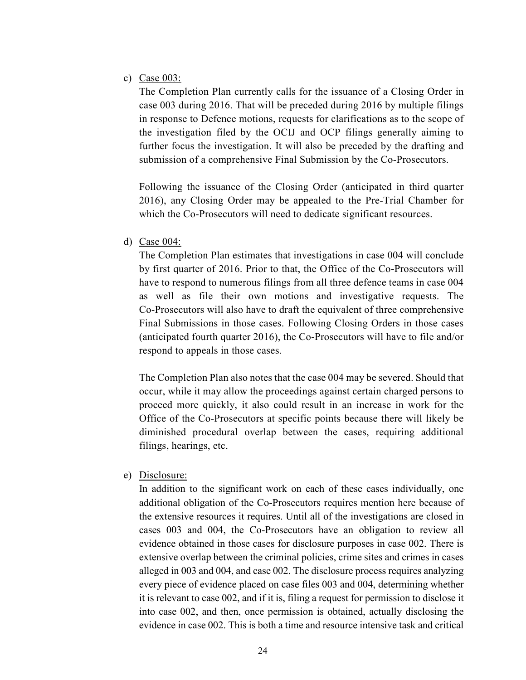## c) Case 003:

 The Completion Plan currently calls for the issuance of a Closing Order in case 003 during 2016. That will be preceded during 2016 by multiple filings in response to Defence motions, requests for clarifications as to the scope of the investigation filed by the OCIJ and OCP filings generally aiming to further focus the investigation. It will also be preceded by the drafting and submission of a comprehensive Final Submission by the Co-Prosecutors.

 Following the issuance of the Closing Order (anticipated in third quarter 2016), any Closing Order may be appealed to the Pre-Trial Chamber for which the Co-Prosecutors will need to dedicate significant resources.

#### d) Case 004:

 The Completion Plan estimates that investigations in case 004 will conclude by first quarter of 2016. Prior to that, the Office of the Co-Prosecutors will have to respond to numerous filings from all three defence teams in case 004 as well as file their own motions and investigative requests. The Co-Prosecutors will also have to draft the equivalent of three comprehensive Final Submissions in those cases. Following Closing Orders in those cases (anticipated fourth quarter 2016), the Co-Prosecutors will have to file and/or respond to appeals in those cases.

 The Completion Plan also notes that the case 004 may be severed. Should that occur, while it may allow the proceedings against certain charged persons to proceed more quickly, it also could result in an increase in work for the Office of the Co-Prosecutors at specific points because there will likely be diminished procedural overlap between the cases, requiring additional filings, hearings, etc.

#### e) Disclosure:

 In addition to the significant work on each of these cases individually, one additional obligation of the Co-Prosecutors requires mention here because of the extensive resources it requires. Until all of the investigations are closed in cases 003 and 004, the Co-Prosecutors have an obligation to review all evidence obtained in those cases for disclosure purposes in case 002. There is extensive overlap between the criminal policies, crime sites and crimes in cases alleged in 003 and 004, and case 002. The disclosure process requires analyzing every piece of evidence placed on case files 003 and 004, determining whether it is relevant to case 002, and if it is, filing a request for permission to disclose it into case 002, and then, once permission is obtained, actually disclosing the evidence in case 002. This is both a time and resource intensive task and critical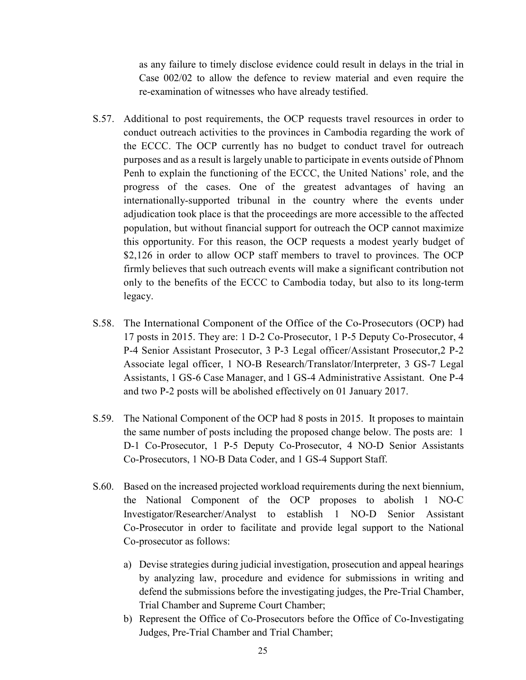as any failure to timely disclose evidence could result in delays in the trial in Case 002/02 to allow the defence to review material and even require the re-examination of witnesses who have already testified.

- S.57. Additional to post requirements, the OCP requests travel resources in order to conduct outreach activities to the provinces in Cambodia regarding the work of the ECCC. The OCP currently has no budget to conduct travel for outreach purposes and as a result is largely unable to participate in events outside of Phnom Penh to explain the functioning of the ECCC, the United Nations' role, and the progress of the cases. One of the greatest advantages of having an internationally-supported tribunal in the country where the events under adjudication took place is that the proceedings are more accessible to the affected population, but without financial support for outreach the OCP cannot maximize this opportunity. For this reason, the OCP requests a modest yearly budget of \$2,126 in order to allow OCP staff members to travel to provinces. The OCP firmly believes that such outreach events will make a significant contribution not only to the benefits of the ECCC to Cambodia today, but also to its long-term legacy.
- S.58. The International Component of the Office of the Co-Prosecutors (OCP) had 17 posts in 2015. They are: 1 D-2 Co-Prosecutor, 1 P-5 Deputy Co-Prosecutor, 4 P-4 Senior Assistant Prosecutor, 3 P-3 Legal officer/Assistant Prosecutor,2 P-2 Associate legal officer, 1 NO-B Research/Translator/Interpreter, 3 GS-7 Legal Assistants, 1 GS-6 Case Manager, and 1 GS-4 Administrative Assistant. One P-4 and two P-2 posts will be abolished effectively on 01 January 2017.
- S.59. The National Component of the OCP had 8 posts in 2015. It proposes to maintain the same number of posts including the proposed change below. The posts are: 1 D-1 Co-Prosecutor, 1 P-5 Deputy Co-Prosecutor, 4 NO-D Senior Assistants Co-Prosecutors, 1 NO-B Data Coder, and 1 GS-4 Support Staff.
- S.60. Based on the increased projected workload requirements during the next biennium, the National Component of the OCP proposes to abolish 1 NO-C Investigator/Researcher/Analyst to establish 1 NO-D Senior Assistant Co-Prosecutor in order to facilitate and provide legal support to the National Co-prosecutor as follows:
	- a) Devise strategies during judicial investigation, prosecution and appeal hearings by analyzing law, procedure and evidence for submissions in writing and defend the submissions before the investigating judges, the Pre-Trial Chamber, Trial Chamber and Supreme Court Chamber;
	- b) Represent the Office of Co-Prosecutors before the Office of Co-Investigating Judges, Pre-Trial Chamber and Trial Chamber;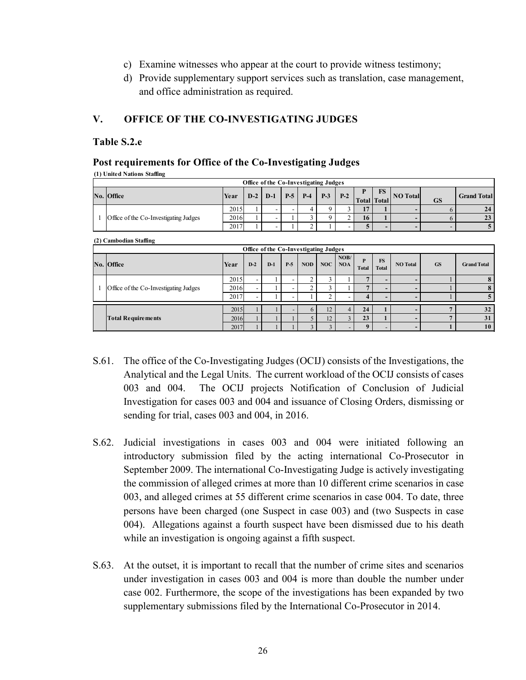- c) Examine witnesses who appear at the court to provide witness testimony;
- d) Provide supplementary support services such as translation, case management, and office administration as required.

## **V. OFFICE OF THE CO-INVESTIGATING JUDGES**

#### **Table S.2.e**

#### **Post requirements for Office of the Co-Investigating Judges**

|  | (1) United Nations Staffing |  |
|--|-----------------------------|--|
|  |                             |  |

|   | Office of the Co-Investigating Judges |      |                          |                          |                          |                |                |                    |                              |                            |                          |                          |                    |
|---|---------------------------------------|------|--------------------------|--------------------------|--------------------------|----------------|----------------|--------------------|------------------------------|----------------------------|--------------------------|--------------------------|--------------------|
|   | No. Office                            | Year | $D-2$                    | $D-1$                    | $P-5$                    | $P-4$          | $P-3$          | $P-2$              | P                            | <b>FS</b><br>Total   Total | <b>NO</b> Total          | <b>GS</b>                | <b>Grand Total</b> |
|   |                                       | 2015 |                          | $\overline{\phantom{a}}$ | $\overline{\phantom{a}}$ | 4              | 9              | 3                  | 17                           |                            | $\overline{\phantom{0}}$ | 6                        | 24                 |
| 1 | Office of the Co-Investigating Judges | 2016 |                          | $\overline{\phantom{0}}$ |                          | 3              | 9              | $\overline{2}$     | 16                           |                            | $\overline{\phantom{0}}$ | 6                        | 23                 |
|   |                                       | 2017 |                          | $\overline{\phantom{a}}$ |                          | $\overline{2}$ |                |                    | 5                            | $\overline{\phantom{0}}$   | $\overline{\phantom{a}}$ | $\overline{\phantom{a}}$ | $\overline{5}$     |
|   | (2) Cambodian Staffing                |      |                          |                          |                          |                |                |                    |                              |                            |                          |                          |                    |
|   | Office of the Co-Investigating Judges |      |                          |                          |                          |                |                |                    |                              |                            |                          |                          |                    |
|   | No. Office                            | Year | $D-2$                    | $D-1$                    | $P-5$                    | <b>NOD</b>     | <b>NOC</b>     | NOB/<br><b>NOA</b> | $\mathbf{P}$<br><b>Total</b> | <b>FS</b><br><b>Total</b>  | <b>NO</b> Total          | <b>GS</b>                | <b>Grand Total</b> |
|   |                                       | 2015 | $\overline{\phantom{a}}$ |                          |                          | $\overline{c}$ | 3              |                    | 7                            | $\overline{a}$             | $\overline{\phantom{a}}$ |                          | 8                  |
|   | Office of the Co-Investigating Judges | 2016 | $\overline{\phantom{a}}$ |                          |                          | $\overline{2}$ | 3              |                    | $\overline{7}$               | $\overline{a}$             | $\overline{\phantom{0}}$ |                          | 8                  |
|   |                                       | 2017 | $\overline{\phantom{a}}$ |                          |                          |                | $\overline{2}$ |                    | 4                            | $\overline{\phantom{0}}$   | $\overline{\phantom{a}}$ |                          |                    |
|   |                                       | 2015 |                          |                          |                          | 6              | 12             | $\overline{4}$     | 24                           |                            | ٠                        | 7                        | 32                 |
|   | <b>Total Requirements</b>             | 2016 |                          |                          |                          | 5              | 12             | $\overline{3}$     | 23                           |                            | $\overline{\phantom{a}}$ | 7                        | 31                 |
|   |                                       | 2017 |                          |                          |                          | $\mathbf{3}$   | $\overline{3}$ |                    | 9                            | $\overline{\phantom{0}}$   | $\overline{\phantom{0}}$ |                          | 10                 |

- S.61. The office of the Co-Investigating Judges (OCIJ) consists of the Investigations, the Analytical and the Legal Units. The current workload of the OCIJ consists of cases 003 and 004. The OCIJ projects Notification of Conclusion of Judicial Investigation for cases 003 and 004 and issuance of Closing Orders, dismissing or sending for trial, cases 003 and 004, in 2016.
- S.62. Judicial investigations in cases 003 and 004 were initiated following an introductory submission filed by the acting international Co-Prosecutor in September 2009. The international Co-Investigating Judge is actively investigating the commission of alleged crimes at more than 10 different crime scenarios in case 003, and alleged crimes at 55 different crime scenarios in case 004. To date, three persons have been charged (one Suspect in case 003) and (two Suspects in case 004). Allegations against a fourth suspect have been dismissed due to his death while an investigation is ongoing against a fifth suspect.
- S.63. At the outset, it is important to recall that the number of crime sites and scenarios under investigation in cases 003 and 004 is more than double the number under case 002. Furthermore, the scope of the investigations has been expanded by two supplementary submissions filed by the International Co-Prosecutor in 2014.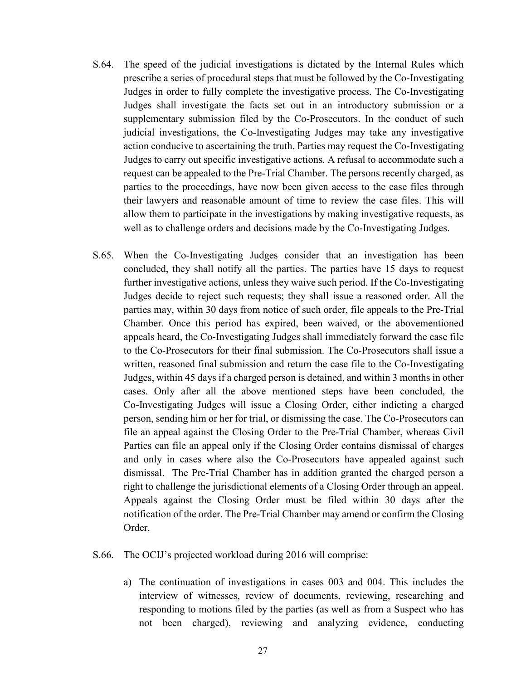- S.64. The speed of the judicial investigations is dictated by the Internal Rules which prescribe a series of procedural steps that must be followed by the Co-Investigating Judges in order to fully complete the investigative process. The Co-Investigating Judges shall investigate the facts set out in an introductory submission or a supplementary submission filed by the Co-Prosecutors. In the conduct of such judicial investigations, the Co-Investigating Judges may take any investigative action conducive to ascertaining the truth. Parties may request the Co-Investigating Judges to carry out specific investigative actions. A refusal to accommodate such a request can be appealed to the Pre-Trial Chamber. The persons recently charged, as parties to the proceedings, have now been given access to the case files through their lawyers and reasonable amount of time to review the case files. This will allow them to participate in the investigations by making investigative requests, as well as to challenge orders and decisions made by the Co-Investigating Judges.
- S.65. When the Co-Investigating Judges consider that an investigation has been concluded, they shall notify all the parties. The parties have 15 days to request further investigative actions, unless they waive such period. If the Co-Investigating Judges decide to reject such requests; they shall issue a reasoned order. All the parties may, within 30 days from notice of such order, file appeals to the Pre-Trial Chamber. Once this period has expired, been waived, or the abovementioned appeals heard, the Co-Investigating Judges shall immediately forward the case file to the Co-Prosecutors for their final submission. The Co-Prosecutors shall issue a written, reasoned final submission and return the case file to the Co-Investigating Judges, within 45 days if a charged person is detained, and within 3 months in other cases. Only after all the above mentioned steps have been concluded, the Co-Investigating Judges will issue a Closing Order, either indicting a charged person, sending him or her for trial, or dismissing the case. The Co-Prosecutors can file an appeal against the Closing Order to the Pre-Trial Chamber, whereas Civil Parties can file an appeal only if the Closing Order contains dismissal of charges and only in cases where also the Co-Prosecutors have appealed against such dismissal. The Pre-Trial Chamber has in addition granted the charged person a right to challenge the jurisdictional elements of a Closing Order through an appeal. Appeals against the Closing Order must be filed within 30 days after the notification of the order. The Pre-Trial Chamber may amend or confirm the Closing Order.
- S.66. The OCIJ's projected workload during 2016 will comprise:
	- a) The continuation of investigations in cases 003 and 004. This includes the interview of witnesses, review of documents, reviewing, researching and responding to motions filed by the parties (as well as from a Suspect who has not been charged), reviewing and analyzing evidence, conducting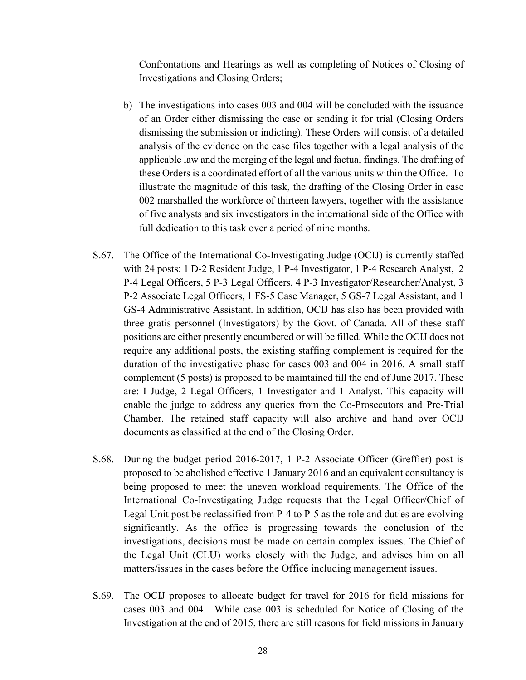Confrontations and Hearings as well as completing of Notices of Closing of Investigations and Closing Orders;

- b) The investigations into cases 003 and 004 will be concluded with the issuance of an Order either dismissing the case or sending it for trial (Closing Orders dismissing the submission or indicting). These Orders will consist of a detailed analysis of the evidence on the case files together with a legal analysis of the applicable law and the merging of the legal and factual findings. The drafting of these Orders is a coordinated effort of all the various units within the Office. To illustrate the magnitude of this task, the drafting of the Closing Order in case 002 marshalled the workforce of thirteen lawyers, together with the assistance of five analysts and six investigators in the international side of the Office with full dedication to this task over a period of nine months.
- S.67. The Office of the International Co-Investigating Judge (OCIJ) is currently staffed with 24 posts: 1 D-2 Resident Judge, 1 P-4 Investigator, 1 P-4 Research Analyst, 2 P-4 Legal Officers, 5 P-3 Legal Officers, 4 P-3 Investigator/Researcher/Analyst, 3 P-2 Associate Legal Officers, 1 FS-5 Case Manager, 5 GS-7 Legal Assistant, and 1 GS-4 Administrative Assistant. In addition, OCIJ has also has been provided with three gratis personnel (Investigators) by the Govt. of Canada. All of these staff positions are either presently encumbered or will be filled. While the OCIJ does not require any additional posts, the existing staffing complement is required for the duration of the investigative phase for cases 003 and 004 in 2016. A small staff complement (5 posts) is proposed to be maintained till the end of June 2017. These are: I Judge, 2 Legal Officers, 1 Investigator and 1 Analyst. This capacity will enable the judge to address any queries from the Co-Prosecutors and Pre-Trial Chamber. The retained staff capacity will also archive and hand over OCIJ documents as classified at the end of the Closing Order.
- S.68. During the budget period 2016-2017, 1 P-2 Associate Officer (Greffier) post is proposed to be abolished effective 1 January 2016 and an equivalent consultancy is being proposed to meet the uneven workload requirements. The Office of the International Co-Investigating Judge requests that the Legal Officer/Chief of Legal Unit post be reclassified from P-4 to P-5 as the role and duties are evolving significantly. As the office is progressing towards the conclusion of the investigations, decisions must be made on certain complex issues. The Chief of the Legal Unit (CLU) works closely with the Judge, and advises him on all matters/issues in the cases before the Office including management issues.
- S.69. The OCIJ proposes to allocate budget for travel for 2016 for field missions for cases 003 and 004. While case 003 is scheduled for Notice of Closing of the Investigation at the end of 2015, there are still reasons for field missions in January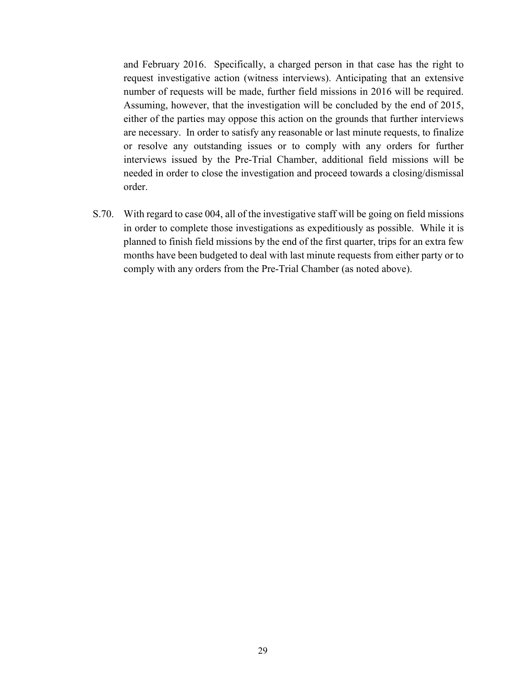and February 2016. Specifically, a charged person in that case has the right to request investigative action (witness interviews). Anticipating that an extensive number of requests will be made, further field missions in 2016 will be required. Assuming, however, that the investigation will be concluded by the end of 2015, either of the parties may oppose this action on the grounds that further interviews are necessary. In order to satisfy any reasonable or last minute requests, to finalize or resolve any outstanding issues or to comply with any orders for further interviews issued by the Pre-Trial Chamber, additional field missions will be needed in order to close the investigation and proceed towards a closing/dismissal order.

S.70. With regard to case 004, all of the investigative staff will be going on field missions in order to complete those investigations as expeditiously as possible. While it is planned to finish field missions by the end of the first quarter, trips for an extra few months have been budgeted to deal with last minute requests from either party or to comply with any orders from the Pre-Trial Chamber (as noted above).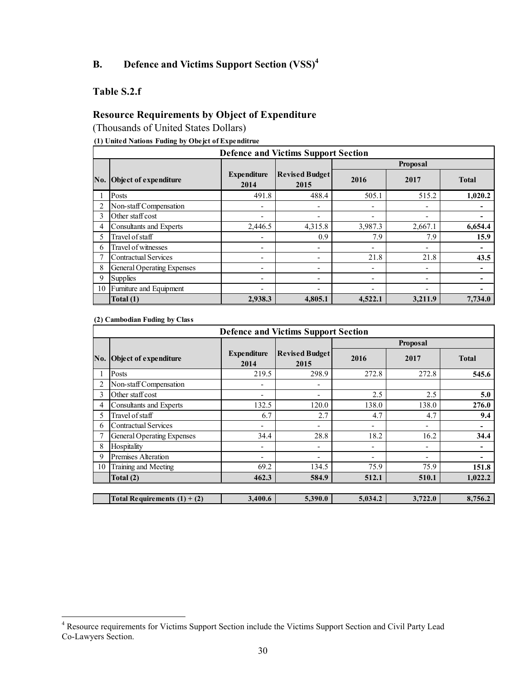# **B. Defence and Victims Support Section (VSS)<sup>4</sup>**

## **Table S.2.f**

## **Resource Requirements by Object of Expenditure**

(Thousands of United States Dollars)

#### **(1) United Nations Fuding by Obejct of Expenditrue**

|     | <b>Defence and Victims Support Section</b> |                            |                               |                          |                          |              |  |  |  |  |  |  |
|-----|--------------------------------------------|----------------------------|-------------------------------|--------------------------|--------------------------|--------------|--|--|--|--|--|--|
|     |                                            |                            |                               |                          | <b>Proposal</b>          |              |  |  |  |  |  |  |
| No. | Object of expenditure                      | <b>Expenditure</b><br>2014 | <b>Revised Budget</b><br>2015 | 2016                     | 2017                     | <b>Total</b> |  |  |  |  |  |  |
|     | Posts                                      | 491.8                      | 488.4                         | 505.1                    | 515.2                    | 1,020.2      |  |  |  |  |  |  |
|     | Non-staff Compensation                     |                            |                               | $\overline{\phantom{a}}$ |                          |              |  |  |  |  |  |  |
| 3   | Other staff cost                           | $\blacksquare$             | ٠                             | $\overline{\phantom{a}}$ | ٠                        |              |  |  |  |  |  |  |
| 4   | <b>Consultants and Experts</b>             | 2,446.5                    | 4,315.8                       | 3,987.3                  | 2,667.1                  | 6,654.4      |  |  |  |  |  |  |
| 5   | Travel of staff                            | $\blacksquare$             | 0.9                           | 7.9                      | 7.9                      | 15.9         |  |  |  |  |  |  |
| 6   | Travel of witnesses                        | $\overline{a}$             | $\overline{\phantom{a}}$      | $\overline{\phantom{a}}$ | ۰                        |              |  |  |  |  |  |  |
|     | <b>Contractual Services</b>                | $\overline{a}$             | -                             | 21.8                     | 21.8                     | 43.5         |  |  |  |  |  |  |
| 8   | General Operating Expenses                 | $\blacksquare$             | ٠                             | $\overline{\phantom{a}}$ | ۰                        |              |  |  |  |  |  |  |
| 9   | <b>Supplies</b>                            | $\overline{ }$             | -                             | $\overline{\phantom{a}}$ |                          |              |  |  |  |  |  |  |
| 10  | Furniture and Equipment                    | $\blacksquare$             | ٠                             | $\overline{\phantom{a}}$ | $\overline{\phantom{0}}$ |              |  |  |  |  |  |  |
|     | Total (1)                                  | 2,938.3                    | 4,805.1                       | 4,522.1                  | 3,211.9                  | 7.734.0      |  |  |  |  |  |  |

**(2) Cambodian Fuding by Class**

|     | <b>Defence and Victims Support Section</b> |                            |                               |                          |                          |                |  |  |  |  |  |
|-----|--------------------------------------------|----------------------------|-------------------------------|--------------------------|--------------------------|----------------|--|--|--|--|--|
|     |                                            |                            |                               |                          | <b>Proposal</b>          |                |  |  |  |  |  |
| No. | Object of expenditure                      | <b>Expenditure</b><br>2014 | <b>Revised Budget</b><br>2015 | 2016                     | 2017                     | <b>Total</b>   |  |  |  |  |  |
|     | Posts                                      | 219.5                      | 298.9                         | 272.8                    | 272.8                    | 545.6          |  |  |  |  |  |
|     | Non-staff Compensation                     |                            | $\overline{\phantom{a}}$      |                          |                          |                |  |  |  |  |  |
| 3   | Other staff cost                           |                            | $\overline{\phantom{a}}$      | 2.5                      | 2.5                      | 5.0            |  |  |  |  |  |
| 4   | Consultants and Experts                    | 132.5                      | 120.0                         | 138.0                    | 138.0                    | 276.0          |  |  |  |  |  |
| 5   | Travel of staff                            | 6.7                        | 2.7                           | 4.7                      | 4.7                      | 9.4            |  |  |  |  |  |
| 6   | <b>Contractual Services</b>                | $\overline{\phantom{a}}$   | $\overline{\phantom{a}}$      | $\overline{\phantom{a}}$ | $\overline{\phantom{a}}$ | $\blacksquare$ |  |  |  |  |  |
|     | <b>General Operating Expenses</b>          | 34.4                       | 28.8                          | 18.2                     | 16.2                     | 34.4           |  |  |  |  |  |
| 8   | Hospitality                                |                            | $\overline{\phantom{a}}$      | ٠                        | $\overline{\phantom{a}}$ | ٠              |  |  |  |  |  |
| 9   | Premises Alteration                        |                            | ٠                             | ٠                        | ۰                        | ٠              |  |  |  |  |  |
| 10  | Training and Meeting                       | 69.2                       | 134.5                         | 75.9                     | 75.9                     | 151.8          |  |  |  |  |  |
|     | Total (2)                                  | 462.3                      | 584.9                         | 512.1                    | 510.1                    | 1,022.2        |  |  |  |  |  |
|     |                                            |                            |                               |                          |                          |                |  |  |  |  |  |
|     | Total Requirements $(1) + (2)$             | 3,400.6                    | 5,390.0                       | 5,034.2                  | 3,722.0                  | 8,756.2        |  |  |  |  |  |

<sup>&</sup>lt;sup>4</sup> Resource requirements for Victims Support Section include the Victims Support Section and Civil Party Lead Co-Lawyers Section.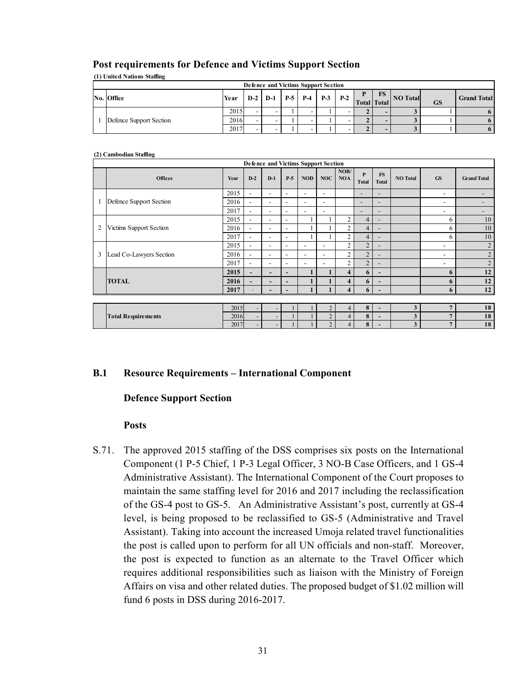| <b>Post requirements for Defence and Victims Support Section</b> |
|------------------------------------------------------------------|
|------------------------------------------------------------------|

| (1) United Nations Staffing         |      |  |           |       |       |       |       |  |    |                      |           |                    |
|-------------------------------------|------|--|-----------|-------|-------|-------|-------|--|----|----------------------|-----------|--------------------|
| Defence and Victims Support Section |      |  |           |       |       |       |       |  |    |                      |           |                    |
| No. Office                          | Year |  | $D-2$ D-1 | $P-5$ | $P-4$ | $P-3$ | $P-2$ |  | FS | Total Total NO Total | <b>GS</b> | <b>Grand Total</b> |
|                                     | 2015 |  | -         |       |       |       |       |  |    |                      |           |                    |
| Defence Support Section             | 2016 |  | -         |       |       |       |       |  |    |                      |           |                    |
|                                     | 2017 |  |           |       |       |       |       |  |    |                      |           | 6                  |

#### **(2) Cambodian Staffing**

|                | Defence and Victims Support Section |      |                          |                          |                          |                          |                          |                    |                              |                           |                 |                          |                    |
|----------------|-------------------------------------|------|--------------------------|--------------------------|--------------------------|--------------------------|--------------------------|--------------------|------------------------------|---------------------------|-----------------|--------------------------|--------------------|
|                | <b>Offices</b>                      | Year | $D-2$                    | $D-1$                    | $P-5$                    | <b>NOD</b>               | NOC                      | NOB/<br><b>NOA</b> | $\mathbf{P}$<br><b>Total</b> | <b>FS</b><br><b>Total</b> | <b>NO</b> Total | <b>GS</b>                | <b>Grand Total</b> |
|                |                                     | 2015 | $\overline{\phantom{a}}$ | $\blacksquare$           | $\overline{\phantom{a}}$ | $\overline{\phantom{a}}$ | $\overline{\phantom{0}}$ |                    | $\overline{\phantom{0}}$     | $\overline{\phantom{0}}$  |                 | $\overline{\phantom{a}}$ | -                  |
| $\mathbf{1}$   | Defence Support Section             | 2016 | $\overline{\phantom{a}}$ | $\overline{\phantom{a}}$ | $\overline{\phantom{a}}$ | $\overline{\phantom{a}}$ | $\overline{\phantom{0}}$ |                    | $\overline{\phantom{0}}$     | $\overline{\phantom{0}}$  |                 | -                        | -                  |
|                |                                     | 2017 | $\overline{\phantom{a}}$ | $\overline{\phantom{a}}$ | $\blacksquare$           | ۰                        | $\overline{\phantom{0}}$ |                    | $\overline{\phantom{0}}$     | $\overline{\phantom{0}}$  |                 | -                        | -                  |
|                |                                     | 2015 | $\overline{\phantom{a}}$ | $\overline{\phantom{a}}$ | $\overline{\phantom{a}}$ |                          |                          | $\overline{2}$     | 4                            | $\overline{\phantom{0}}$  |                 | 6                        | 10                 |
| $\overline{2}$ | Victims Support Section             | 2016 | $\overline{\phantom{a}}$ | $\blacksquare$           | $\overline{\phantom{a}}$ |                          |                          | $\overline{2}$     | 4                            | $\overline{\phantom{0}}$  |                 | 6                        | 10                 |
|                |                                     | 2017 | $\overline{\phantom{a}}$ | $\blacksquare$           | $\overline{\phantom{a}}$ |                          |                          | $\overline{2}$     | 4                            | $\overline{\phantom{0}}$  |                 | 6                        | 10                 |
|                |                                     | 2015 | $\overline{\phantom{a}}$ | $\overline{\phantom{0}}$ | $\overline{\phantom{a}}$ | $\overline{\phantom{a}}$ | $\overline{\phantom{0}}$ | $\overline{2}$     | $\overline{2}$               | $\overline{\phantom{0}}$  |                 | ٠                        | $\overline{2}$     |
| 3              | Lead Co-Lawyers Section             | 2016 | $\overline{\phantom{a}}$ | ۰.                       | $\overline{\phantom{a}}$ | $\overline{\phantom{a}}$ | $\overline{\phantom{0}}$ | $\overline{2}$     | $\overline{2}$               | $\overline{\phantom{a}}$  |                 | $\overline{\phantom{a}}$ | $\overline{2}$     |
|                |                                     | 2017 | $\overline{\phantom{a}}$ | $\overline{\phantom{a}}$ | $\overline{\phantom{a}}$ | $\overline{\phantom{a}}$ | $\overline{\phantom{0}}$ | $\overline{2}$     | $\overline{2}$               | $\qquad \qquad$           |                 | $\overline{\phantom{a}}$ | $\overline{2}$     |
|                |                                     | 2015 | $\overline{\phantom{a}}$ | $\overline{\phantom{a}}$ | $\overline{\phantom{a}}$ |                          |                          | $\overline{4}$     | 6                            | $\overline{\phantom{a}}$  |                 | 6                        | 12                 |
|                | <b>TOTAL</b>                        | 2016 | $\overline{\phantom{a}}$ | $\overline{\phantom{0}}$ | $\overline{\phantom{a}}$ |                          |                          | $\overline{4}$     | 6                            | -                         |                 | 6                        | 12                 |
|                |                                     | 2017 | $\sim$                   | $\overline{\phantom{a}}$ | $\overline{\phantom{a}}$ |                          |                          | $\overline{4}$     | 6                            | $\overline{\phantom{a}}$  |                 | 6                        | 12                 |
|                |                                     |      |                          |                          |                          |                          |                          |                    |                              |                           |                 |                          |                    |
|                |                                     | 2015 |                          | $\overline{\phantom{0}}$ |                          |                          | $\overline{2}$           | $\overline{4}$     | 8                            | $\overline{\phantom{a}}$  | 3               | $\overline{7}$           | 18                 |
|                | <b>Total Requirements</b>           | 2016 | $\overline{\phantom{a}}$ | $\overline{\phantom{a}}$ |                          |                          | $\overline{2}$           | $\overline{4}$     | 8                            | $\overline{a}$            | 3               | $\overline{7}$           | 18                 |
|                |                                     | 2017 | $\overline{\phantom{a}}$ | $\overline{\phantom{a}}$ |                          |                          | $\overline{2}$           | 4                  | 8                            | $\overline{\phantom{0}}$  | 3               | 7                        | 18                 |

#### **B.1 Resource Requirements – International Component**

#### **Defence Support Section**

#### **Posts**

S.71. The approved 2015 staffing of the DSS comprises six posts on the International Component (1 P-5 Chief, 1 P-3 Legal Officer, 3 NO-B Case Officers, and 1 GS-4 Administrative Assistant). The International Component of the Court proposes to maintain the same staffing level for 2016 and 2017 including the reclassification of the GS-4 post to GS-5. An Administrative Assistant's post, currently at GS-4 level, is being proposed to be reclassified to GS-5 (Administrative and Travel Assistant). Taking into account the increased Umoja related travel functionalities the post is called upon to perform for all UN officials and non-staff. Moreover, the post is expected to function as an alternate to the Travel Officer which requires additional responsibilities such as liaison with the Ministry of Foreign Affairs on visa and other related duties. The proposed budget of \$1.02 million will fund 6 posts in DSS during 2016-2017.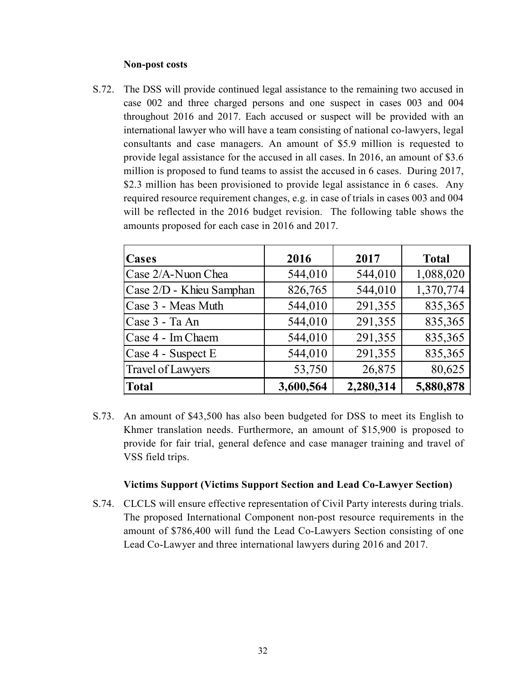#### **Non-post costs**

S.72. The DSS will provide continued legal assistance to the remaining two accused in case 002 and three charged persons and one suspect in cases 003 and 004 throughout 2016 and 2017. Each accused or suspect will be provided with an international lawyer who will have a team consisting of national co-lawyers, legal consultants and case managers. An amount of \$5.9 million is requested to provide legal assistance for the accused in all cases. In 2016, an amount of \$3.6 million is proposed to fund teams to assist the accused in 6 cases. During 2017, \$2.3 million has been provisioned to provide legal assistance in 6 cases. Any required resource requirement changes, e.g. in case of trials in cases 003 and 004 will be reflected in the 2016 budget revision. The following table shows the amounts proposed for each case in 2016 and 2017.

| Cases                    | 2016      | 2017      | <b>Total</b> |
|--------------------------|-----------|-----------|--------------|
| Case 2/A-Nuon Chea       | 544,010   | 544,010   | 1,088,020    |
| Case 2/D - Khieu Samphan | 826,765   | 544,010   | 1,370,774    |
| Case 3 - Meas Muth       | 544,010   | 291,355   | 835,365      |
| Case 3 - Ta An           | 544,010   | 291,355   | 835,365      |
| Case 4 - Im Chaem        | 544,010   | 291,355   | 835,365      |
| Case 4 - Suspect E       | 544,010   | 291,355   | 835,365      |
| <b>Travel of Lawyers</b> | 53,750    | 26,875    | 80,625       |
| <b>Total</b>             | 3,600,564 | 2,280,314 | 5,880,878    |

S.73. An amount of \$43,500 has also been budgeted for DSS to meet its English to Khmer translation needs. Furthermore, an amount of \$15,900 is proposed to provide for fair trial, general defence and case manager training and travel of VSS field trips.

#### **Victims Support (Victims Support Section and Lead Co-Lawyer Section)**

S.74. CLCLS will ensure effective representation of Civil Party interests during trials. The proposed International Component non-post resource requirements in the amount of \$786,400 will fund the Lead Co-Lawyers Section consisting of one Lead Co-Lawyer and three international lawyers during 2016 and 2017.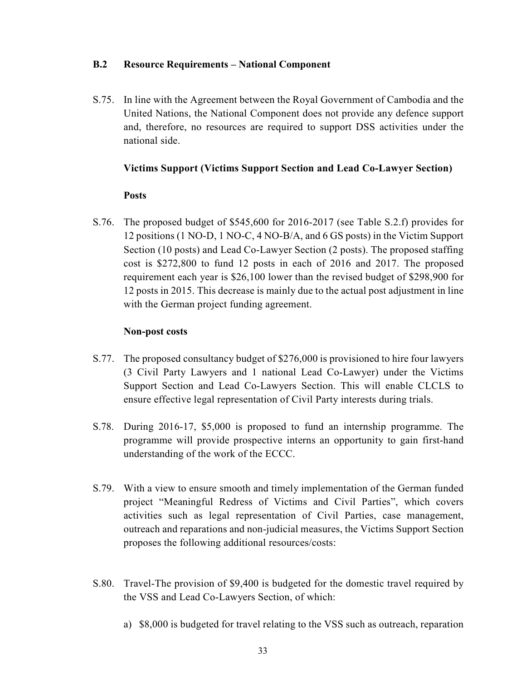## **B.2 Resource Requirements – National Component**

S.75. In line with the Agreement between the Royal Government of Cambodia and the United Nations, the National Component does not provide any defence support and, therefore, no resources are required to support DSS activities under the national side.

## **Victims Support (Victims Support Section and Lead Co-Lawyer Section)**

## **Posts**

S.76. The proposed budget of \$545,600 for 2016-2017 (see Table S.2.f) provides for 12 positions (1 NO-D, 1 NO-C, 4 NO-B/A, and 6 GS posts) in the Victim Support Section (10 posts) and Lead Co-Lawyer Section (2 posts). The proposed staffing cost is \$272,800 to fund 12 posts in each of 2016 and 2017. The proposed requirement each year is \$26,100 lower than the revised budget of \$298,900 for 12 posts in 2015. This decrease is mainly due to the actual post adjustment in line with the German project funding agreement.

## **Non-post costs**

- S.77. The proposed consultancy budget of \$276,000 is provisioned to hire four lawyers (3 Civil Party Lawyers and 1 national Lead Co-Lawyer) under the Victims Support Section and Lead Co-Lawyers Section. This will enable CLCLS to ensure effective legal representation of Civil Party interests during trials.
- S.78. During 2016-17, \$5,000 is proposed to fund an internship programme. The programme will provide prospective interns an opportunity to gain first-hand understanding of the work of the ECCC.
- S.79. With a view to ensure smooth and timely implementation of the German funded project "Meaningful Redress of Victims and Civil Parties", which covers activities such as legal representation of Civil Parties, case management, outreach and reparations and non-judicial measures, the Victims Support Section proposes the following additional resources/costs:
- S.80. Travel-The provision of \$9,400 is budgeted for the domestic travel required by the VSS and Lead Co-Lawyers Section, of which:
	- a) \$8,000 is budgeted for travel relating to the VSS such as outreach, reparation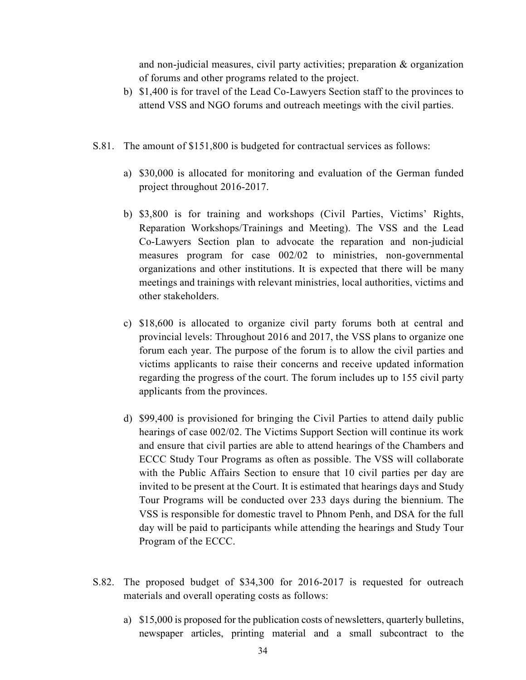and non-judicial measures, civil party activities; preparation & organization of forums and other programs related to the project.

- b) \$1,400 is for travel of the Lead Co-Lawyers Section staff to the provinces to attend VSS and NGO forums and outreach meetings with the civil parties.
- S.81. The amount of \$151,800 is budgeted for contractual services as follows:
	- a) \$30,000 is allocated for monitoring and evaluation of the German funded project throughout 2016-2017.
	- b) \$3,800 is for training and workshops (Civil Parties, Victims' Rights, Reparation Workshops/Trainings and Meeting). The VSS and the Lead Co-Lawyers Section plan to advocate the reparation and non-judicial measures program for case 002/02 to ministries, non-governmental organizations and other institutions. It is expected that there will be many meetings and trainings with relevant ministries, local authorities, victims and other stakeholders.
	- c) \$18,600 is allocated to organize civil party forums both at central and provincial levels: Throughout 2016 and 2017, the VSS plans to organize one forum each year. The purpose of the forum is to allow the civil parties and victims applicants to raise their concerns and receive updated information regarding the progress of the court. The forum includes up to 155 civil party applicants from the provinces.
	- d) \$99,400 is provisioned for bringing the Civil Parties to attend daily public hearings of case 002/02. The Victims Support Section will continue its work and ensure that civil parties are able to attend hearings of the Chambers and ECCC Study Tour Programs as often as possible. The VSS will collaborate with the Public Affairs Section to ensure that 10 civil parties per day are invited to be present at the Court. It is estimated that hearings days and Study Tour Programs will be conducted over 233 days during the biennium. The VSS is responsible for domestic travel to Phnom Penh, and DSA for the full day will be paid to participants while attending the hearings and Study Tour Program of the ECCC.
- S.82. The proposed budget of \$34,300 for 2016-2017 is requested for outreach materials and overall operating costs as follows:
	- a) \$15,000 is proposed for the publication costs of newsletters, quarterly bulletins, newspaper articles, printing material and a small subcontract to the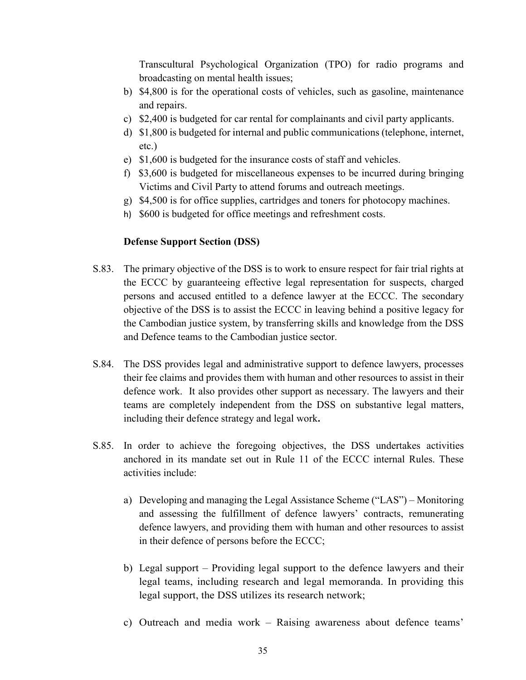Transcultural Psychological Organization (TPO) for radio programs and broadcasting on mental health issues;

- b) \$4,800 is for the operational costs of vehicles, such as gasoline, maintenance and repairs.
- c) \$2,400 is budgeted for car rental for complainants and civil party applicants.
- d) \$1,800 is budgeted for internal and public communications (telephone, internet, etc.)
- e) \$1,600 is budgeted for the insurance costs of staff and vehicles.
- f) \$3,600 is budgeted for miscellaneous expenses to be incurred during bringing Victims and Civil Party to attend forums and outreach meetings.
- g) \$4,500 is for office supplies, cartridges and toners for photocopy machines.
- h) \$600 is budgeted for office meetings and refreshment costs.

## **Defense Support Section (DSS)**

- S.83. The primary objective of the DSS is to work to ensure respect for fair trial rights at the ECCC by guaranteeing effective legal representation for suspects, charged persons and accused entitled to a defence lawyer at the ECCC. The secondary objective of the DSS is to assist the ECCC in leaving behind a positive legacy for the Cambodian justice system, by transferring skills and knowledge from the DSS and Defence teams to the Cambodian justice sector.
- S.84. The DSS provides legal and administrative support to defence lawyers, processes their fee claims and provides them with human and other resources to assist in their defence work. It also provides other support as necessary. The lawyers and their teams are completely independent from the DSS on substantive legal matters, including their defence strategy and legal work**.**
- S.85. In order to achieve the foregoing objectives, the DSS undertakes activities anchored in its mandate set out in Rule 11 of the ECCC internal Rules. These activities include:
	- a) Developing and managing the Legal Assistance Scheme ("LAS") Monitoring and assessing the fulfillment of defence lawyers' contracts, remunerating defence lawyers, and providing them with human and other resources to assist in their defence of persons before the ECCC;
	- b) Legal support Providing legal support to the defence lawyers and their legal teams, including research and legal memoranda. In providing this legal support, the DSS utilizes its research network;
	- c) Outreach and media work Raising awareness about defence teams'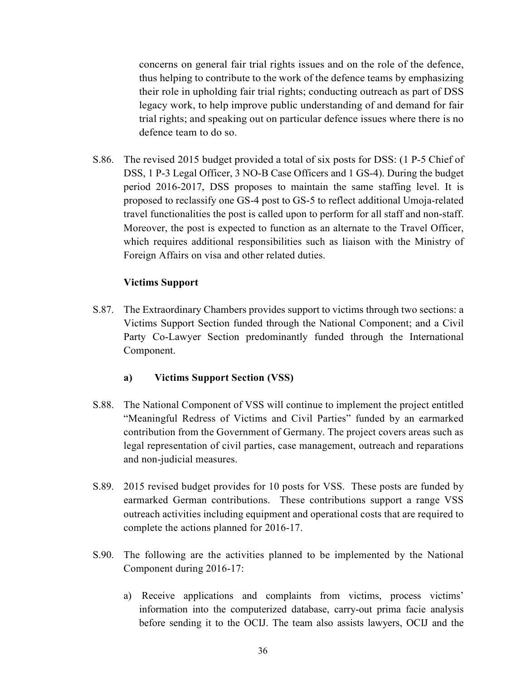concerns on general fair trial rights issues and on the role of the defence, thus helping to contribute to the work of the defence teams by emphasizing their role in upholding fair trial rights; conducting outreach as part of DSS legacy work, to help improve public understanding of and demand for fair trial rights; and speaking out on particular defence issues where there is no defence team to do so.

S.86. The revised 2015 budget provided a total of six posts for DSS: (1 P-5 Chief of DSS, 1 P-3 Legal Officer, 3 NO-B Case Officers and 1 GS-4). During the budget period 2016-2017, DSS proposes to maintain the same staffing level. It is proposed to reclassify one GS-4 post to GS-5 to reflect additional Umoja-related travel functionalities the post is called upon to perform for all staff and non-staff. Moreover, the post is expected to function as an alternate to the Travel Officer, which requires additional responsibilities such as liaison with the Ministry of Foreign Affairs on visa and other related duties.

## **Victims Support**

S.87. The Extraordinary Chambers provides support to victims through two sections: a Victims Support Section funded through the National Component; and a Civil Party Co-Lawyer Section predominantly funded through the International Component.

## **a) Victims Support Section (VSS)**

- S.88. The National Component of VSS will continue to implement the project entitled "Meaningful Redress of Victims and Civil Parties" funded by an earmarked contribution from the Government of Germany. The project covers areas such as legal representation of civil parties, case management, outreach and reparations and non-judicial measures.
- S.89. 2015 revised budget provides for 10 posts for VSS. These posts are funded by earmarked German contributions. These contributions support a range VSS outreach activities including equipment and operational costs that are required to complete the actions planned for 2016-17.
- S.90. The following are the activities planned to be implemented by the National Component during 2016-17:
	- a) Receive applications and complaints from victims, process victims' information into the computerized database, carry-out prima facie analysis before sending it to the OCIJ. The team also assists lawyers, OCIJ and the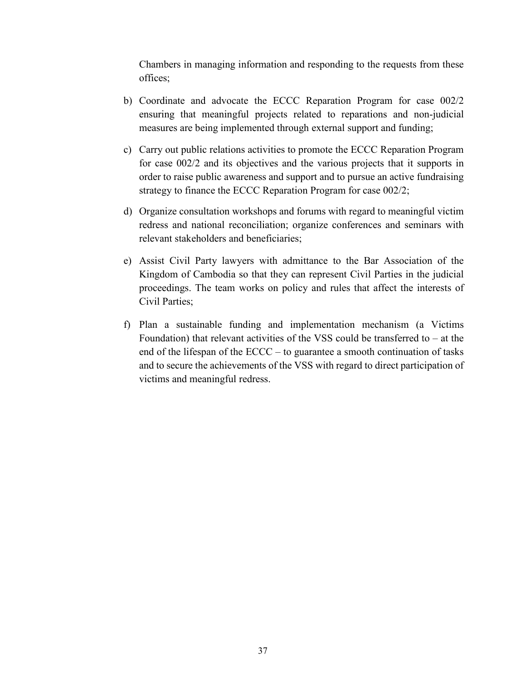Chambers in managing information and responding to the requests from these offices;

- b) Coordinate and advocate the ECCC Reparation Program for case 002/2 ensuring that meaningful projects related to reparations and non-judicial measures are being implemented through external support and funding;
- c) Carry out public relations activities to promote the ECCC Reparation Program for case 002/2 and its objectives and the various projects that it supports in order to raise public awareness and support and to pursue an active fundraising strategy to finance the ECCC Reparation Program for case 002/2;
- d) Organize consultation workshops and forums with regard to meaningful victim redress and national reconciliation; organize conferences and seminars with relevant stakeholders and beneficiaries;
- e) Assist Civil Party lawyers with admittance to the Bar Association of the Kingdom of Cambodia so that they can represent Civil Parties in the judicial proceedings. The team works on policy and rules that affect the interests of Civil Parties;
- f) Plan a sustainable funding and implementation mechanism (a Victims Foundation) that relevant activities of the VSS could be transferred to  $-$  at the end of the lifespan of the ECCC – to guarantee a smooth continuation of tasks and to secure the achievements of the VSS with regard to direct participation of victims and meaningful redress.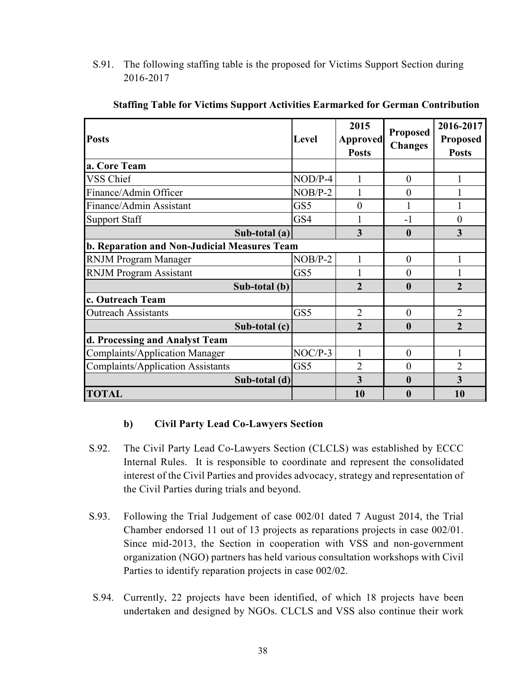S.91. The following staffing table is the proposed for Victims Support Section during 2016-2017

| <b>Posts</b>                                 | <b>Level</b> | 2015<br><b>Approved</b><br><b>Posts</b> | <b>Proposed</b><br><b>Changes</b> | 2016-2017<br><b>Proposed</b><br><b>Posts</b> |
|----------------------------------------------|--------------|-----------------------------------------|-----------------------------------|----------------------------------------------|
| a. Core Team                                 |              |                                         |                                   |                                              |
| <b>VSS Chief</b>                             | $NOD/P-4$    |                                         | $\theta$                          |                                              |
| Finance/Admin Officer                        | $NOB/P-2$    |                                         | $\theta$                          |                                              |
| Finance/Admin Assistant                      | GS5          | 0                                       |                                   |                                              |
| <b>Support Staff</b>                         | GS4          |                                         | $-1$                              | $\theta$                                     |
| Sub-total $(a)$                              |              | 3                                       | $\boldsymbol{0}$                  | 3                                            |
| b. Reparation and Non-Judicial Measures Team |              |                                         |                                   |                                              |
| <b>RNJM Program Manager</b>                  | $NOB/P-2$    | 1                                       | $\theta$                          |                                              |
| <b>RNJM Program Assistant</b>                | GS5          |                                         | $\theta$                          |                                              |
| Sub-total (b)                                |              | $\overline{2}$                          | $\boldsymbol{0}$                  | $\overline{2}$                               |
| c. Outreach Team                             |              |                                         |                                   |                                              |
| <b>Outreach Assistants</b>                   | GS5          | $\overline{2}$                          | $\theta$                          | $\overline{2}$                               |
| Sub-total (c)                                |              | $\overline{2}$                          | $\boldsymbol{0}$                  | $\overline{2}$                               |
| d. Processing and Analyst Team               |              |                                         |                                   |                                              |
| <b>Complaints/Application Manager</b>        | $NOC/P-3$    | 1                                       | $\theta$                          |                                              |
| <b>Complaints/Application Assistants</b>     | GS5          | $\overline{2}$                          | $\theta$                          | $\overline{2}$                               |
| Sub-total (d)                                |              | 3                                       | $\mathbf{0}$                      | 3                                            |
| <b>TOTAL</b>                                 |              | 10                                      | $\boldsymbol{0}$                  | 10                                           |

#### **Staffing Table for Victims Support Activities Earmarked for German Contribution**

## **b) Civil Party Lead Co-Lawyers Section**

- S.92. The Civil Party Lead Co-Lawyers Section (CLCLS) was established by ECCC Internal Rules. It is responsible to coordinate and represent the consolidated interest of the Civil Parties and provides advocacy, strategy and representation of the Civil Parties during trials and beyond.
- S.93. Following the Trial Judgement of case 002/01 dated 7 August 2014, the Trial Chamber endorsed 11 out of 13 projects as reparations projects in case 002/01. Since mid-2013, the Section in cooperation with VSS and non-government organization (NGO) partners has held various consultation workshops with Civil Parties to identify reparation projects in case 002/02.
- S.94. Currently, 22 projects have been identified, of which 18 projects have been undertaken and designed by NGOs. CLCLS and VSS also continue their work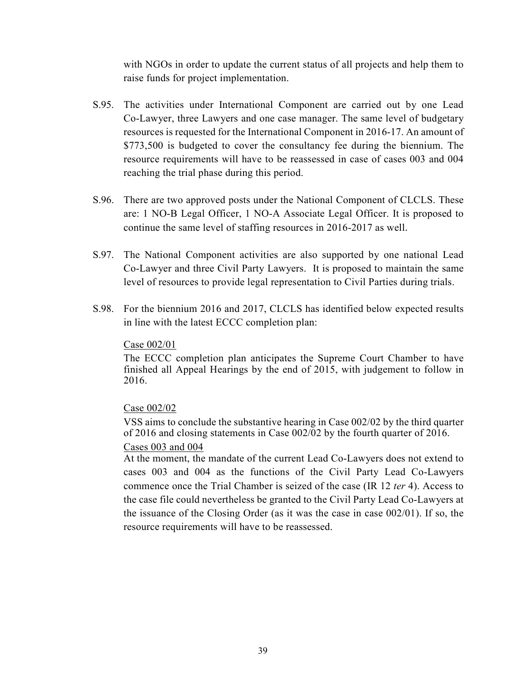with NGOs in order to update the current status of all projects and help them to raise funds for project implementation.

- S.95. The activities under International Component are carried out by one Lead Co-Lawyer, three Lawyers and one case manager. The same level of budgetary resources is requested for the International Component in 2016-17. An amount of \$773,500 is budgeted to cover the consultancy fee during the biennium. The resource requirements will have to be reassessed in case of cases 003 and 004 reaching the trial phase during this period.
- S.96. There are two approved posts under the National Component of CLCLS. These are: 1 NO-B Legal Officer, 1 NO-A Associate Legal Officer. It is proposed to continue the same level of staffing resources in 2016-2017 as well.
- S.97. The National Component activities are also supported by one national Lead Co-Lawyer and three Civil Party Lawyers. It is proposed to maintain the same level of resources to provide legal representation to Civil Parties during trials.
- S.98. For the biennium 2016 and 2017, CLCLS has identified below expected results in line with the latest ECCC completion plan:

#### Case 002/01

 The ECCC completion plan anticipates the Supreme Court Chamber to have finished all Appeal Hearings by the end of 2015, with judgement to follow in 2016.

#### Case 002/02

 VSS aims to conclude the substantive hearing in Case 002/02 by the third quarter of 2016 and closing statements in Case 002/02 by the fourth quarter of 2016. Cases 003 and 004

 At the moment, the mandate of the current Lead Co-Lawyers does not extend to cases 003 and 004 as the functions of the Civil Party Lead Co-Lawyers commence once the Trial Chamber is seized of the case (IR 12 *ter* 4). Access to the case file could nevertheless be granted to the Civil Party Lead Co-Lawyers at the issuance of the Closing Order (as it was the case in case 002/01). If so, the resource requirements will have to be reassessed.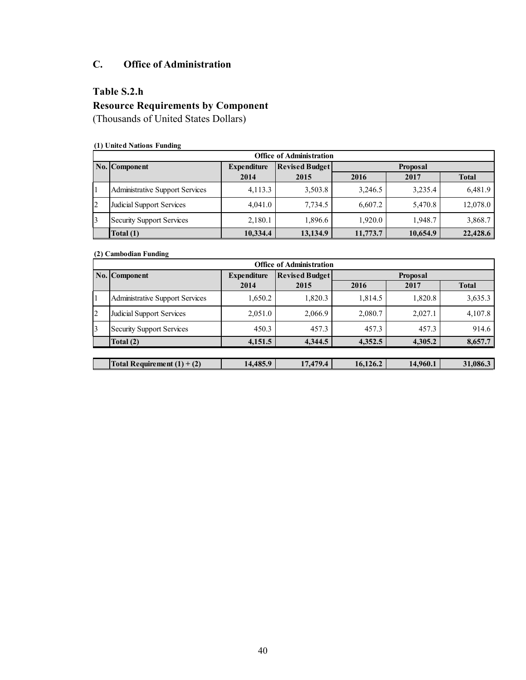## **C. Office of Administration**

## **Table S.2.h**

# **Resource Requirements by Component**

(Thousands of United States Dollars)

#### **(1) United Nations Funding**

|           | <b>Office of Administration</b>  |                    |                       |                 |              |          |  |  |  |  |  |  |
|-----------|----------------------------------|--------------------|-----------------------|-----------------|--------------|----------|--|--|--|--|--|--|
|           | No. Component                    | <b>Expenditure</b> | <b>Revised Budget</b> | <b>Proposal</b> |              |          |  |  |  |  |  |  |
|           |                                  | 2014               | 2015                  | 2016            | <b>Total</b> |          |  |  |  |  |  |  |
|           | Administrative Support Services  | 4,113.3            | 3,503.8               | 3.246.5         | 3,235.4      | 6,481.9  |  |  |  |  |  |  |
| $\vert$ 2 | Judicial Support Services        | 4.041.0            | 7,734.5               | 6.607.2         | 5,470.8      | 12,078.0 |  |  |  |  |  |  |
| 13        | <b>Security Support Services</b> | 2,180.1            | 1,896.6               | 1,920.0         | 1.948.7      | 3,868.7  |  |  |  |  |  |  |
|           | Total $(1)$                      | 10,334.4           | 13,134.9              | 11,773.7        | 10,654.9     | 22,428.6 |  |  |  |  |  |  |

#### **(2) Cambodian Funding**

|           | <b>Office of Administration</b>        |                    |                       |                 |          |              |  |  |  |  |  |  |
|-----------|----------------------------------------|--------------------|-----------------------|-----------------|----------|--------------|--|--|--|--|--|--|
|           | No. Component                          | <b>Expenditure</b> | <b>Revised Budget</b> | <b>Proposal</b> |          |              |  |  |  |  |  |  |
|           |                                        | 2014               | 2015                  | 2016            | 2017     | <b>Total</b> |  |  |  |  |  |  |
|           | <b>Administrative Support Services</b> | 1,650.2            | 1,820.3               | 1,814.5         | 1,820.8  | 3,635.3      |  |  |  |  |  |  |
| 2         | Judicial Support Services              | 2,051.0            | 2,066.9               | 2,080.7         | 2,027.1  | 4,107.8      |  |  |  |  |  |  |
| $\vert$ 3 | <b>Security Support Services</b>       | 450.3              | 457.3                 | 457.3           | 457.3    | 914.6        |  |  |  |  |  |  |
|           | Total (2)                              | 4,151.5            | 4.344.5               | 4,352.5         | 4,305.2  | 8,657.7      |  |  |  |  |  |  |
|           |                                        |                    |                       |                 |          |              |  |  |  |  |  |  |
|           | Total Requirement $(1) + (2)$          | 14,485.9           | 17,479.4              | 16,126.2        | 14,960.1 | 31,086.3     |  |  |  |  |  |  |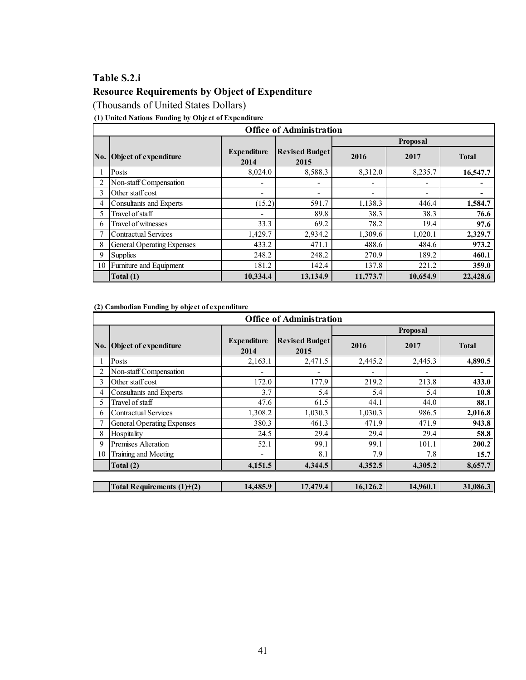# **Table S.2.i**

## **Resource Requirements by Object of Expenditure**

(Thousands of United States Dollars)

**(1) United Nations Funding by Object of Expenditure**

|     | <b>Office of Administration</b>   |                            |                               |          |                 |              |  |  |  |  |  |  |
|-----|-----------------------------------|----------------------------|-------------------------------|----------|-----------------|--------------|--|--|--|--|--|--|
|     |                                   |                            |                               |          | <b>Proposal</b> |              |  |  |  |  |  |  |
| No. | Object of expenditure             | <b>Expenditure</b><br>2014 | <b>Revised Budget</b><br>2015 | 2016     | 2017            | <b>Total</b> |  |  |  |  |  |  |
|     | Posts                             | 8,024.0                    | 8,588.3                       | 8,312.0  | 8,235.7         | 16,547.7     |  |  |  |  |  |  |
|     | Non-staff Compensation            |                            |                               |          |                 |              |  |  |  |  |  |  |
| 3   | Other staff cost                  |                            | ۰                             | ٠        | ٠               |              |  |  |  |  |  |  |
| 4   | <b>Consultants and Experts</b>    | (15.2)                     | 591.7                         | 1,138.3  | 446.4           | 1,584.7      |  |  |  |  |  |  |
| 5   | Travel of staff                   | ۰                          | 89.8                          | 38.3     | 38.3            | 76.6         |  |  |  |  |  |  |
| 6   | Travel of witnesses               | 33.3                       | 69.2                          | 78.2     | 19.4            | 97.6         |  |  |  |  |  |  |
|     | <b>Contractual Services</b>       | 1,429.7                    | 2,934.2                       | 1,309.6  | 1,020.1         | 2,329.7      |  |  |  |  |  |  |
| 8   | <b>General Operating Expenses</b> | 433.2                      | 471.1                         | 488.6    | 484.6           | 973.2        |  |  |  |  |  |  |
| 9   | <b>Supplies</b>                   | 248.2                      | 248.2                         | 270.9    | 189.2           | 460.1        |  |  |  |  |  |  |
| 10  | Furniture and Equipment           | 181.2                      | 142.4                         | 137.8    | 221.2           | 359.0        |  |  |  |  |  |  |
|     | Total (1)                         | 10.334.4                   | 13.134.9                      | 11,773.7 | 10,654.9        | 22,428.6     |  |  |  |  |  |  |

**(2) Cambodian Funding by object of expenditure**

|     |                                   |                            | <b>Office of Administration</b> |          |          |              |  |  |  |  |
|-----|-----------------------------------|----------------------------|---------------------------------|----------|----------|--------------|--|--|--|--|
|     |                                   |                            |                                 |          | Proposal |              |  |  |  |  |
| No. | Object of expenditure             | <b>Expenditure</b><br>2014 | <b>Revised Budget</b><br>2015   | 2016     | 2017     | <b>Total</b> |  |  |  |  |
|     | Posts                             | 2,163.1                    | 2,471.5                         | 2,445.2  | 2,445.3  | 4,890.5      |  |  |  |  |
|     | Non-staff Compensation            |                            |                                 |          |          |              |  |  |  |  |
| 3   | Other staff cost                  | 172.0                      | 177.9                           | 219.2    | 213.8    | 433.0        |  |  |  |  |
| 4   | Consultants and Experts           | 3.7                        | 5.4                             | 5.4      | 5.4      | 10.8         |  |  |  |  |
| 5   | Travel of staff                   | 47.6                       | 61.5                            | 44.1     | 44.0     | 88.1         |  |  |  |  |
| 6   | <b>Contractual Services</b>       | 1,308.2                    | 1,030.3                         | 1,030.3  | 986.5    | 2,016.8      |  |  |  |  |
|     | <b>General Operating Expenses</b> | 380.3                      | 461.3                           | 471.9    | 471.9    | 943.8        |  |  |  |  |
| 8   | Hospitality                       | 24.5                       | 29.4                            | 29.4     | 29.4     | 58.8         |  |  |  |  |
| 9   | Premises Alteration               | 52.1                       | 99.1                            | 99.1     | 101.1    | 200.2        |  |  |  |  |
| 10  | Training and Meeting              |                            | 8.1                             | 7.9      | 7.8      | 15.7         |  |  |  |  |
|     | Total (2)                         | 4,151.5                    | 4,344.5                         | 4,352.5  | 4,305.2  | 8,657.7      |  |  |  |  |
|     |                                   |                            |                                 |          |          |              |  |  |  |  |
|     | Total Requirements $(1)+(2)$      | 14,485.9                   | 17,479.4                        | 16,126.2 | 14,960.1 | 31,086.3     |  |  |  |  |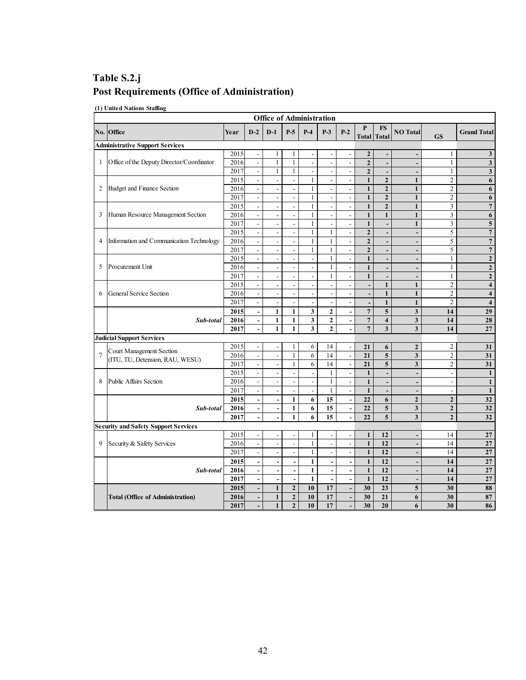## **Table S.2.j Post Requirements (Office of Administration)**

**(1) United Nations Staffing** 

|                | <b>Office of Administration</b>             |      |                              |                          |                          |                              |                          |                          |                   |                           |                              |                          |                         |
|----------------|---------------------------------------------|------|------------------------------|--------------------------|--------------------------|------------------------------|--------------------------|--------------------------|-------------------|---------------------------|------------------------------|--------------------------|-------------------------|
|                | No. Office                                  | Year | $D-2$                        | $D-1$                    | $P-5$                    | $P-4$                        | $P-3$                    | $P-2$                    | P<br><b>Total</b> | <b>FS</b><br><b>Total</b> | <b>NO</b> Total              | <b>GS</b>                | <b>Grand Total</b>      |
|                | <b>Administrative Support Services</b>      |      |                              |                          |                          |                              |                          |                          |                   |                           |                              |                          |                         |
|                |                                             | 2015 | $\overline{a}$               | $\mathbf{1}$             | 1                        |                              | $\frac{1}{2}$            |                          | $\mathbf{2}$      | Ĭ.                        | $\overline{\phantom{a}}$     | $\mathbf{1}$             | $\mathbf{3}$            |
| 1              | Office of the Deputy Director/Coordinator   | 2016 | $\overline{\phantom{a}}$     | $\mathbf{1}$             | $\mathbf{1}$             | $\frac{1}{2}$                | $\overline{\phantom{a}}$ | $\overline{\phantom{a}}$ | $\mathbf{2}$      | Ĭ.                        | $\qquad \qquad \blacksquare$ | $\mathbf{1}$             | $\mathbf{3}$            |
|                |                                             | 2017 | $\overline{a}$               | $\mathbf{1}$             | 1                        |                              | $\overline{a}$           |                          | $\overline{2}$    | ÷,                        | $\overline{\phantom{m}}$     | $\mathbf{1}$             | $\overline{\mathbf{3}}$ |
|                |                                             | 2015 | $\mathbb{L}$                 | $\overline{\phantom{a}}$ | $\overline{\phantom{a}}$ | $\mathbf{1}$                 | $\blacksquare$           | $\overline{\phantom{a}}$ | $\mathbf{1}$      | $\mathbf{2}$              | $\mathbf{1}$                 | $\overline{2}$           | 6                       |
| 2              | Budget and Finance Section                  | 2016 | $\overline{\phantom{a}}$     | $\overline{\phantom{a}}$ | $\overline{\phantom{a}}$ | 1                            | $\overline{\phantom{a}}$ | $\overline{\phantom{a}}$ | $\mathbf{1}$      | $\mathbf{2}$              | $\mathbf{1}$                 | $\overline{2}$           | 6                       |
|                |                                             | 2017 | $\ddot{\phantom{a}}$         | $\frac{1}{2}$            | $\frac{1}{2}$            | $\mathbf{1}$                 | $\overline{\phantom{a}}$ | $\overline{a}$           | $\mathbf{1}$      | $\overline{2}$            | $\mathbf{1}$                 | $\overline{2}$           | $\boldsymbol{6}$        |
|                |                                             | 2015 | $\Box$                       | $\overline{\phantom{a}}$ | $\blacksquare$           | $\mathbf{1}$                 | $\blacksquare$           | $\overline{\phantom{a}}$ | $\mathbf{1}$      | $\mathbf{2}$              | $\mathbf{1}$                 | 3                        | $\overline{7}$          |
| 3              | Human Resource Management Section           | 2016 | $\overline{\phantom{a}}$     | $\overline{a}$           | $\overline{a}$           | $\mathbf{1}$                 | $\overline{a}$           | $\overline{a}$           | $\mathbf{1}$      | $\mathbf{1}$              | $\mathbf{1}$                 | $\mathfrak{Z}$           | $\overline{\mathbf{6}}$ |
|                |                                             | 2017 | $\overline{\phantom{a}}$     | $\frac{1}{2}$            | $\blacksquare$           | $\mathbf{1}$                 | $\overline{\phantom{a}}$ | L,                       | $\mathbf{1}$      | Ĭ.                        | $\mathbf{1}$                 | 3                        | 5                       |
|                |                                             | 2015 | $\blacksquare$               | $\blacksquare$           | $\frac{1}{2}$            | $\mathbf{1}$                 | $\mathbf{1}$             | $\overline{\phantom{a}}$ | $\overline{2}$    | $\overline{a}$            | $\overline{\phantom{a}}$     | 5                        | $\boldsymbol{7}$        |
| 4              | Information and Communication Technology    | 2016 | $\overline{\phantom{a}}$     | $\overline{\phantom{a}}$ | $\overline{a}$           | $\mathbf{1}$                 | $\mathbf{1}$             | L,                       | $\overline{2}$    | $\overline{a}$            | $\overline{a}$               | 5                        | $\overline{7}$          |
|                |                                             | 2017 | $\overline{\phantom{a}}$     | $\overline{a}$           | $\overline{a}$           | $\mathbf{1}$                 | $\mathbf{1}$             | $\overline{a}$           | $\overline{2}$    | L,                        | $\overline{\phantom{a}}$     | 5                        | $\overline{7}$          |
|                |                                             | 2015 | $\overline{\phantom{a}}$     | $\overline{\phantom{a}}$ | $\overline{\phantom{a}}$ | $\qquad \qquad \blacksquare$ | $\mathbf{1}$             | $\overline{\phantom{a}}$ | $\mathbf{1}$      | $\overline{\phantom{a}}$  | $\qquad \qquad \blacksquare$ | $\mathbf{1}$             | $\overline{2}$          |
| 5              | Procurement Unit                            | 2016 | $\overline{\phantom{a}}$     | $\overline{\phantom{a}}$ | $\overline{\phantom{a}}$ | $\overline{a}$               | $\mathbf{1}$             | $\overline{a}$           | $\mathbf{1}$      | $\overline{a}$            | $\qquad \qquad \blacksquare$ | $\mathbf{1}$             | $\mathbf 2$             |
|                |                                             | 2017 | $\overline{a}$               | $\overline{a}$           | $\overline{a}$           | $\overline{a}$               | $\mathbf{1}$             | $\overline{a}$           | $\mathbf{1}$      | $\overline{a}$            | $\overline{a}$               | $\mathbf{1}$             | $\overline{2}$          |
|                |                                             | 2015 | $\overline{\phantom{a}}$     | $\overline{\phantom{a}}$ | $\overline{\phantom{a}}$ | $\qquad \qquad \blacksquare$ | $\overline{\phantom{a}}$ | L,                       | $\overline{a}$    | $\mathbf{1}$              | $\mathbf{1}$                 | $\overline{2}$           | $\overline{\mathbf{4}}$ |
| 6              | <b>General Service Section</b>              | 2016 | $\overline{a}$               | $\overline{\phantom{a}}$ | $\overline{\phantom{a}}$ | $\overline{\phantom{a}}$     | $\blacksquare$           |                          | $\overline{a}$    | $\mathbf{1}$              | $\mathbf{1}$                 | $\overline{c}$           | $\overline{\mathbf{4}}$ |
|                |                                             | 2017 | $\Box$                       | $\blacksquare$           | $\frac{1}{2}$            | $\frac{1}{2}$                | $\overline{\phantom{a}}$ | $\frac{1}{2}$            | $\overline{a}$    | $\mathbf{1}$              | $\mathbf{1}$                 | $\overline{2}$           | $\overline{\mathbf{4}}$ |
|                |                                             | 2015 | $\blacksquare$               | $\mathbf{1}$             | $\mathbf{1}$             | 3                            | $\mathbf{2}$             | $\blacksquare$           | $\overline{7}$    | 5                         | $\mathbf{3}$                 | 14                       | 29                      |
|                | Sub-total                                   | 2016 | $\overline{a}$               | $\mathbf 1$              | $\mathbf{1}$             | $\mathbf{3}$                 | $\mathbf 2$              | $\overline{a}$           | $\overline{7}$    | $\overline{\mathbf{4}}$   | $\overline{\mathbf{3}}$      | 14                       | $\overline{28}$         |
|                |                                             | 2017 | $\overline{a}$               | $\mathbf{1}$             | 1                        | 3                            | $\overline{2}$           | $\overline{a}$           | $\overline{7}$    | $\overline{\mathbf{3}}$   | $\overline{\mathbf{3}}$      | 14                       | 27                      |
|                | <b>Judicial Support Services</b>            |      |                              |                          |                          |                              |                          |                          |                   |                           |                              |                          |                         |
|                | Court Management Section                    | 2015 | $\overline{\phantom{a}}$     | $\blacksquare$           | $\mathbf{1}$             | 6                            | 14                       | $\overline{a}$           | 21                | 6                         | $\overline{2}$               | $\overline{2}$           | 31                      |
| $\overline{7}$ | (ITU, TU, Detension, RAU, WESU)             | 2016 | $\Box$                       | $\overline{\phantom{a}}$ | $\mathbf{1}$             | 6                            | 14                       | $\overline{\phantom{a}}$ | $\overline{21}$   | 5                         | $\overline{\mathbf{3}}$      | $\overline{2}$           | 31                      |
|                |                                             | 2017 | $\blacksquare$               | $\blacksquare$           | 1                        | 6                            | 14                       | $\blacksquare$           | 21                | 5                         | $\overline{\mathbf{3}}$      | $\overline{2}$           | 31                      |
|                |                                             | 2015 | L,                           | $\overline{\phantom{a}}$ | $\overline{a}$           | $\qquad \qquad \blacksquare$ | $\mathbf{1}$             |                          | $\mathbf{1}$      | L,                        | $\overline{a}$               | $\overline{\phantom{a}}$ | $\mathbf 1$             |
| 8              | <b>Public Affairs Section</b>               | 2016 | $\mathbb{L}$                 | $\blacksquare$           | $\frac{1}{2}$            | $\frac{1}{2}$                | $\mathbf{1}$             | $\overline{\phantom{a}}$ | $\mathbf{1}$      | $\overline{a}$            | $\overline{a}$               | $\overline{\phantom{a}}$ | $\mathbf{1}$            |
|                |                                             | 2017 | $\overline{\phantom{a}}$     | $\overline{\phantom{a}}$ |                          | $\overline{a}$               | $\mathbf{1}$             | $\overline{a}$           | $\mathbf{1}$      | ÷,                        | $\overline{\phantom{a}}$     | $\overline{\phantom{a}}$ | $\mathbf{1}$            |
|                |                                             | 2015 | ÷,                           | $\blacksquare$           | $\mathbf{1}$             | 6                            | $\overline{15}$          | $\overline{\phantom{a}}$ | $\overline{22}$   | 6                         | $\mathbf{2}$                 | $\overline{2}$           | $\overline{32}$         |
|                | Sub-total                                   | 2016 | $\overline{\phantom{a}}$     | $\overline{\phantom{a}}$ | $\mathbf{1}$             | 6                            | 15                       | $\overline{\phantom{a}}$ | 22                | 5                         | $\mathbf{3}$                 | $\mathbf{2}$             | 32                      |
|                |                                             | 2017 | $\overline{a}$               |                          | 1                        | 6                            | 15                       |                          | 22                | 5                         | $\mathbf{3}$                 | $\overline{2}$           | 32                      |
|                | <b>Security and Safety Support Services</b> |      |                              |                          |                          |                              |                          |                          |                   |                           |                              |                          |                         |
|                |                                             | 2015 | $\overline{\phantom{a}}$     | $\overline{\phantom{a}}$ | $\overline{\phantom{a}}$ | $\mathbf{1}$                 | $\overline{\phantom{a}}$ | $\overline{a}$           | $\mathbf{1}$      | 12                        | $\overline{a}$               | 14                       | 27                      |
| 9              | Security & Safety Services                  | 2016 | $\overline{a}$               | $\overline{a}$           | $\blacksquare$           | $\mathbf{1}$                 | $\overline{a}$           | $\overline{\phantom{a}}$ | $\mathbf{1}$      | 12                        | $\overline{\phantom{a}}$     | 14                       | 27                      |
|                |                                             | 2017 | $\overline{\phantom{a}}$     | $\frac{1}{2}$            | $\overline{a}$           | $\mathbf{1}$                 | $\frac{1}{2}$            | L,                       | $\mathbf{1}$      | 12                        | $\overline{a}$               | 14                       | 27                      |
|                |                                             | 2015 | $\overline{a}$               | $\blacksquare$           | $\overline{a}$           | $\mathbf{1}$                 | $\blacksquare$           | $\overline{\phantom{m}}$ | $\mathbf{1}$      | 12                        | $\overline{a}$               | 14                       | $\bf 27$                |
|                | Sub-total                                   | 2016 | $\overline{\phantom{a}}$     | $\overline{\phantom{a}}$ | $\overline{\phantom{a}}$ | $\mathbf{1}$                 | $\overline{\phantom{a}}$ | $\blacksquare$           | $\mathbf{1}$      | 12                        | $\overline{\phantom{m}}$     | 14                       | 27                      |
|                |                                             | 2017 | L,                           | $\overline{a}$           | $\overline{a}$           | $\mathbf{1}$                 | $\overline{a}$           |                          | $\mathbf{1}$      | $\overline{12}$           | $\qquad \qquad \blacksquare$ | 14                       | 27                      |
|                |                                             | 2015 | $\qquad \qquad \blacksquare$ | $\mathbf{1}$             | $\overline{2}$           | 10                           | 17                       | $\overline{a}$           | 30                | 23                        | $\overline{\mathbf{5}}$      | 30                       | 88                      |
|                | <b>Total (Office of Administration)</b>     | 2016 | $\overline{\phantom{a}}$     | $\mathbf{1}$             | $\mathbf{2}$             | 10                           | 17                       | $\overline{\phantom{m}}$ | 30                | 21                        | 6                            | 30                       | 87                      |
|                |                                             | 2017 |                              | $\mathbf{1}$             | $\overline{2}$           | 10                           | 17                       |                          | 30                | 20                        | 6                            | 30                       | 86                      |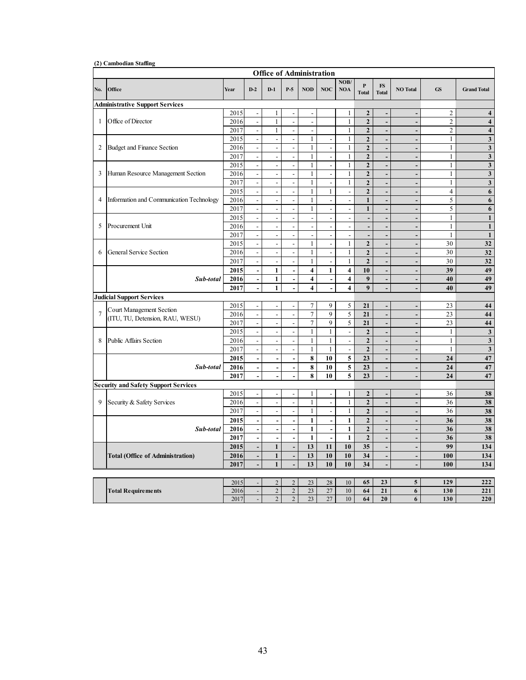|                |                                                             |              |                                    | <b>Office of Administration</b>  |                                  |                              |                                  |                              |                                  |                               |                              |                              |                                         |
|----------------|-------------------------------------------------------------|--------------|------------------------------------|----------------------------------|----------------------------------|------------------------------|----------------------------------|------------------------------|----------------------------------|-------------------------------|------------------------------|------------------------------|-----------------------------------------|
| No.            | Office                                                      | Year         | $D-2$                              | $D-1$                            | $P-5$                            | <b>NOD</b>                   | <b>NOC</b>                       | NOB/<br><b>NOA</b>           | $\mathbf{P}$<br><b>Total</b>     | $\mathbf{FS}$<br><b>Total</b> | <b>NO Total</b>              | <b>GS</b>                    | <b>Grand Total</b>                      |
|                | <b>Administrative Support Services</b>                      |              |                                    |                                  |                                  |                              |                                  |                              |                                  |                               |                              |                              |                                         |
|                |                                                             | 2015         | $\overline{\phantom{a}}$           | $\mathbf{1}$                     | $\overline{\phantom{a}}$         | $\overline{\phantom{a}}$     |                                  | 1                            | $\overline{2}$                   | L,                            | $\overline{a}$               | $\overline{2}$               | $\overline{\mathbf{4}}$                 |
| $\mathbf{1}$   | Office of Director                                          | 2016         | $\frac{1}{2}$                      | $\mathbf{1}$                     | $\frac{1}{2}$                    | L,                           |                                  | $\mathbf{1}$                 | $\overline{2}$                   | $\overline{a}$                | $\overline{a}$               | $\overline{c}$               | $\overline{4}$                          |
|                |                                                             | 2017         | $\blacksquare$                     | $\mathbf{1}$                     | $\overline{a}$                   | $\overline{a}$               |                                  | 1                            | $\overline{2}$                   | L,                            | $\overline{a}$               | $\overline{c}$               | $\overline{\mathbf{4}}$                 |
|                |                                                             | 2015         | $\Box$                             | $\blacksquare$                   | $\mathbf{r}$                     | $\mathbf{1}$                 | $\overline{\phantom{a}}$         | $\mathbf{1}$                 | $\overline{2}$                   | L,                            | ÷,                           | $\mathbf{1}$                 | $\overline{\mathbf{3}}$                 |
| 2              | Budget and Finance Section                                  | 2016         | $\blacksquare$                     | $\blacksquare$<br>$\mathbb{L}$   | $\blacksquare$                   | $\mathbf{1}$<br>$\mathbf{1}$ | $\overline{a}$<br>$\overline{a}$ | $\mathbf{1}$<br>$\mathbf{1}$ | $\overline{2}$<br>$\overline{2}$ | $\overline{a}$                | $\overline{a}$               | $\mathbf{1}$<br>$\mathbf{1}$ | $\mathbf{3}$<br>$\overline{\mathbf{3}}$ |
|                |                                                             | 2017<br>2015 | $\Box$<br>$\overline{\phantom{a}}$ | $\overline{\phantom{a}}$         | $\Box$<br>$\blacksquare$         | $\mathbf{1}$                 | $\mathbf{r}$                     | $\mathbf{1}$                 | $\overline{2}$                   | L,                            | ÷,<br>$\overline{a}$         | $\mathbf{1}$                 | $\overline{\mathbf{3}}$                 |
| 3              | Human Resource Management Section                           | 2016         | $\Box$                             | $\omega$                         | $\overline{\phantom{a}}$         | $\mathbf{1}$                 | $\overline{\phantom{a}}$         | $\mathbf{1}$                 | $\overline{2}$                   | $\overline{a}$<br>L,          | $\overline{a}$               | $\mathbf{1}$                 | $\overline{\mathbf{3}}$                 |
|                |                                                             | 2017         | $\blacksquare$                     | $\overline{\phantom{a}}$         | $\overline{a}$                   | $\mathbf{1}$                 | $\overline{\phantom{a}}$         | $\mathbf{1}$                 | $\overline{2}$                   | $\overline{\phantom{m}}$      | ÷,                           | $\mathbf{1}$                 | $\mathbf{3}$                            |
|                |                                                             | 2015         | $\overline{\phantom{a}}$           | $\Box$                           | $\overline{\phantom{a}}$         | $\mathbf{1}$                 | $\mathbf{1}$                     | $\overline{a}$               | $\overline{2}$                   | L,                            | ÷.                           | $\overline{4}$               | 6                                       |
| $\overline{4}$ | Information and Communication Technology                    | 2016         | $\overline{\phantom{a}}$           | $\frac{1}{2}$                    | $\frac{1}{2}$                    | $\mathbf{1}$                 | $\frac{1}{2}$                    | $\overline{\phantom{a}}$     | $\mathbf{1}$                     | $\overline{\phantom{m}}$      | $\overline{a}$               | 5                            | $\boldsymbol{6}$                        |
|                |                                                             | 2017         | $\Box$                             | $\blacksquare$                   | $\overline{\phantom{a}}$         | $\mathbf{1}$                 | $\overline{\phantom{a}}$         | $\overline{\phantom{a}}$     | $\mathbf{1}$                     | $\overline{a}$                | $\overline{a}$               | 5                            | 6                                       |
|                |                                                             | 2015         | $\blacksquare$                     | $\overline{\phantom{a}}$         | $\blacksquare$                   | $\frac{1}{2}$                | $\overline{\phantom{a}}$         | $\overline{\phantom{a}}$     | $\blacksquare$                   | $\overline{\phantom{a}}$      | $\overline{\phantom{m}}$     | $\mathbf{1}$                 | $\mathbf{1}$                            |
| 5              | Procurement Unit                                            | 2016         | $\overline{\phantom{a}}$           | $\overline{\phantom{a}}$         | $\overline{\phantom{a}}$         | $\overline{\phantom{a}}$     | $\overline{\phantom{a}}$         | $\overline{\phantom{a}}$     | $\overline{\phantom{a}}$         | $\overline{a}$                | $\frac{1}{2}$                | $\mathbf{1}$                 | $\mathbf{1}$                            |
|                |                                                             | 2017         | $\overline{\phantom{a}}$           | $\overline{\phantom{a}}$         | $\overline{\phantom{a}}$         | $\overline{a}$               | $\overline{a}$                   | $\overline{\phantom{a}}$     | $\overline{\phantom{a}}$         | $\overline{\phantom{m}}$      | $\overline{a}$               | $\mathbf{1}$                 | $\mathbf{1}$                            |
|                |                                                             | 2015         | $\Box$                             | $\blacksquare$                   | $\overline{\phantom{a}}$         | $\mathbf{1}$                 | $\overline{\phantom{a}}$         | $\mathbf{1}$                 | $\overline{2}$                   | $\overline{\phantom{m}}$      | $\overline{a}$               | 30                           | 32                                      |
| 6              | <b>General Service Section</b>                              | 2016         | $\overline{\phantom{a}}$           | $\overline{\phantom{a}}$         | $\blacksquare$                   | $\mathbf{1}$                 | $\overline{\phantom{a}}$         | $\mathbf{1}$                 | $\overline{2}$                   | $\overline{a}$                | $\overline{a}$               | 30                           | $\overline{32}$                         |
|                |                                                             | 2017         | $\Box$                             | $\Box$                           | $\blacksquare$                   | $\mathbf{1}$                 | $\frac{1}{2}$                    | $\mathbf{1}$                 | $\overline{2}$                   | $\overline{a}$                | $\frac{1}{2}$                | 30                           | 32                                      |
|                |                                                             | 2015         | $\blacksquare$                     | $\mathbf{1}$                     | $\overline{a}$                   | $\overline{\mathbf{4}}$      | $\mathbf{1}$                     | $\overline{\mathbf{4}}$      | 10                               | $\overline{a}$                | $\overline{a}$               | 39                           | 49                                      |
|                | Sub-total                                                   | 2016         | $\overline{\phantom{a}}$           | $\overline{1}$                   | $\overline{\phantom{a}}$         | $\overline{4}$               | $\overline{\phantom{a}}$         | $\overline{\mathbf{4}}$      | 9                                | ÷,                            | $\overline{\phantom{a}}$     | 40                           | 49                                      |
|                |                                                             | 2017         | $\overline{\phantom{a}}$           | $\mathbf{1}$                     |                                  | $\overline{\mathbf{4}}$      | $\overline{a}$                   | $\overline{\mathbf{4}}$      | 9                                | L,                            | $\overline{a}$               | 40                           | 49                                      |
|                | <b>Judicial Support Services</b>                            |              |                                    |                                  |                                  |                              |                                  |                              |                                  |                               |                              |                              |                                         |
|                |                                                             | 2015         | $\overline{\phantom{a}}$           | $\overline{a}$                   | $\blacksquare$                   | 7                            | 9                                | 5                            | 21                               | $\overline{a}$                | $\overline{a}$               | 23                           | 44                                      |
| $\overline{7}$ | Court Management Section<br>(ITU, TU, Detension, RAU, WESU) | 2016         | $\Box$                             | $\mathbb{L}$                     | $\overline{\phantom{a}}$         | 7                            | $\overline{9}$                   | $\overline{5}$               | 21                               | $\overline{a}$                | $\overline{a}$               | 23                           | 44                                      |
|                |                                                             | 2017         | $\overline{\phantom{a}}$           | $\overline{\phantom{a}}$         | $\overline{\phantom{a}}$         | 7                            | $\overline{9}$                   | $\overline{5}$               | 21                               | $\overline{\phantom{a}}$      | $\overline{a}$               | $\overline{23}$              | 44                                      |
|                |                                                             | 2015         | $\Box$                             | $\overline{\phantom{a}}$         | $\blacksquare$                   | $\mathbf{1}$                 | $\mathbf{1}$                     | $\Box$                       | $\overline{2}$                   | L,                            | $\frac{1}{2}$                | $\mathbf{1}$                 | $\overline{\mathbf{3}}$                 |
| 8              | <b>Public Affairs Section</b>                               | 2016         | $\blacksquare$                     | $\overline{a}$                   | $\overline{\phantom{a}}$         | $\mathbf{1}$                 | $\mathbf{1}$                     | $\blacksquare$               | $\mathbf{2}$                     | L,                            | $\overline{a}$               | $\mathbf{1}$                 | $\overline{\mathbf{3}}$                 |
|                |                                                             | 2017         | $\overline{\phantom{a}}$           | $\Box$                           | $\blacksquare$                   | $\overline{1}$               | $\overline{1}$                   | $\mathbb{L}$                 | $\mathbf{2}$                     | $\overline{a}$                | $\blacksquare$               | $\mathbf{1}$                 | $\overline{\mathbf{3}}$                 |
|                |                                                             | 2015         | $\overline{\phantom{a}}$           | $\overline{\phantom{a}}$         | $\overline{a}$                   | $\overline{\bf 8}$           | 10                               | 5                            | 23                               | $\overline{a}$                | $\overline{a}$               | 24                           | 47                                      |
|                | Sub-total                                                   | 2016         | $\Box$                             | ÷,                               | $\overline{\phantom{a}}$         | 8                            | 10                               | 5                            | 23                               | $\overline{a}$                | $\overline{a}$               | 24                           | 47                                      |
|                |                                                             | 2017         | $\blacksquare$                     | L.                               |                                  | 8                            | 10                               | 5                            | 23                               | L,                            | $\overline{a}$               | 24                           | 47                                      |
|                | <b>Security and Safety Support Services</b>                 |              |                                    |                                  |                                  |                              |                                  |                              |                                  |                               |                              |                              |                                         |
|                |                                                             | 2015         | $\overline{\phantom{a}}$           | $\overline{\phantom{a}}$         | $\overline{a}$                   | $\mathbf{1}$                 | $\blacksquare$                   | $\mathbf{1}$                 | $\overline{2}$                   | L,                            | $\overline{a}$               | 36                           | 38                                      |
| 9              | Security & Safety Services                                  | 2016         | $\overline{\phantom{a}}$           | $\mathbb{Z}^2$                   | $\overline{\phantom{a}}$         | $\mathbf{1}$                 | $\overline{\phantom{a}}$         | $\mathbf{1}$                 | $\overline{2}$                   | $\overline{a}$                | ÷.                           | 36                           | 38                                      |
|                |                                                             | 2017         | $\overline{a}$                     | $\mathbb{Z}^2$                   | $\overline{a}$                   | $\mathbf{1}$                 | $\overline{a}$                   | $\mathbf{1}$                 | $\overline{2}$                   | $\overline{a}$                | $\overline{a}$               | 36                           | 38                                      |
|                |                                                             | 2015         | $\overline{\phantom{a}}$           | $\overline{\phantom{a}}$         | $\overline{\phantom{a}}$         | $\mathbf{1}$                 | $\frac{1}{2}$                    | $\mathbf{1}$                 | $\overline{2}$                   | $\overline{a}$                | $\overline{\phantom{a}}$     | 36                           | 38                                      |
|                | Sub-total                                                   | 2016         | $\overline{\phantom{a}}$           | $\blacksquare$                   | $\overline{a}$                   | $\mathbf{1}$                 | $\frac{1}{2}$                    | $\mathbf{1}$                 | $\overline{2}$                   | $\frac{1}{2}$                 | $\qquad \qquad \blacksquare$ | 36                           | 38                                      |
|                |                                                             | 2017         | $\blacksquare$                     | L,                               | $\overline{\phantom{a}}$         | $\mathbf{1}$                 | $\overline{a}$                   | $\mathbf{1}$                 | $\overline{2}$                   | $\overline{a}$                | $\overline{\phantom{0}}$     | 36                           | 38                                      |
|                |                                                             | 2015         | $\overline{\phantom{a}}$           | $\mathbf{1}$                     | $\overline{\phantom{a}}$         | 13                           | 11                               | 10                           | 35 <sub>5</sub>                  | $\overline{a}$                | $\overline{a}$               | 99                           | 134                                     |
|                | <b>Total (Office of Administration)</b>                     | 2016         | $\blacksquare$                     | $\mathbf{1}$                     | $\overline{\phantom{a}}$         | 13                           | 10                               | 10                           | 34                               | $\overline{a}$                | $\overline{a}$               | 100                          | 134                                     |
|                |                                                             | 2017         | $\blacksquare$                     | $\mathbf{1}$                     | $\overline{a}$                   | 13                           | 10                               | 10                           | 34                               | L,                            | $\overline{a}$               | 100                          | 134                                     |
|                |                                                             |              |                                    |                                  |                                  |                              |                                  |                              |                                  |                               |                              |                              |                                         |
|                |                                                             | 2015         |                                    | $\overline{2}$                   | $\sqrt{2}$                       | 23                           | 28                               | 10                           | 65                               | 23                            | 5                            | 129                          | 222                                     |
|                | <b>Total Requirements</b>                                   | 2016<br>2017 | $\Box$<br>$\overline{\phantom{a}}$ | $\overline{2}$<br>$\overline{2}$ | $\overline{c}$<br>$\overline{2}$ | 23<br>23                     | 27<br>27                         | 10<br>10                     | 64<br>64                         | 21<br>20                      | 6<br>6                       | 130<br>130                   | 221<br>220                              |
|                |                                                             |              |                                    |                                  |                                  |                              |                                  |                              |                                  |                               |                              |                              |                                         |

**(2) Cambodian Staffing**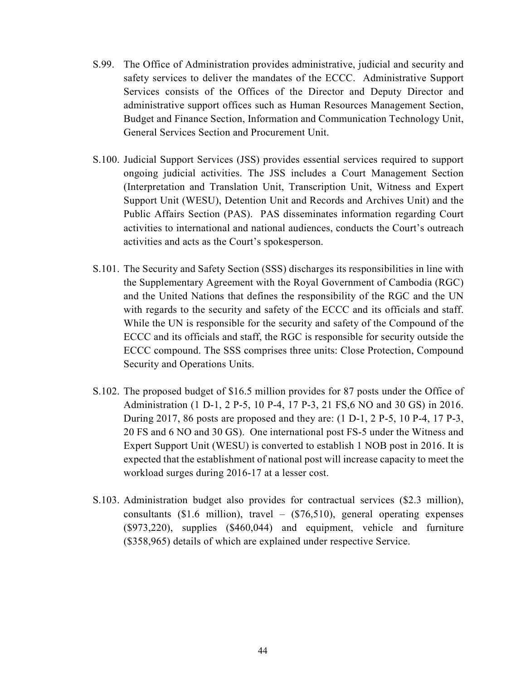- S.99. The Office of Administration provides administrative, judicial and security and safety services to deliver the mandates of the ECCC. Administrative Support Services consists of the Offices of the Director and Deputy Director and administrative support offices such as Human Resources Management Section, Budget and Finance Section, Information and Communication Technology Unit, General Services Section and Procurement Unit.
- S.100. Judicial Support Services (JSS) provides essential services required to support ongoing judicial activities. The JSS includes a Court Management Section (Interpretation and Translation Unit, Transcription Unit, Witness and Expert Support Unit (WESU), Detention Unit and Records and Archives Unit) and the Public Affairs Section (PAS). PAS disseminates information regarding Court activities to international and national audiences, conducts the Court's outreach activities and acts as the Court's spokesperson.
- S.101. The Security and Safety Section (SSS) discharges its responsibilities in line with the Supplementary Agreement with the Royal Government of Cambodia (RGC) and the United Nations that defines the responsibility of the RGC and the UN with regards to the security and safety of the ECCC and its officials and staff. While the UN is responsible for the security and safety of the Compound of the ECCC and its officials and staff, the RGC is responsible for security outside the ECCC compound. The SSS comprises three units: Close Protection, Compound Security and Operations Units.
- S.102. The proposed budget of \$16.5 million provides for 87 posts under the Office of Administration (1 D-1, 2 P-5, 10 P-4, 17 P-3, 21 FS,6 NO and 30 GS) in 2016. During 2017, 86 posts are proposed and they are: (1 D-1, 2 P-5, 10 P-4, 17 P-3, 20 FS and 6 NO and 30 GS). One international post FS-5 under the Witness and Expert Support Unit (WESU) is converted to establish 1 NOB post in 2016. It is expected that the establishment of national post will increase capacity to meet the workload surges during 2016-17 at a lesser cost.
- S.103. Administration budget also provides for contractual services (\$2.3 million), consultants (\$1.6 million), travel – (\$76,510), general operating expenses (\$973,220), supplies (\$460,044) and equipment, vehicle and furniture (\$358,965) details of which are explained under respective Service.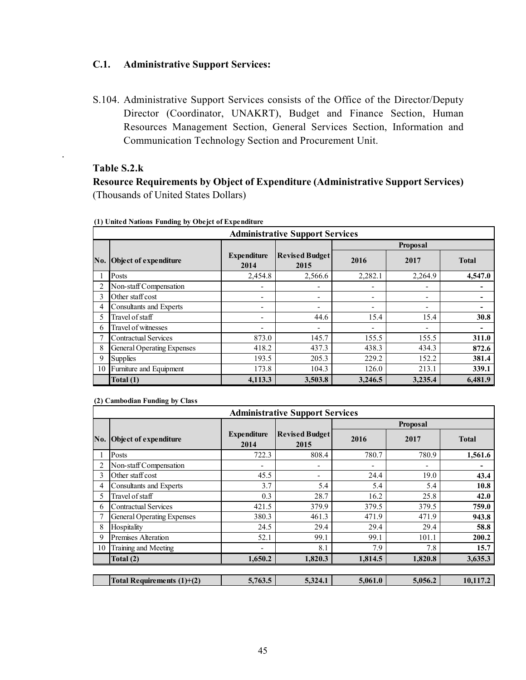#### **C.1. Administrative Support Services:**

S.104. Administrative Support Services consists of the Office of the Director/Deputy Director (Coordinator, UNAKRT), Budget and Finance Section, Human Resources Management Section, General Services Section, Information and Communication Technology Section and Procurement Unit.

#### **Table S.2.k**

.

**Resource Requirements by Object of Expenditure (Administrative Support Services)**  (Thousands of United States Dollars)

|     | <b>Administrative Support Services</b> |                            |                               |         |                          |              |  |  |  |  |  |  |
|-----|----------------------------------------|----------------------------|-------------------------------|---------|--------------------------|--------------|--|--|--|--|--|--|
|     |                                        |                            |                               |         | Proposal                 |              |  |  |  |  |  |  |
| No. | Object of expenditure                  | <b>Expenditure</b><br>2014 | <b>Revised Budget</b><br>2015 | 2016    | 2017                     | <b>Total</b> |  |  |  |  |  |  |
|     | Posts                                  | 2,454.8                    | 2,566.6                       | 2,282.1 | 2,264.9                  | 4,547.0      |  |  |  |  |  |  |
|     | Non-staff Compensation                 |                            |                               | -       | -                        |              |  |  |  |  |  |  |
| 3   | Other staff cost                       | $\overline{ }$             | ٠                             | ٠       | ٠                        |              |  |  |  |  |  |  |
|     | Consultants and Experts                | $\overline{ }$             | ٠                             | ٠       | ۰                        |              |  |  |  |  |  |  |
|     | Travel of staff                        | $\overline{ }$             | 44.6                          | 15.4    | 15.4                     | 30.8         |  |  |  |  |  |  |
| 6   | Travel of witnesses                    | $\blacksquare$             | ٠                             | ٠       | $\overline{\phantom{0}}$ | ۰            |  |  |  |  |  |  |
|     | <b>Contractual Services</b>            | 873.0                      | 145.7                         | 155.5   | 155.5                    | 311.0        |  |  |  |  |  |  |
| 8   | <b>General Operating Expenses</b>      | 418.2                      | 437.3                         | 438.3   | 434.3                    | 872.6        |  |  |  |  |  |  |
| 9   | <b>Supplies</b>                        | 193.5                      | 205.3                         | 229.2   | 152.2                    | 381.4        |  |  |  |  |  |  |
| 10  | Furniture and Equipment                | 173.8                      | 104.3                         | 126.0   | 213.1                    | 339.1        |  |  |  |  |  |  |
|     | Total (1)                              | 4,113.3                    | 3,503.8                       | 3,246.5 | 3,235.4                  | 6,481.9      |  |  |  |  |  |  |

**(1) United Nations Funding by Obejct of Expenditure**

**(2) Cambodian Funding by Class**

|     | <b>Administrative Support Services</b> |                            |                               |         |          |              |  |  |  |  |  |  |
|-----|----------------------------------------|----------------------------|-------------------------------|---------|----------|--------------|--|--|--|--|--|--|
|     |                                        |                            |                               |         | Proposal |              |  |  |  |  |  |  |
| No. | Object of expenditure                  | <b>Expenditure</b><br>2014 | <b>Revised Budget</b><br>2015 | 2016    | 2017     | <b>Total</b> |  |  |  |  |  |  |
|     | Posts                                  | 722.3                      | 808.4                         | 780.7   | 780.9    | 1,561.6      |  |  |  |  |  |  |
|     | Non-staff Compensation                 |                            | -                             | ۰       | ٠        |              |  |  |  |  |  |  |
| 3   | Other staff cost                       | 45.5                       | $\overline{\phantom{a}}$      | 24.4    | 19.0     | 43.4         |  |  |  |  |  |  |
| 4   | Consultants and Experts                | 3.7                        | 5.4                           | 5.4     | 5.4      | 10.8         |  |  |  |  |  |  |
|     | Travel of staff                        | 0.3                        | 28.7                          | 16.2    | 25.8     | 42.0         |  |  |  |  |  |  |
| 6   | <b>Contractual Services</b>            | 421.5                      | 379.9                         | 379.5   | 379.5    | 759.0        |  |  |  |  |  |  |
|     | General Operating Expenses             | 380.3                      | 461.3                         | 471.9   | 471.9    | 943.8        |  |  |  |  |  |  |
| 8   | Hospitality                            | 24.5                       | 29.4                          | 29.4    | 29.4     | 58.8         |  |  |  |  |  |  |
| 9   | <b>Premises Alteration</b>             | 52.1                       | 99.1                          | 99.1    | 101.1    | 200.2        |  |  |  |  |  |  |
| 10  | Training and Meeting                   |                            | 8.1                           | 7.9     | 7.8      | 15.7         |  |  |  |  |  |  |
|     | Total (2)                              | 1,650.2                    | 1,820.3                       | 1,814.5 | 1,820.8  | 3,635.3      |  |  |  |  |  |  |
|     |                                        |                            |                               |         |          |              |  |  |  |  |  |  |
|     | Total Requirements $(1)+(2)$           | 5,763.5                    | 5,324.1                       | 5,061.0 | 5,056.2  | 10,117.2     |  |  |  |  |  |  |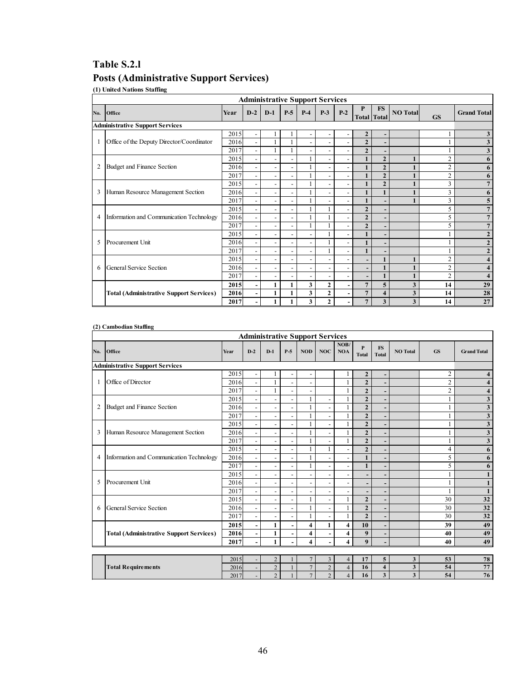## **Table S.2.l**

# **Posts (Administrative Support Services)**

**(1) United Nations Staffing**

|                |                                                |      |                          | <b>Administrative Support Services</b> |                          |                          |                          |                          |                |                                 |                 |                |                         |
|----------------|------------------------------------------------|------|--------------------------|----------------------------------------|--------------------------|--------------------------|--------------------------|--------------------------|----------------|---------------------------------|-----------------|----------------|-------------------------|
| No.            | Office                                         | Year | $D-2$                    | $D-1$                                  | $P-5$                    | $P-4$                    | $P-3$                    | $P-2$                    | P              | <b>FS</b><br><b>Total</b> Total | <b>NO</b> Total | <b>GS</b>      | <b>Grand Total</b>      |
|                | <b>Administrative Support Services</b>         |      |                          |                                        |                          |                          |                          |                          |                |                                 |                 |                |                         |
|                |                                                | 2015 |                          |                                        |                          |                          |                          |                          | $\overline{2}$ |                                 |                 |                | 3                       |
| $\mathbf{1}$   | Office of the Deputy Director/Coordinator      | 2016 | $\overline{\phantom{a}}$ |                                        |                          |                          |                          |                          | $\overline{2}$ |                                 |                 |                | 3                       |
|                |                                                | 2017 | $\overline{\phantom{a}}$ |                                        |                          | $\overline{\phantom{a}}$ | $\overline{\phantom{a}}$ |                          | $\overline{2}$ |                                 |                 |                | 3                       |
|                |                                                | 2015 | $\overline{\phantom{a}}$ | $\overline{\phantom{a}}$               |                          |                          | $\overline{\phantom{a}}$ |                          |                | $\overline{2}$                  |                 | $\overline{2}$ | 6                       |
| $\overline{2}$ | Budget and Finance Section                     | 2016 | $\overline{\phantom{a}}$ | $\overline{\phantom{a}}$               |                          |                          | $\overline{\phantom{a}}$ |                          |                | $\overline{2}$                  |                 | $\overline{2}$ | 6                       |
|                |                                                | 2017 | $\overline{\phantom{a}}$ | $\overline{\phantom{0}}$               |                          |                          | $\overline{\phantom{a}}$ |                          |                | $\overline{2}$                  |                 | $\overline{2}$ | 6                       |
|                |                                                | 2015 | $\overline{\phantom{a}}$ | $\overline{\phantom{a}}$               |                          |                          | $\overline{\phantom{0}}$ |                          |                | $\overline{2}$                  |                 | 3              |                         |
| 3              | Human Resource Management Section              | 2016 | $\blacksquare$           | $\overline{\phantom{a}}$               |                          |                          | $\overline{\phantom{0}}$ |                          |                | 1                               |                 | 3              | 6                       |
|                |                                                | 2017 | $\overline{\phantom{a}}$ | $\overline{\phantom{0}}$               | $\overline{\phantom{0}}$ |                          | $\overline{\phantom{0}}$ | $\overline{\phantom{0}}$ |                |                                 |                 | 3              | 5                       |
|                |                                                | 2015 | $\overline{\phantom{a}}$ | $\overline{\phantom{a}}$               | $\overline{\phantom{a}}$ |                          |                          |                          | $\overline{2}$ |                                 |                 | 5              | 7                       |
| $\overline{4}$ | Information and Communication Technology       | 2016 | $\overline{\phantom{a}}$ | $\overline{\phantom{a}}$               | $\overline{\phantom{a}}$ |                          |                          |                          | $\overline{2}$ |                                 |                 | 5              | 7                       |
|                |                                                | 2017 | $\overline{\phantom{a}}$ | $\overline{\phantom{a}}$               | $\overline{\phantom{a}}$ |                          |                          |                          | $\overline{2}$ |                                 |                 | 5              | 7                       |
|                |                                                | 2015 | $\overline{\phantom{0}}$ | $\overline{\phantom{0}}$               |                          |                          |                          |                          |                |                                 |                 |                | $\overline{2}$          |
| 5              | Procurement Unit                               | 2016 |                          | $\overline{\phantom{a}}$               |                          | $\overline{\phantom{0}}$ |                          |                          |                |                                 |                 |                | $\mathbf{2}$            |
|                |                                                | 2017 |                          |                                        |                          |                          |                          |                          |                |                                 |                 |                | $\mathbf{2}$            |
|                |                                                | 2015 |                          |                                        |                          |                          |                          |                          |                | $\mathbf{1}$                    |                 | $\overline{2}$ | $\overline{\mathbf{4}}$ |
| 6              | <b>General Service Section</b>                 | 2016 |                          | $\overline{\phantom{0}}$               |                          |                          |                          |                          |                | $\mathbf{1}$                    | 1               | $\overline{2}$ | $\overline{\mathbf{4}}$ |
|                |                                                | 2017 | $\overline{\phantom{a}}$ | $\overline{\phantom{0}}$               | $\overline{\phantom{0}}$ | $\overline{\phantom{a}}$ | $\overline{\phantom{0}}$ |                          |                | $\mathbf{1}$                    | 1               | $\overline{2}$ | $\overline{\mathbf{4}}$ |
|                |                                                | 2015 |                          | $\mathbf{1}$                           |                          | 3                        | $\overline{2}$           |                          | $\overline{7}$ | 5                               | 3               | 14             | 29                      |
|                | <b>Total (Administrative Support Services)</b> | 2016 |                          | $\mathbf{1}$                           | 1                        | 3                        | $\overline{2}$           |                          | $\overline{7}$ | $\overline{\bf{4}}$             | 3               | 14             | 28                      |
|                |                                                | 2017 |                          |                                        |                          | 3                        | $\overline{2}$           |                          | $\overline{7}$ | 3                               | 3               | 14             | 27                      |

#### **(2) Cambodian Staffing**

|                | <b>Administrative Support Services</b>         |      |                          |                          |                              |                          |                          |                    |                              |                           |                         |                |                         |
|----------------|------------------------------------------------|------|--------------------------|--------------------------|------------------------------|--------------------------|--------------------------|--------------------|------------------------------|---------------------------|-------------------------|----------------|-------------------------|
| No.            | Office                                         | Year | $D-2$                    | $D-1$                    | $P-5$                        | <b>NOD</b>               | <b>NOC</b>               | NOB/<br><b>NOA</b> | $\mathbf{P}$<br><b>Total</b> | <b>FS</b><br><b>Total</b> | <b>NO</b> Total         | <b>GS</b>      | <b>Grand Total</b>      |
|                | <b>Administrative Support Services</b>         |      |                          |                          |                              |                          |                          |                    |                              |                           |                         |                |                         |
|                |                                                | 2015 |                          |                          |                              |                          |                          |                    | $\mathbf{2}$                 |                           |                         | $\overline{2}$ | 4                       |
| $\mathbf{1}$   | Office of Director                             | 2016 | $\overline{a}$           | $\mathbf{1}$             | $\overline{a}$               |                          |                          |                    | $\overline{2}$               | $\overline{\phantom{0}}$  |                         | $\overline{c}$ | $\overline{\mathbf{4}}$ |
|                |                                                | 2017 | $\overline{\phantom{a}}$ | 1                        |                              | $\overline{\phantom{0}}$ |                          |                    | $\overline{2}$               |                           |                         | $\overline{2}$ | $\overline{\mathbf{4}}$ |
|                |                                                | 2015 | $\overline{a}$           |                          |                              |                          |                          |                    | $\overline{2}$               |                           |                         |                | 3                       |
| $\overline{2}$ | Budget and Finance Section                     | 2016 | $\overline{a}$           | $\overline{\phantom{0}}$ |                              | 1                        | $\overline{a}$           |                    | $\overline{2}$               | ٠                         |                         |                | 3                       |
|                |                                                | 2017 | $\overline{\phantom{a}}$ | $\overline{\phantom{a}}$ |                              | 1                        | $\overline{\phantom{a}}$ |                    | $\overline{2}$               | $\overline{\phantom{a}}$  |                         |                | 3                       |
|                |                                                | 2015 | $\overline{\phantom{a}}$ | $\overline{\phantom{0}}$ | $\overline{a}$               | 1                        | $\frac{1}{2}$            |                    | $\overline{2}$               |                           |                         |                | 3                       |
| 3              | Human Resource Management Section              | 2016 |                          | $\overline{\phantom{a}}$ |                              | 1                        | $\overline{\phantom{0}}$ |                    | $\overline{2}$               |                           |                         |                | 3                       |
|                |                                                | 2017 | $\overline{\phantom{a}}$ | $\overline{\phantom{a}}$ |                              | 1                        | $\overline{\phantom{a}}$ |                    | $\overline{2}$               |                           |                         |                | 3                       |
|                |                                                | 2015 | $\overline{\phantom{a}}$ | $\overline{\phantom{a}}$ |                              | 1                        | 1                        |                    | $\overline{2}$               |                           |                         | $\overline{4}$ | 6                       |
| $\overline{4}$ | Information and Communication Technology       | 2016 | $\overline{\phantom{a}}$ | $\overline{\phantom{a}}$ |                              | 1                        | $\overline{\phantom{a}}$ |                    | $\mathbf{1}$                 |                           |                         | 5              | 6                       |
|                |                                                | 2017 | $\overline{\phantom{a}}$ | $\overline{\phantom{a}}$ | $\overline{a}$               |                          | $\overline{\phantom{a}}$ |                    | $\mathbf{1}$                 | ٠                         |                         | 5              | 6                       |
|                |                                                | 2015 | $\overline{\phantom{a}}$ | $\overline{\phantom{0}}$ |                              |                          | $\overline{\phantom{0}}$ |                    |                              |                           |                         |                | $\mathbf{1}$            |
| 5              | Procurement Unit                               | 2016 | $\overline{\phantom{a}}$ | $\overline{\phantom{a}}$ |                              |                          |                          |                    |                              |                           |                         |                | 1                       |
|                |                                                | 2017 |                          | $\overline{\phantom{0}}$ |                              |                          |                          |                    |                              |                           |                         |                | $\mathbf{1}$            |
|                |                                                | 2015 | $\overline{\phantom{a}}$ | $\overline{\phantom{a}}$ |                              | 1                        | $\overline{\phantom{a}}$ |                    | $\overline{2}$               |                           |                         | 30             | 32                      |
| 6              | General Service Section                        | 2016 | $\overline{\phantom{a}}$ | $\overline{\phantom{a}}$ | $\overline{a}$               |                          | $\overline{\phantom{a}}$ |                    | $\overline{2}$               |                           |                         | 30             | 32                      |
|                |                                                | 2017 | $\overline{\phantom{a}}$ | $\overline{\phantom{a}}$ |                              | 1                        | $\overline{a}$           |                    | $\overline{2}$               |                           |                         | 30             | 32                      |
|                |                                                | 2015 | $\overline{\phantom{a}}$ | 1                        |                              | 4                        | $\mathbf{1}$             | 4                  | 10                           |                           |                         | 39             | 49                      |
|                | <b>Total (Administrative Support Services)</b> | 2016 | $\overline{\phantom{a}}$ | $\mathbf{1}$             | $\qquad \qquad \blacksquare$ | 4                        | $\overline{\phantom{a}}$ | 4                  | 9                            | ٠                         |                         | 40             | 49                      |
|                |                                                | 2017 |                          | $\mathbf{1}$             |                              | $\overline{\bf{4}}$      | $\overline{a}$           | 4                  | $\boldsymbol{Q}$             |                           |                         | 40             | 49                      |
|                |                                                |      |                          |                          |                              |                          |                          |                    |                              |                           |                         |                |                         |
|                |                                                | 2015 |                          | $\overline{2}$           |                              |                          | 3                        | 4                  | 17                           | 5                         | 3                       | 53             | 78                      |
|                | <b>Total Requirements</b>                      | 2016 | $\overline{\phantom{a}}$ | $\overline{2}$           |                              | $\overline{7}$           | $\overline{2}$           | $\overline{4}$     | 16                           | $\overline{\mathbf{4}}$   | $\overline{\mathbf{3}}$ | 54             | 77                      |

2017 - 2 1 7 2 4 **16 3 3 54 76**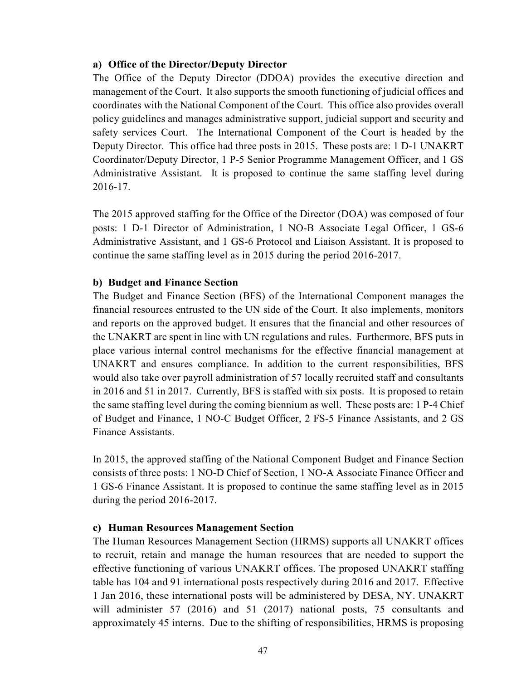### **a) Office of the Director/Deputy Director**

The Office of the Deputy Director (DDOA) provides the executive direction and management of the Court. It also supports the smooth functioning of judicial offices and coordinates with the National Component of the Court. This office also provides overall policy guidelines and manages administrative support, judicial support and security and safety services Court. The International Component of the Court is headed by the Deputy Director. This office had three posts in 2015. These posts are: 1 D-1 UNAKRT Coordinator/Deputy Director, 1 P-5 Senior Programme Management Officer, and 1 GS Administrative Assistant. It is proposed to continue the same staffing level during 2016-17.

The 2015 approved staffing for the Office of the Director (DOA) was composed of four posts: 1 D-1 Director of Administration, 1 NO-B Associate Legal Officer, 1 GS-6 Administrative Assistant, and 1 GS-6 Protocol and Liaison Assistant. It is proposed to continue the same staffing level as in 2015 during the period 2016-2017.

## **b) Budget and Finance Section**

The Budget and Finance Section (BFS) of the International Component manages the financial resources entrusted to the UN side of the Court. It also implements, monitors and reports on the approved budget. It ensures that the financial and other resources of the UNAKRT are spent in line with UN regulations and rules. Furthermore, BFS puts in place various internal control mechanisms for the effective financial management at UNAKRT and ensures compliance. In addition to the current responsibilities, BFS would also take over payroll administration of 57 locally recruited staff and consultants in 2016 and 51 in 2017. Currently, BFS is staffed with six posts. It is proposed to retain the same staffing level during the coming biennium as well. These posts are: 1 P-4 Chief of Budget and Finance, 1 NO-C Budget Officer, 2 FS-5 Finance Assistants, and 2 GS Finance Assistants.

In 2015, the approved staffing of the National Component Budget and Finance Section consists of three posts: 1 NO-D Chief of Section, 1 NO-A Associate Finance Officer and 1 GS-6 Finance Assistant. It is proposed to continue the same staffing level as in 2015 during the period 2016-2017.

## **c) Human Resources Management Section**

The Human Resources Management Section (HRMS) supports all UNAKRT offices to recruit, retain and manage the human resources that are needed to support the effective functioning of various UNAKRT offices. The proposed UNAKRT staffing table has 104 and 91 international posts respectively during 2016 and 2017. Effective 1 Jan 2016, these international posts will be administered by DESA, NY. UNAKRT will administer 57 (2016) and 51 (2017) national posts, 75 consultants and approximately 45 interns. Due to the shifting of responsibilities, HRMS is proposing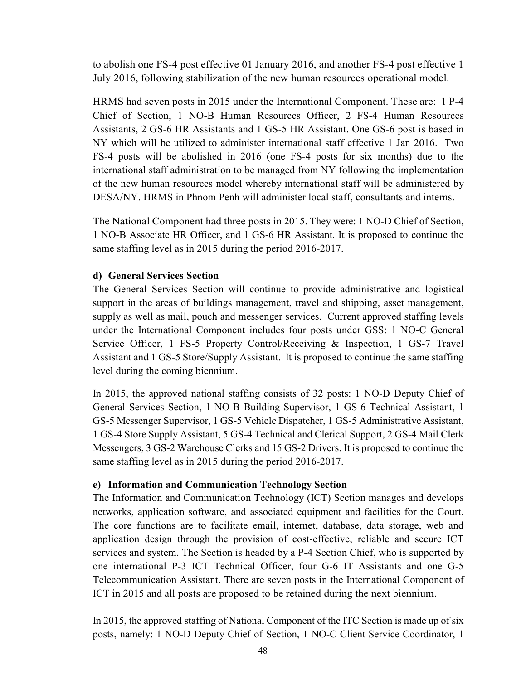to abolish one FS-4 post effective 01 January 2016, and another FS-4 post effective 1 July 2016, following stabilization of the new human resources operational model.

HRMS had seven posts in 2015 under the International Component. These are: 1 P-4 Chief of Section, 1 NO-B Human Resources Officer, 2 FS-4 Human Resources Assistants, 2 GS-6 HR Assistants and 1 GS-5 HR Assistant. One GS-6 post is based in NY which will be utilized to administer international staff effective 1 Jan 2016. Two FS-4 posts will be abolished in 2016 (one FS-4 posts for six months) due to the international staff administration to be managed from NY following the implementation of the new human resources model whereby international staff will be administered by DESA/NY. HRMS in Phnom Penh will administer local staff, consultants and interns.

The National Component had three posts in 2015. They were: 1 NO-D Chief of Section, 1 NO-B Associate HR Officer, and 1 GS-6 HR Assistant. It is proposed to continue the same staffing level as in 2015 during the period 2016-2017.

## **d) General Services Section**

The General Services Section will continue to provide administrative and logistical support in the areas of buildings management, travel and shipping, asset management, supply as well as mail, pouch and messenger services. Current approved staffing levels under the International Component includes four posts under GSS: 1 NO-C General Service Officer, 1 FS-5 Property Control/Receiving & Inspection, 1 GS-7 Travel Assistant and 1 GS-5 Store/Supply Assistant. It is proposed to continue the same staffing level during the coming biennium.

In 2015, the approved national staffing consists of 32 posts: 1 NO-D Deputy Chief of General Services Section, 1 NO-B Building Supervisor, 1 GS-6 Technical Assistant, 1 GS-5 Messenger Supervisor, 1 GS-5 Vehicle Dispatcher, 1 GS-5 Administrative Assistant, 1 GS-4 Store Supply Assistant, 5 GS-4 Technical and Clerical Support, 2 GS-4 Mail Clerk Messengers, 3 GS-2 Warehouse Clerks and 15 GS-2 Drivers. It is proposed to continue the same staffing level as in 2015 during the period 2016-2017.

#### **e) Information and Communication Technology Section**

The Information and Communication Technology (ICT) Section manages and develops networks, application software, and associated equipment and facilities for the Court. The core functions are to facilitate email, internet, database, data storage, web and application design through the provision of cost-effective, reliable and secure ICT services and system. The Section is headed by a P-4 Section Chief, who is supported by one international P-3 ICT Technical Officer, four G-6 IT Assistants and one G-5 Telecommunication Assistant. There are seven posts in the International Component of ICT in 2015 and all posts are proposed to be retained during the next biennium.

In 2015, the approved staffing of National Component of the ITC Section is made up of six posts, namely: 1 NO-D Deputy Chief of Section, 1 NO-C Client Service Coordinator, 1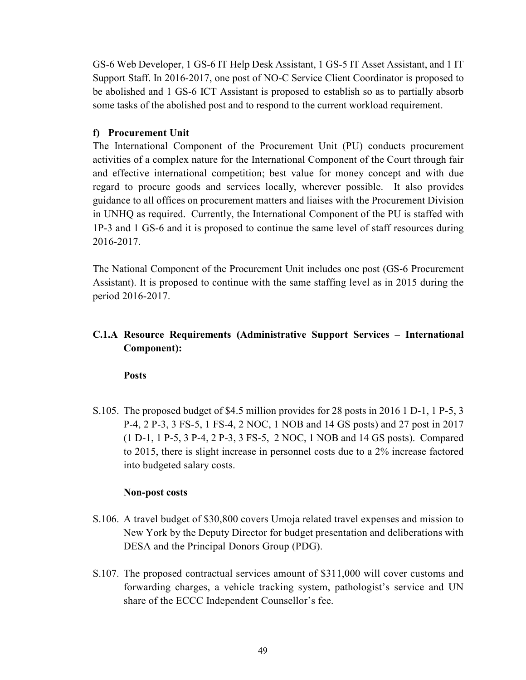GS-6 Web Developer, 1 GS-6 IT Help Desk Assistant, 1 GS-5 IT Asset Assistant, and 1 IT Support Staff. In 2016-2017, one post of NO-C Service Client Coordinator is proposed to be abolished and 1 GS-6 ICT Assistant is proposed to establish so as to partially absorb some tasks of the abolished post and to respond to the current workload requirement.

## **f) Procurement Unit**

The International Component of the Procurement Unit (PU) conducts procurement activities of a complex nature for the International Component of the Court through fair and effective international competition; best value for money concept and with due regard to procure goods and services locally, wherever possible. It also provides guidance to all offices on procurement matters and liaises with the Procurement Division in UNHQ as required. Currently, the International Component of the PU is staffed with 1P-3 and 1 GS-6 and it is proposed to continue the same level of staff resources during 2016-2017.

The National Component of the Procurement Unit includes one post (GS-6 Procurement Assistant). It is proposed to continue with the same staffing level as in 2015 during the period 2016-2017.

## **C.1.A Resource Requirements (Administrative Support Services – International Component):**

**Posts** 

S.105. The proposed budget of \$4.5 million provides for 28 posts in 2016 1 D-1, 1 P-5, 3 P-4, 2 P-3, 3 FS-5, 1 FS-4, 2 NOC, 1 NOB and 14 GS posts) and 27 post in 2017 (1 D-1, 1 P-5, 3 P-4, 2 P-3, 3 FS-5, 2 NOC, 1 NOB and 14 GS posts). Compared to 2015, there is slight increase in personnel costs due to a 2% increase factored into budgeted salary costs.

## **Non-post costs**

- S.106. A travel budget of \$30,800 covers Umoja related travel expenses and mission to New York by the Deputy Director for budget presentation and deliberations with DESA and the Principal Donors Group (PDG).
- S.107. The proposed contractual services amount of \$311,000 will cover customs and forwarding charges, a vehicle tracking system, pathologist's service and UN share of the ECCC Independent Counsellor's fee.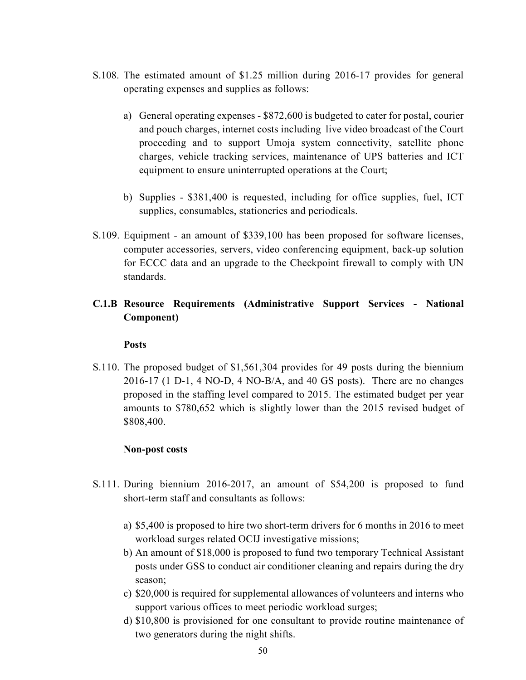- S.108. The estimated amount of \$1.25 million during 2016-17 provides for general operating expenses and supplies as follows:
	- a) General operating expenses \$872,600 is budgeted to cater for postal, courier and pouch charges, internet costs including live video broadcast of the Court proceeding and to support Umoja system connectivity, satellite phone charges, vehicle tracking services, maintenance of UPS batteries and ICT equipment to ensure uninterrupted operations at the Court;
	- b) Supplies \$381,400 is requested, including for office supplies, fuel, ICT supplies, consumables, stationeries and periodicals.
- S.109. Equipment an amount of \$339,100 has been proposed for software licenses, computer accessories, servers, video conferencing equipment, back-up solution for ECCC data and an upgrade to the Checkpoint firewall to comply with UN standards.

## **C.1.B Resource Requirements (Administrative Support Services - National Component)**

#### **Posts**

S.110. The proposed budget of \$1,561,304 provides for 49 posts during the biennium 2016-17 (1 D-1, 4 NO-D, 4 NO-B/A, and 40 GS posts). There are no changes proposed in the staffing level compared to 2015. The estimated budget per year amounts to \$780,652 which is slightly lower than the 2015 revised budget of \$808,400.

## **Non-post costs**

- S.111. During biennium 2016-2017, an amount of \$54,200 is proposed to fund short-term staff and consultants as follows:
	- a) \$5,400 is proposed to hire two short-term drivers for 6 months in 2016 to meet workload surges related OCIJ investigative missions;
	- b) An amount of \$18,000 is proposed to fund two temporary Technical Assistant posts under GSS to conduct air conditioner cleaning and repairs during the dry season;
	- c) \$20,000 is required for supplemental allowances of volunteers and interns who support various offices to meet periodic workload surges;
	- d) \$10,800 is provisioned for one consultant to provide routine maintenance of two generators during the night shifts.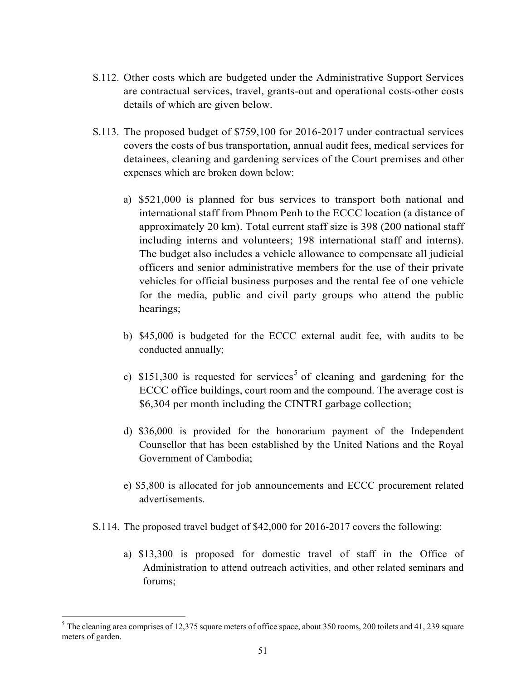- S.112. Other costs which are budgeted under the Administrative Support Services are contractual services, travel, grants-out and operational costs-other costs details of which are given below.
- S.113. The proposed budget of \$759,100 for 2016-2017 under contractual services covers the costs of bus transportation, annual audit fees, medical services for detainees, cleaning and gardening services of the Court premises and other expenses which are broken down below:
	- a) \$521,000 is planned for bus services to transport both national and international staff from Phnom Penh to the ECCC location (a distance of approximately 20 km). Total current staff size is 398 (200 national staff including interns and volunteers; 198 international staff and interns). The budget also includes a vehicle allowance to compensate all judicial officers and senior administrative members for the use of their private vehicles for official business purposes and the rental fee of one vehicle for the media, public and civil party groups who attend the public hearings;
	- b) \$45,000 is budgeted for the ECCC external audit fee, with audits to be conducted annually;
	- c)  $$151,300$  is requested for services<sup>5</sup> of cleaning and gardening for the ECCC office buildings, court room and the compound. The average cost is \$6,304 per month including the CINTRI garbage collection;
	- d) \$36,000 is provided for the honorarium payment of the Independent Counsellor that has been established by the United Nations and the Royal Government of Cambodia;
	- e) \$5,800 is allocated for job announcements and ECCC procurement related advertisements.
- S.114. The proposed travel budget of \$42,000 for 2016-2017 covers the following:
	- a) \$13,300 is proposed for domestic travel of staff in the Office of Administration to attend outreach activities, and other related seminars and forums;

l

 $<sup>5</sup>$  The cleaning area comprises of 12,375 square meters of office space, about 350 rooms, 200 toilets and 41, 239 square</sup> meters of garden.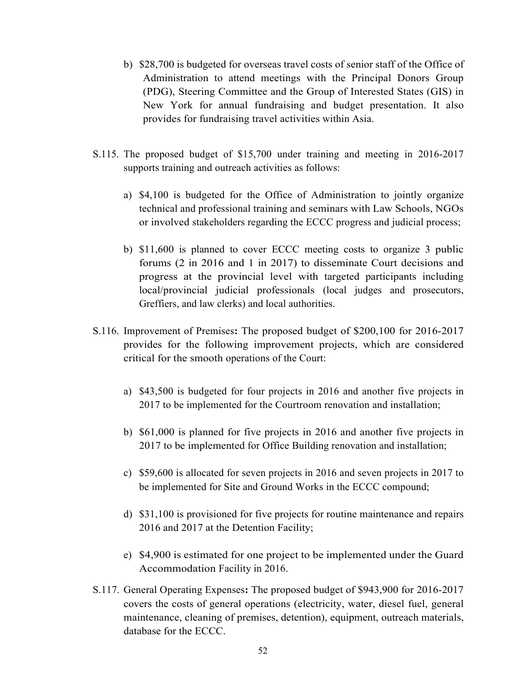- b) \$28,700 is budgeted for overseas travel costs of senior staff of the Office of Administration to attend meetings with the Principal Donors Group (PDG), Steering Committee and the Group of Interested States (GIS) in New York for annual fundraising and budget presentation. It also provides for fundraising travel activities within Asia.
- S.115. The proposed budget of \$15,700 under training and meeting in 2016-2017 supports training and outreach activities as follows:
	- a) \$4,100 is budgeted for the Office of Administration to jointly organize technical and professional training and seminars with Law Schools, NGOs or involved stakeholders regarding the ECCC progress and judicial process;
	- b) \$11,600 is planned to cover ECCC meeting costs to organize 3 public forums (2 in 2016 and 1 in 2017) to disseminate Court decisions and progress at the provincial level with targeted participants including local/provincial judicial professionals (local judges and prosecutors, Greffiers, and law clerks) and local authorities.
- S.116. Improvement of Premises**:** The proposed budget of \$200,100 for 2016-2017 provides for the following improvement projects, which are considered critical for the smooth operations of the Court:
	- a) \$43,500 is budgeted for four projects in 2016 and another five projects in 2017 to be implemented for the Courtroom renovation and installation;
	- b) \$61,000 is planned for five projects in 2016 and another five projects in 2017 to be implemented for Office Building renovation and installation;
	- c) \$59,600 is allocated for seven projects in 2016 and seven projects in 2017 to be implemented for Site and Ground Works in the ECCC compound;
	- d) \$31,100 is provisioned for five projects for routine maintenance and repairs 2016 and 2017 at the Detention Facility;
	- e) \$4,900 is estimated for one project to be implemented under the Guard Accommodation Facility in 2016.
- S.117. General Operating Expenses**:** The proposed budget of \$943,900 for 2016-2017 covers the costs of general operations (electricity, water, diesel fuel, general maintenance, cleaning of premises, detention), equipment, outreach materials, database for the ECCC.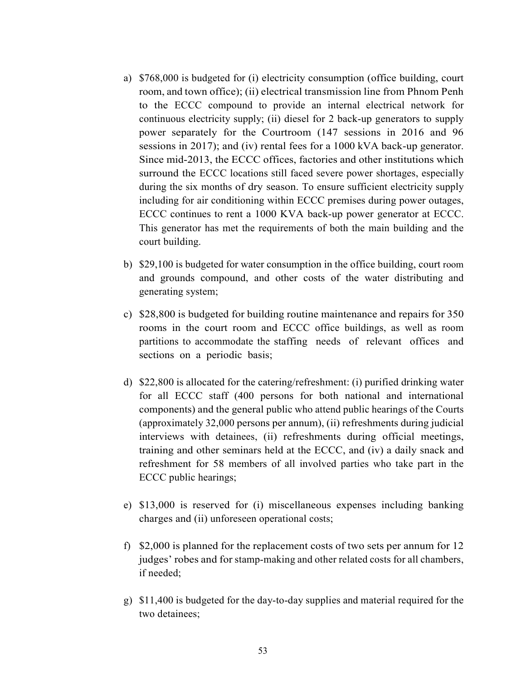- a) \$768,000 is budgeted for (i) electricity consumption (office building, court room, and town office); (ii) electrical transmission line from Phnom Penh to the ECCC compound to provide an internal electrical network for continuous electricity supply; (ii) diesel for 2 back-up generators to supply power separately for the Courtroom (147 sessions in 2016 and 96 sessions in 2017); and (iv) rental fees for a 1000 kVA back-up generator. Since mid-2013, the ECCC offices, factories and other institutions which surround the ECCC locations still faced severe power shortages, especially during the six months of dry season. To ensure sufficient electricity supply including for air conditioning within ECCC premises during power outages, ECCC continues to rent a 1000 KVA back-up power generator at ECCC. This generator has met the requirements of both the main building and the court building.
- b) \$29,100 is budgeted for water consumption in the office building, court room and grounds compound, and other costs of the water distributing and generating system;
- c) \$28,800 is budgeted for building routine maintenance and repairs for 350 rooms in the court room and ECCC office buildings, as well as room partitions to accommodate the staffing needs of relevant offices and sections on a periodic basis;
- d) \$22,800 is allocated for the catering/refreshment: (i) purified drinking water for all ECCC staff (400 persons for both national and international components) and the general public who attend public hearings of the Courts (approximately 32,000 persons per annum), (ii) refreshments during judicial interviews with detainees, (ii) refreshments during official meetings, training and other seminars held at the ECCC, and (iv) a daily snack and refreshment for 58 members of all involved parties who take part in the ECCC public hearings;
- e) \$13,000 is reserved for (i) miscellaneous expenses including banking charges and (ii) unforeseen operational costs;
- f) \$2,000 is planned for the replacement costs of two sets per annum for 12 judges' robes and for stamp-making and other related costs for all chambers, if needed;
- g) \$11,400 is budgeted for the day-to-day supplies and material required for the two detainees;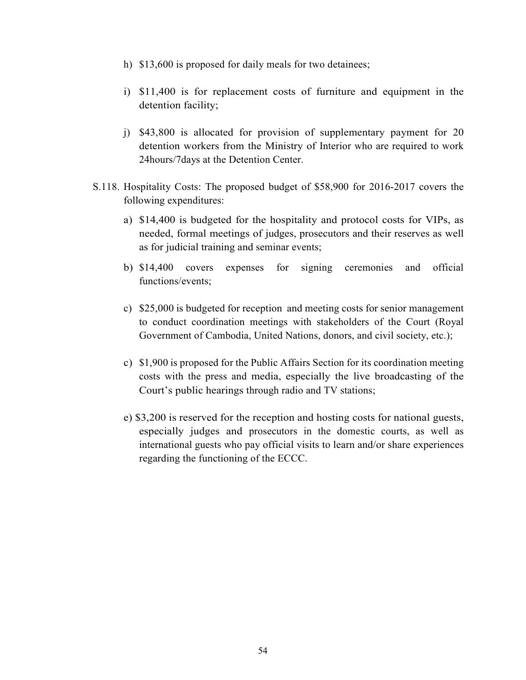- h) \$13,600 is proposed for daily meals for two detainees;
- i) \$11,400 is for replacement costs of furniture and equipment in the detention facility;
- j) \$43,800 is allocated for provision of supplementary payment for 20 detention workers from the Ministry of Interior who are required to work 24hours/7days at the Detention Center.
- S.118. Hospitality Costs: The proposed budget of \$58,900 for 2016-2017 covers the following expenditures:
	- a) \$14,400 is budgeted for the hospitality and protocol costs for VIPs, as needed, formal meetings of judges, prosecutors and their reserves as well as for judicial training and seminar events;
	- b) \$14,400 covers expenses for signing ceremonies and official functions/events;
	- c) \$25,000 is budgeted for reception and meeting costs for senior management to conduct coordination meetings with stakeholders of the Court (Royal Government of Cambodia, United Nations, donors, and civil society, etc.);
	- c) \$1,900 is proposed for the Public Affairs Section for its coordination meeting costs with the press and media, especially the live broadcasting of the Court's public hearings through radio and TV stations;
	- e) \$3,200 is reserved for the reception and hosting costs for national guests, especially judges and prosecutors in the domestic courts, as well as international guests who pay official visits to learn and/or share experiences regarding the functioning of the ECCC.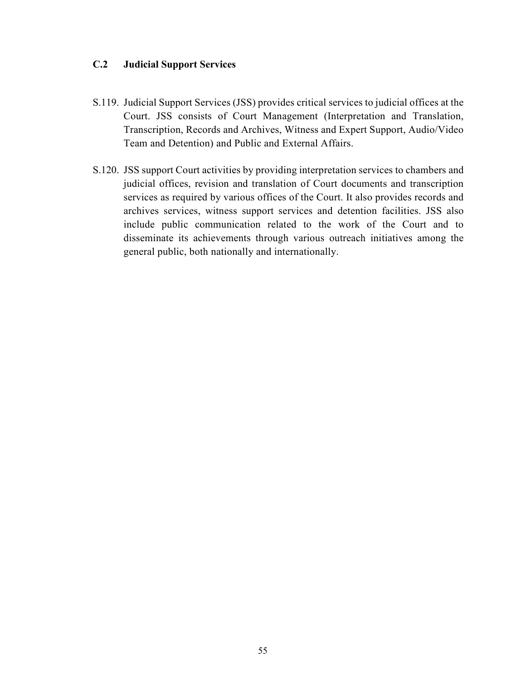## **C.2 Judicial Support Services**

- S.119. Judicial Support Services (JSS) provides critical services to judicial offices at the Court. JSS consists of Court Management (Interpretation and Translation, Transcription, Records and Archives, Witness and Expert Support, Audio/Video Team and Detention) and Public and External Affairs.
- S.120. JSS support Court activities by providing interpretation services to chambers and judicial offices, revision and translation of Court documents and transcription services as required by various offices of the Court. It also provides records and archives services, witness support services and detention facilities. JSS also include public communication related to the work of the Court and to disseminate its achievements through various outreach initiatives among the general public, both nationally and internationally.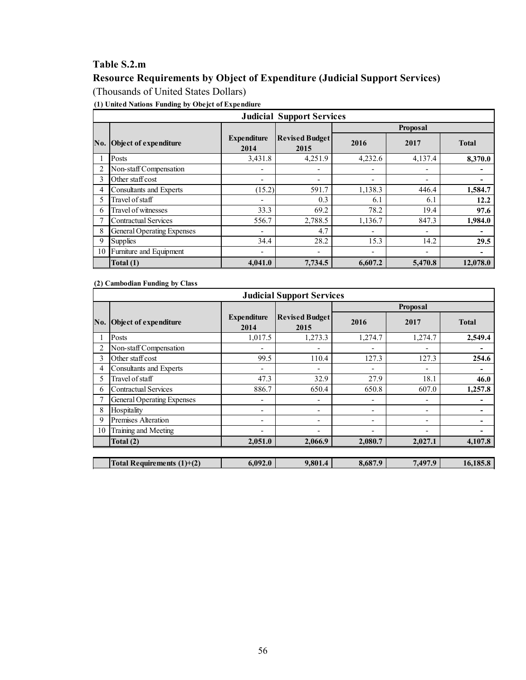## **Table S.2.m**

## **Resource Requirements by Object of Expenditure (Judicial Support Services)**  (Thousands of United States Dollars)

**(1) United Nations Funding by Obejct of Expendiure**

|     |                                |                            | <b>Judicial Support Services</b> |                          |         |              |  |  |  |
|-----|--------------------------------|----------------------------|----------------------------------|--------------------------|---------|--------------|--|--|--|
|     |                                |                            | <b>Proposal</b>                  |                          |         |              |  |  |  |
| No. | <b>Object of expenditure</b>   | <b>Expenditure</b><br>2014 | <b>Revised Budget</b><br>2015    | 2016                     | 2017    | <b>Total</b> |  |  |  |
|     | Posts                          | 3,431.8                    | 4,251.9                          | 4,232.6                  | 4,137.4 | 8,370.0      |  |  |  |
|     | Non-staff Compensation         |                            | -                                | ۰                        | ٠       |              |  |  |  |
| 3   | Other staff cost               | $\overline{a}$             | $\overline{\phantom{a}}$         | $\overline{\phantom{a}}$ | ۰       |              |  |  |  |
| 4   | <b>Consultants and Experts</b> | (15.2)                     | 591.7                            | 1,138.3                  | 446.4   | 1,584.7      |  |  |  |
| 5   | Travel of staff                |                            | 0.3                              | 6.1                      | 6.1     | 12.2         |  |  |  |
| 6   | Travel of witnesses            | 33.3                       | 69.2                             | 78.2                     | 19.4    | 97.6         |  |  |  |
|     | <b>Contractual Services</b>    | 556.7                      | 2,788.5                          | 1,136.7                  | 847.3   | 1,984.0      |  |  |  |
| 8   | General Operating Expenses     |                            | 4.7                              | ۰                        | ۰       |              |  |  |  |
| 9   | <b>Supplies</b>                | 34.4                       | 28.2                             | 15.3                     | 14.2    | 29.5         |  |  |  |
| 10  | Furniture and Equipment        |                            | $\overline{\phantom{0}}$         | ۰                        | ۰       | -            |  |  |  |
|     | Total (1)                      | 4,041.0                    | 7,734.5                          | 6,607.2                  | 5,470.8 | 12,078.0     |  |  |  |

**(2) Cambodian Funding by Class**

|     |                              |                            | <b>Judicial Support Services</b> |                          |                          |              |
|-----|------------------------------|----------------------------|----------------------------------|--------------------------|--------------------------|--------------|
|     |                              |                            |                                  |                          | Proposal                 |              |
| No. | Object of expenditure        | <b>Expenditure</b><br>2014 | <b>Revised Budget</b><br>2015    | 2016                     | 2017                     | <b>Total</b> |
|     | Posts                        | 1,017.5                    | 1,273.3                          | 1,274.7                  | 1,274.7                  | 2,549.4      |
|     | Non-staff Compensation       |                            | ٠                                | ٠                        | ٠                        | -            |
| 3   | Other staff cost             | 99.5                       | 110.4                            | 127.3                    | 127.3                    | 254.6        |
| 4   | Consultants and Experts      |                            |                                  | ٠                        | ٠                        | ۰            |
|     | Travel of staff              | 47.3                       | 32.9                             | 27.9                     | 18.1                     | 46.0         |
| 6   | <b>Contractual Services</b>  | 886.7                      | 650.4                            | 650.8                    | 607.0                    | 1,257.8      |
|     | General Operating Expenses   |                            | ٠                                | ٠                        | ٠                        |              |
| 8   | Hospitality                  | $\overline{\phantom{a}}$   | $\overline{\phantom{a}}$         | $\overline{\phantom{a}}$ | $\overline{\phantom{a}}$ |              |
| 9   | <b>Premises Alteration</b>   | ٠                          | $\overline{\phantom{a}}$         | ٠                        | ٠                        |              |
| 10  | Training and Meeting         |                            |                                  | ٠                        |                          |              |
|     | Total $(2)$                  | 2,051.0                    | 2,066.9                          | 2,080.7                  | 2,027.1                  | 4,107.8      |
|     |                              |                            |                                  |                          |                          |              |
|     | Total Requirements $(1)+(2)$ | 6,092.0                    | 9,801.4                          | 8,687.9                  | 7,497.9                  | 16,185.8     |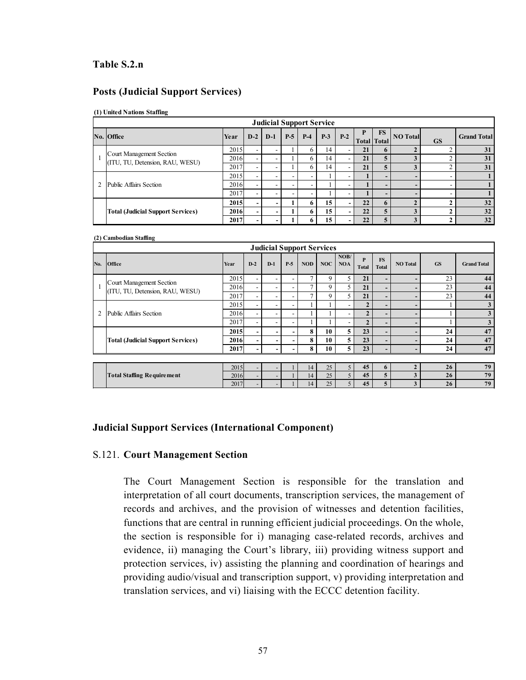### **Table S.2.n**

#### **Posts (Judicial Support Services)**

#### **(1) United Nations Staffing**

**(2) Cambodian Staffing** 

| <b>Judicial Support Service</b>          |      |                          |   |       |              |       |       |    |                                 |                 |           |                    |  |  |
|------------------------------------------|------|--------------------------|---|-------|--------------|-------|-------|----|---------------------------------|-----------------|-----------|--------------------|--|--|
| No. Office                               | Year | $D-2$ D-1                |   | $P-5$ | $P-4$        | $P-3$ | $P-2$ |    | <b>FS</b><br><b>Total</b> Total | <b>NO</b> Total | <b>GS</b> | <b>Grand Total</b> |  |  |
| Court Management Section                 | 2015 | $\overline{\phantom{a}}$ |   |       | <sub>6</sub> | 14    |       | 21 | o                               |                 |           | 31                 |  |  |
| (ITU, TU, Detension, RAU, WESU)          | 2016 | $\overline{\phantom{a}}$ |   |       | 6            | 14    |       | 21 |                                 |                 |           | 31                 |  |  |
|                                          | 2017 | $\overline{\phantom{a}}$ | - |       | <sub>6</sub> | 14    |       | 21 |                                 |                 |           | 31                 |  |  |
|                                          | 2015 | $\overline{\phantom{a}}$ | - |       |              |       |       |    | $\overline{\phantom{0}}$        |                 |           |                    |  |  |
| Public Affairs Section                   | 2016 | $\overline{\phantom{a}}$ | - |       |              |       | -     |    | $\overline{\phantom{0}}$        | ۰               |           |                    |  |  |
|                                          | 2017 | $\overline{\phantom{a}}$ | ۰ |       |              |       | -     |    |                                 |                 |           |                    |  |  |
|                                          | 2015 | $\overline{\phantom{0}}$ | - |       | 6            | 15    | - 1   | 22 | $\mathbf{r}$                    |                 |           | 32                 |  |  |
| <b>Total (Judicial Support Services)</b> | 2016 | $\overline{\phantom{0}}$ | - |       | 6            | 15    | ۰.    | 22 | 5                               | 3               |           | 32                 |  |  |
|                                          | 2017 |                          | - |       |              | 15    | - 1   | 22 | 5                               | 3               |           | 32                 |  |  |

|                | <b>Judicial Support Services</b>         |      |                          |                          |                          |                |            |                    |                   |                           |                          |           |                    |  |  |
|----------------|------------------------------------------|------|--------------------------|--------------------------|--------------------------|----------------|------------|--------------------|-------------------|---------------------------|--------------------------|-----------|--------------------|--|--|
| No.            | <b>Office</b>                            | Year | $D-2$                    | $D-1$                    | $P-5$                    | <b>NOD</b>     | <b>NOC</b> | NOB/<br><b>NOA</b> | P<br><b>Total</b> | <b>FS</b><br><b>Total</b> | <b>NO</b> Total          | <b>GS</b> | <b>Grand Total</b> |  |  |
|                | Court Management Section                 | 2015 | $\overline{\phantom{0}}$ | ۰                        | $\overline{\phantom{a}}$ | $\overline{ }$ | 9          | 5                  | 21                | -                         | -                        | 23        | 44                 |  |  |
|                | (ITU, TU, Detension, RAU, WESU)          | 2016 | $\overline{\phantom{a}}$ | $\overline{\phantom{0}}$ | $\overline{\phantom{a}}$ | 7              | 9          | 5.                 | 21                | $\overline{\phantom{0}}$  | $\overline{\phantom{0}}$ | 23        | 44                 |  |  |
|                |                                          | 2017 | $\overline{\phantom{a}}$ | $\overline{\phantom{0}}$ | $\overline{\phantom{a}}$ | $\overline{ }$ | 9          | 5.                 | 21                |                           | -                        | 23        | 44                 |  |  |
|                |                                          | 2015 | $\overline{\phantom{a}}$ | $\overline{\phantom{0}}$ | $\overline{\phantom{a}}$ |                |            | -                  | $\overline{2}$    | -                         | -                        |           | 3                  |  |  |
| $\overline{2}$ | Public Affairs Section                   | 2016 | $\overline{\phantom{0}}$ | $\overline{\phantom{0}}$ | $\overline{\phantom{a}}$ |                |            |                    | $\overline{2}$    | -                         | -                        |           | 3                  |  |  |
|                |                                          | 2017 | $\overline{\phantom{a}}$ | $\overline{\phantom{0}}$ | $\overline{\phantom{a}}$ |                |            | -                  |                   | -                         | $\overline{\phantom{0}}$ |           | 3                  |  |  |
|                |                                          | 2015 | $\overline{\phantom{0}}$ | $\overline{\phantom{0}}$ | $\overline{\phantom{a}}$ | 8              | 10         | 5 <sup>1</sup>     | 23                | -                         | -                        | 24        | 47                 |  |  |
|                | <b>Total (Judicial Support Services)</b> | 2016 | $\overline{\phantom{0}}$ | $\overline{\phantom{0}}$ |                          | 8              | 10         | $\overline{5}$     | 23                | -                         | -                        | 24        | 47                 |  |  |
|                |                                          | 2017 | ۰.                       | ۰                        |                          | 8              | 10         | 5 <sup>1</sup>     | 23                | -                         | -                        | 24        | 47                 |  |  |
|                |                                          |      |                          |                          |                          |                |            |                    |                   |                           |                          |           |                    |  |  |
|                |                                          | 2015 | $\overline{a}$           | $\overline{\phantom{a}}$ |                          | 14             | 25         | $\overline{5}$     | 45                | 6                         | $\overline{2}$           | 26        | 79                 |  |  |
|                | <b>Total Staffing Requirement</b>        | 2016 | $\overline{\phantom{0}}$ | $\overline{\phantom{0}}$ |                          | 14             | 25         | 5                  | 45                | 5                         | 3                        | 26        | 79                 |  |  |
|                |                                          | 2017 | $\overline{\phantom{0}}$ | $\overline{\phantom{0}}$ |                          | 14             | 25         | 5                  | 45                | 5                         | 3                        | 26        | 79                 |  |  |

#### **Judicial Support Services (International Component)**

#### S.121. **Court Management Section**

The Court Management Section is responsible for the translation and interpretation of all court documents, transcription services, the management of records and archives, and the provision of witnesses and detention facilities, functions that are central in running efficient judicial proceedings. On the whole, the section is responsible for i) managing case-related records, archives and evidence, ii) managing the Court's library, iii) providing witness support and protection services, iv) assisting the planning and coordination of hearings and providing audio/visual and transcription support, v) providing interpretation and translation services, and vi) liaising with the ECCC detention facility.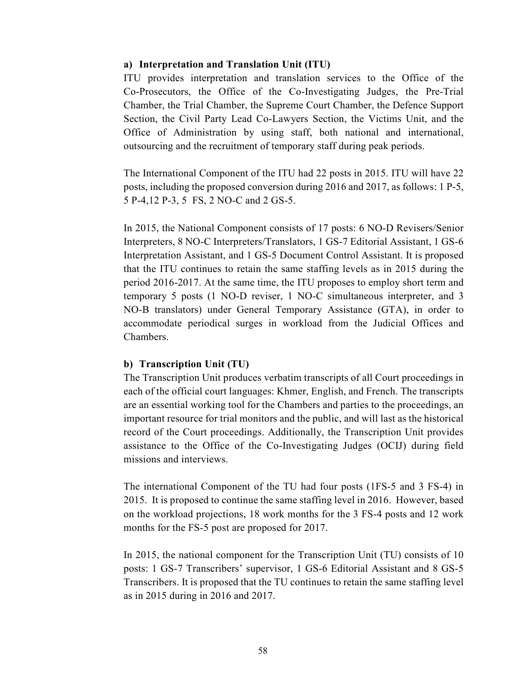#### **a) Interpretation and Translation Unit (ITU)**

ITU provides interpretation and translation services to the Office of the Co-Prosecutors, the Office of the Co-Investigating Judges, the Pre-Trial Chamber, the Trial Chamber, the Supreme Court Chamber, the Defence Support Section, the Civil Party Lead Co-Lawyers Section, the Victims Unit, and the Office of Administration by using staff, both national and international, outsourcing and the recruitment of temporary staff during peak periods.

The International Component of the ITU had 22 posts in 2015. ITU will have 22 posts, including the proposed conversion during 2016 and 2017, as follows: 1 P-5, 5 P-4,12 P-3, 5 FS, 2 NO-C and 2 GS-5.

In 2015, the National Component consists of 17 posts: 6 NO-D Revisers/Senior Interpreters, 8 NO-C Interpreters/Translators, 1 GS-7 Editorial Assistant, 1 GS-6 Interpretation Assistant, and 1 GS-5 Document Control Assistant. It is proposed that the ITU continues to retain the same staffing levels as in 2015 during the period 2016-2017. At the same time, the ITU proposes to employ short term and temporary 5 posts (1 NO-D reviser, 1 NO-C simultaneous interpreter, and 3 NO-B translators) under General Temporary Assistance (GTA), in order to accommodate periodical surges in workload from the Judicial Offices and Chambers.

## **b) Transcription Unit (TU)**

The Transcription Unit produces verbatim transcripts of all Court proceedings in each of the official court languages: Khmer, English, and French. The transcripts are an essential working tool for the Chambers and parties to the proceedings, an important resource for trial monitors and the public, and will last as the historical record of the Court proceedings. Additionally, the Transcription Unit provides assistance to the Office of the Co-Investigating Judges (OCIJ) during field missions and interviews.

The international Component of the TU had four posts (1FS-5 and 3 FS-4) in 2015. It is proposed to continue the same staffing level in 2016. However, based on the workload projections, 18 work months for the 3 FS-4 posts and 12 work months for the FS-5 post are proposed for 2017.

In 2015, the national component for the Transcription Unit (TU) consists of 10 posts: 1 GS-7 Transcribers' supervisor, 1 GS-6 Editorial Assistant and 8 GS-5 Transcribers. It is proposed that the TU continues to retain the same staffing level as in 2015 during in 2016 and 2017.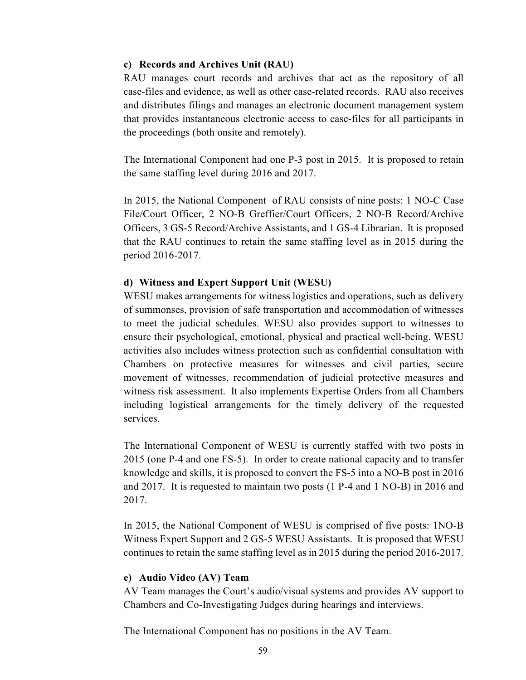#### **c) Records and Archives Unit (RAU)**

RAU manages court records and archives that act as the repository of all case-files and evidence, as well as other case-related records. RAU also receives and distributes filings and manages an electronic document management system that provides instantaneous electronic access to case-files for all participants in the proceedings (both onsite and remotely).

The International Component had one P-3 post in 2015. It is proposed to retain the same staffing level during 2016 and 2017.

In 2015, the National Component of RAU consists of nine posts: 1 NO-C Case File/Court Officer, 2 NO-B Greffier/Court Officers, 2 NO-B Record/Archive Officers, 3 GS-5 Record/Archive Assistants, and 1 GS-4 Librarian. It is proposed that the RAU continues to retain the same staffing level as in 2015 during the period 2016-2017.

## **d) Witness and Expert Support Unit (WESU)**

WESU makes arrangements for witness logistics and operations, such as delivery of summonses, provision of safe transportation and accommodation of witnesses to meet the judicial schedules. WESU also provides support to witnesses to ensure their psychological, emotional, physical and practical well-being. WESU activities also includes witness protection such as confidential consultation with Chambers on protective measures for witnesses and civil parties, secure movement of witnesses, recommendation of judicial protective measures and witness risk assessment. It also implements Expertise Orders from all Chambers including logistical arrangements for the timely delivery of the requested services.

The International Component of WESU is currently staffed with two posts in 2015 (one P-4 and one FS-5). In order to create national capacity and to transfer knowledge and skills, it is proposed to convert the FS-5 into a NO-B post in 2016 and 2017. It is requested to maintain two posts (1 P-4 and 1 NO-B) in 2016 and 2017.

In 2015, the National Component of WESU is comprised of five posts: 1NO-B Witness Expert Support and 2 GS-5 WESU Assistants. It is proposed that WESU continues to retain the same staffing level as in 2015 during the period 2016-2017.

#### **e) Audio Video (AV) Team**

AV Team manages the Court's audio/visual systems and provides AV support to Chambers and Co-Investigating Judges during hearings and interviews.

The International Component has no positions in the AV Team.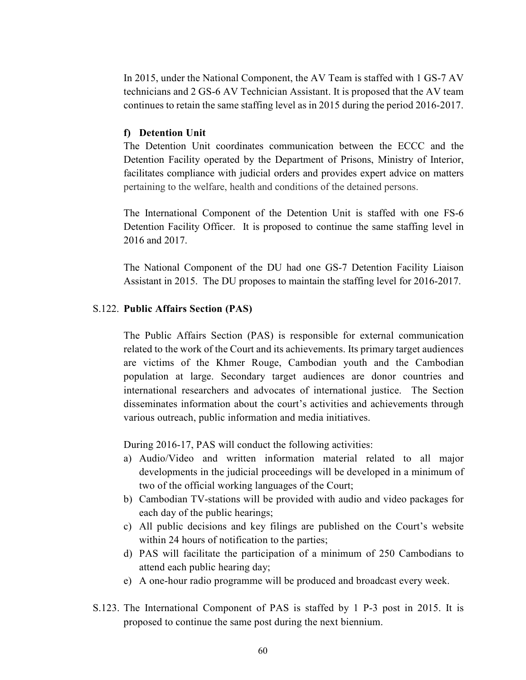In 2015, under the National Component, the AV Team is staffed with 1 GS-7 AV technicians and 2 GS-6 AV Technician Assistant. It is proposed that the AV team continues to retain the same staffing level as in 2015 during the period 2016-2017.

#### **f) Detention Unit**

The Detention Unit coordinates communication between the ECCC and the Detention Facility operated by the Department of Prisons, Ministry of Interior, facilitates compliance with judicial orders and provides expert advice on matters pertaining to the welfare, health and conditions of the detained persons.

The International Component of the Detention Unit is staffed with one FS-6 Detention Facility Officer. It is proposed to continue the same staffing level in 2016 and 2017.

The National Component of the DU had one GS-7 Detention Facility Liaison Assistant in 2015. The DU proposes to maintain the staffing level for 2016-2017.

#### S.122. **Public Affairs Section (PAS)**

The Public Affairs Section (PAS) is responsible for external communication related to the work of the Court and its achievements. Its primary target audiences are victims of the Khmer Rouge, Cambodian youth and the Cambodian population at large. Secondary target audiences are donor countries and international researchers and advocates of international justice. The Section disseminates information about the court's activities and achievements through various outreach, public information and media initiatives.

During 2016-17, PAS will conduct the following activities:

- a) Audio/Video and written information material related to all major developments in the judicial proceedings will be developed in a minimum of two of the official working languages of the Court;
- b) Cambodian TV-stations will be provided with audio and video packages for each day of the public hearings;
- c) All public decisions and key filings are published on the Court's website within 24 hours of notification to the parties;
- d) PAS will facilitate the participation of a minimum of 250 Cambodians to attend each public hearing day;
- e) A one-hour radio programme will be produced and broadcast every week.
- S.123. The International Component of PAS is staffed by 1 P-3 post in 2015. It is proposed to continue the same post during the next biennium.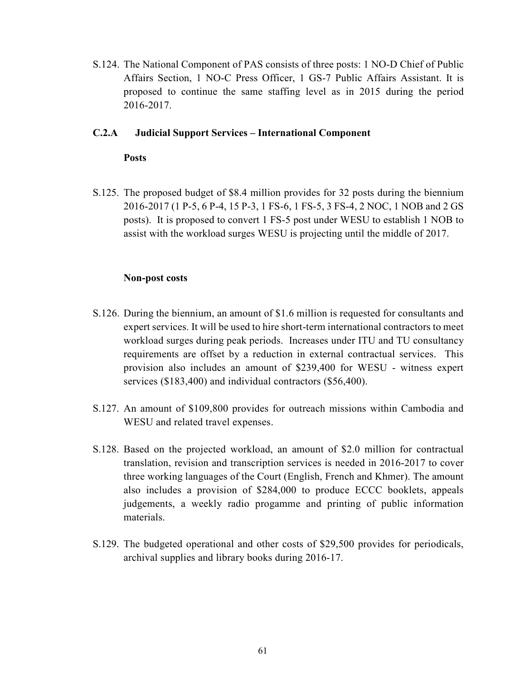S.124. The National Component of PAS consists of three posts: 1 NO-D Chief of Public Affairs Section, 1 NO-C Press Officer, 1 GS-7 Public Affairs Assistant. It is proposed to continue the same staffing level as in 2015 during the period 2016-2017.

### **C.2.A Judicial Support Services – International Component**

#### **Posts**

S.125. The proposed budget of \$8.4 million provides for 32 posts during the biennium 2016-2017 (1 P-5, 6 P-4, 15 P-3, 1 FS-6, 1 FS-5, 3 FS-4, 2 NOC, 1 NOB and 2 GS posts). It is proposed to convert 1 FS-5 post under WESU to establish 1 NOB to assist with the workload surges WESU is projecting until the middle of 2017.

#### **Non-post costs**

- S.126. During the biennium, an amount of \$1.6 million is requested for consultants and expert services. It will be used to hire short-term international contractors to meet workload surges during peak periods. Increases under ITU and TU consultancy requirements are offset by a reduction in external contractual services. This provision also includes an amount of \$239,400 for WESU - witness expert services (\$183,400) and individual contractors (\$56,400).
- S.127. An amount of \$109,800 provides for outreach missions within Cambodia and WESU and related travel expenses.
- S.128. Based on the projected workload, an amount of \$2.0 million for contractual translation, revision and transcription services is needed in 2016-2017 to cover three working languages of the Court (English, French and Khmer). The amount also includes a provision of \$284,000 to produce ECCC booklets, appeals judgements, a weekly radio progamme and printing of public information materials.
- S.129. The budgeted operational and other costs of \$29,500 provides for periodicals, archival supplies and library books during 2016-17.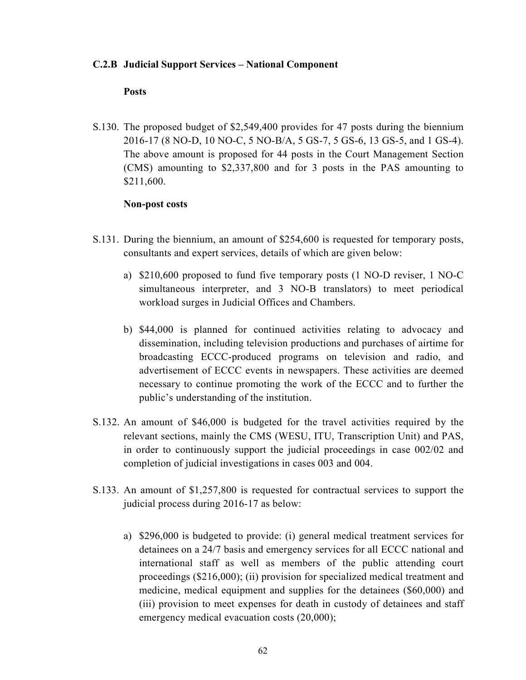#### **C.2.B Judicial Support Services – National Component**

#### **Posts**

S.130. The proposed budget of \$2,549,400 provides for 47 posts during the biennium 2016-17 (8 NO-D, 10 NO-C, 5 NO-B/A, 5 GS-7, 5 GS-6, 13 GS-5, and 1 GS-4). The above amount is proposed for 44 posts in the Court Management Section (CMS) amounting to \$2,337,800 and for 3 posts in the PAS amounting to \$211,600.

#### **Non-post costs**

- S.131. During the biennium, an amount of \$254,600 is requested for temporary posts, consultants and expert services, details of which are given below:
	- a) \$210,600 proposed to fund five temporary posts (1 NO-D reviser, 1 NO-C simultaneous interpreter, and 3 NO-B translators) to meet periodical workload surges in Judicial Offices and Chambers.
	- b) \$44,000 is planned for continued activities relating to advocacy and dissemination, including television productions and purchases of airtime for broadcasting ECCC-produced programs on television and radio, and advertisement of ECCC events in newspapers. These activities are deemed necessary to continue promoting the work of the ECCC and to further the public's understanding of the institution.
- S.132. An amount of \$46,000 is budgeted for the travel activities required by the relevant sections, mainly the CMS (WESU, ITU, Transcription Unit) and PAS, in order to continuously support the judicial proceedings in case 002/02 and completion of judicial investigations in cases 003 and 004.
- S.133. An amount of \$1,257,800 is requested for contractual services to support the judicial process during 2016-17 as below:
	- a) \$296,000 is budgeted to provide: (i) general medical treatment services for detainees on a 24/7 basis and emergency services for all ECCC national and international staff as well as members of the public attending court proceedings (\$216,000); (ii) provision for specialized medical treatment and medicine, medical equipment and supplies for the detainees (\$60,000) and (iii) provision to meet expenses for death in custody of detainees and staff emergency medical evacuation costs (20,000);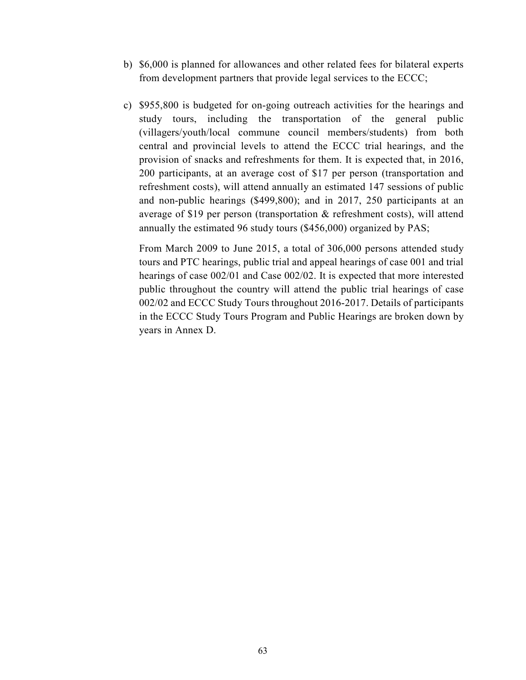- b) \$6,000 is planned for allowances and other related fees for bilateral experts from development partners that provide legal services to the ECCC;
- c) \$955,800 is budgeted for on-going outreach activities for the hearings and study tours, including the transportation of the general public (villagers/youth/local commune council members/students) from both central and provincial levels to attend the ECCC trial hearings, and the provision of snacks and refreshments for them. It is expected that, in 2016, 200 participants, at an average cost of \$17 per person (transportation and refreshment costs), will attend annually an estimated 147 sessions of public and non-public hearings (\$499,800); and in 2017, 250 participants at an average of \$19 per person (transportation & refreshment costs), will attend annually the estimated 96 study tours (\$456,000) organized by PAS;

 From March 2009 to June 2015, a total of 306,000 persons attended study tours and PTC hearings, public trial and appeal hearings of case 001 and trial hearings of case 002/01 and Case 002/02. It is expected that more interested public throughout the country will attend the public trial hearings of case 002/02 and ECCC Study Tours throughout 2016-2017. Details of participants in the ECCC Study Tours Program and Public Hearings are broken down by years in Annex D.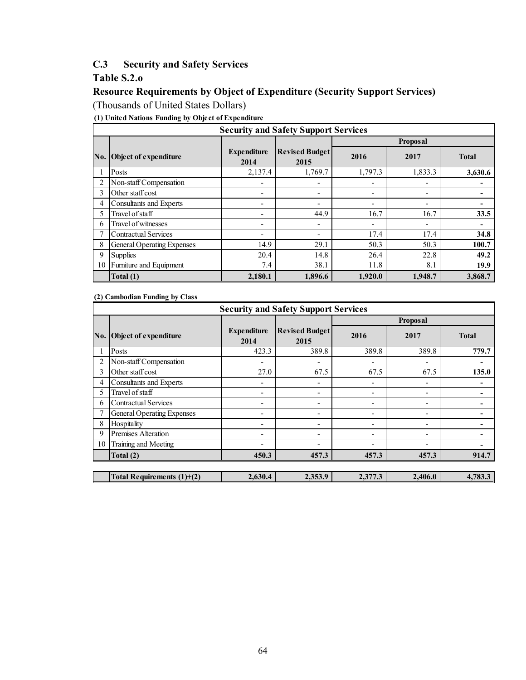## **C.3 Security and Safety Services**

## **Table S.2.o**

## **Resource Requirements by Object of Expenditure (Security Support Services)**

(Thousands of United States Dollars)

**(1) United Nations Funding by Object of Expenditure**

|     | <b>Security and Safety Support Services</b> |                            |                               |         |                          |              |  |  |  |  |  |  |  |  |
|-----|---------------------------------------------|----------------------------|-------------------------------|---------|--------------------------|--------------|--|--|--|--|--|--|--|--|
|     |                                             |                            |                               |         | <b>Proposal</b>          |              |  |  |  |  |  |  |  |  |
| No. | Object of expenditure                       | <b>Expenditure</b><br>2014 | <b>Revised Budget</b><br>2015 | 2016    | 2017                     | <b>Total</b> |  |  |  |  |  |  |  |  |
|     | Posts                                       | 2,137.4                    | 1,769.7                       | 1,797.3 | 1,833.3                  | 3,630.6      |  |  |  |  |  |  |  |  |
|     | Non-staff Compensation                      |                            | $\overline{\phantom{a}}$      | ۰       | $\overline{\phantom{0}}$ |              |  |  |  |  |  |  |  |  |
| 3   | Other staff cost                            | ٠                          | $\overline{\phantom{a}}$      | -       | $\overline{\phantom{a}}$ |              |  |  |  |  |  |  |  |  |
| 4   | Consultants and Experts                     | ٠                          | $\overline{\phantom{a}}$      | ۰       | $\overline{\phantom{0}}$ |              |  |  |  |  |  |  |  |  |
| 5   | Travel of staff                             | $\overline{\phantom{0}}$   | 44.9                          | 16.7    | 16.7                     | 33.5         |  |  |  |  |  |  |  |  |
| 6   | Travel of witnesses                         | ٠                          | $\overline{\phantom{a}}$      | -       | $\overline{\phantom{a}}$ |              |  |  |  |  |  |  |  |  |
|     | <b>Contractual Services</b>                 | $\overline{\phantom{0}}$   | ٠                             | 17.4    | 17.4                     | 34.8         |  |  |  |  |  |  |  |  |
| 8   | General Operating Expenses                  | 14.9                       | 29.1                          | 50.3    | 50.3                     | 100.7        |  |  |  |  |  |  |  |  |
| 9   | <b>Supplies</b>                             | 20.4                       | 14.8                          | 26.4    | 22.8                     | 49.2         |  |  |  |  |  |  |  |  |
| 10  | Furniture and Equipment                     | 7.4                        | 38.1                          | 11.8    | 8.1                      | 19.9         |  |  |  |  |  |  |  |  |
|     | Total (1)                                   | 2,180.1                    | 1,896.6                       | 1,920.0 | 1,948.7                  | 3,868.7      |  |  |  |  |  |  |  |  |

**(2) Cambodian Funding by Class**

|     | <b>Security and Safety Support Services</b> |                            |                               |                          |          |              |  |  |  |  |  |  |  |  |
|-----|---------------------------------------------|----------------------------|-------------------------------|--------------------------|----------|--------------|--|--|--|--|--|--|--|--|
|     |                                             |                            |                               |                          | Proposal |              |  |  |  |  |  |  |  |  |
| No. | Object of expenditure                       | <b>Expenditure</b><br>2014 | <b>Revised Budget</b><br>2015 | 2016                     | 2017     | <b>Total</b> |  |  |  |  |  |  |  |  |
|     | Posts                                       | 423.3                      | 389.8                         | 389.8                    | 389.8    | 779.7        |  |  |  |  |  |  |  |  |
|     | Non-staff Compensation                      |                            | $\overline{\phantom{a}}$      | $\overline{\phantom{0}}$ | ٠        |              |  |  |  |  |  |  |  |  |
| 3   | Other staff cost                            | 27.0                       | 67.5                          | 67.5                     | 67.5     | 135.0        |  |  |  |  |  |  |  |  |
| 4   | Consultants and Experts                     |                            | ٠                             | $\overline{\phantom{a}}$ | ٠        |              |  |  |  |  |  |  |  |  |
| 5   | Travel of staff                             | ٠                          | $\overline{\phantom{a}}$      | $\overline{\phantom{a}}$ | ٠        |              |  |  |  |  |  |  |  |  |
| 6   | <b>Contractual Services</b>                 |                            | ٠                             | $\overline{\phantom{a}}$ | ٠        |              |  |  |  |  |  |  |  |  |
|     | <b>General Operating Expenses</b>           | ٠                          | ٠                             | -                        | ۰        |              |  |  |  |  |  |  |  |  |
| 8   | Hospitality                                 | ٠                          | ٠                             | $\overline{\phantom{a}}$ | -        |              |  |  |  |  |  |  |  |  |
| 9   | Premises Alteration                         |                            | ٠                             | $\overline{\phantom{0}}$ | -        |              |  |  |  |  |  |  |  |  |
| 10  | Training and Meeting                        |                            | ٠                             | ٠                        | ۰        |              |  |  |  |  |  |  |  |  |
|     | Total (2)                                   | 450.3                      | 457.3                         | 457.3                    | 457.3    | 914.7        |  |  |  |  |  |  |  |  |
|     |                                             |                            |                               |                          |          |              |  |  |  |  |  |  |  |  |
|     | Total Requirements $(1)+(2)$                | 2,630.4                    | 2,353.9                       | 2,377.3                  | 2,406.0  | 4,783.3      |  |  |  |  |  |  |  |  |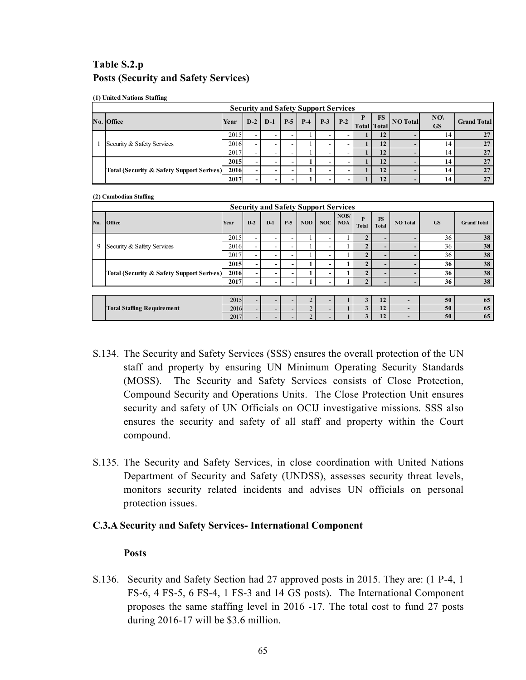## **Table S.2.p Posts (Security and Safety Services)**

|  |  |  | (1) United Nations Staffing |
|--|--|--|-----------------------------|
|--|--|--|-----------------------------|

|  | <b>Security and Safety Support Services</b>          |      |                          |   |       |             |   |               |      |                          |          |                  |                    |  |  |
|--|------------------------------------------------------|------|--------------------------|---|-------|-------------|---|---------------|------|--------------------------|----------|------------------|--------------------|--|--|
|  | No. Office                                           | Year | $D-2$   $D-1$            |   | $P-5$ | <b>P</b> -4 |   | $P-3$   $P-2$ | - 17 | FS<br><b>Total</b> Total | NO Total | NO(<br><b>GS</b> | <b>Grand Total</b> |  |  |
|  |                                                      | 2015 |                          |   |       |             |   |               |      | 12                       |          | 14               | 27                 |  |  |
|  | Security & Safety Services                           | 2016 |                          |   |       |             |   |               |      | 12                       |          | 14               | 27                 |  |  |
|  |                                                      | 2017 |                          |   |       |             |   |               |      | 12                       |          | 14               | 27                 |  |  |
|  |                                                      | 2015 | -                        | - |       |             |   |               |      | 12                       |          | 14               | 27                 |  |  |
|  | <b>Total (Security &amp; Safety Support Serives)</b> | 2016 |                          | - |       |             | - |               |      | 12                       |          | 14               | 27                 |  |  |
|  |                                                      | 2017 | $\overline{\phantom{0}}$ | - |       |             |   |               |      | 12                       |          | 14               | 27                 |  |  |

#### **(2) Cambodian Staffing**

|     |                                                      |      |                          | <b>Security and Safety Support Services</b> |       |            |     |                    |                   |                           |                 |           |                    |
|-----|------------------------------------------------------|------|--------------------------|---------------------------------------------|-------|------------|-----|--------------------|-------------------|---------------------------|-----------------|-----------|--------------------|
| No. | <b>Office</b>                                        | Year | $D-2$                    | $D-1$                                       | $P-5$ | <b>NOD</b> | NOC | NOB/<br><b>NOA</b> | P<br><b>Total</b> | <b>FS</b><br><b>Total</b> | <b>NO</b> Total | <b>GS</b> | <b>Grand Total</b> |
|     |                                                      | 2015 | $\overline{\phantom{a}}$ |                                             |       |            |     |                    |                   |                           |                 | 36        | 38                 |
| 9   | Security & Safety Services                           | 2016 | $\overline{\phantom{a}}$ |                                             |       |            |     |                    |                   |                           |                 | 36        | 38                 |
|     |                                                      | 2017 | ۰.                       |                                             |       |            |     |                    |                   |                           |                 | 36        | 38                 |
|     |                                                      | 2015 | $\overline{\phantom{0}}$ | -                                           |       |            |     |                    |                   |                           |                 | 36        | 38                 |
|     | <b>Total (Security &amp; Safety Support Serives)</b> | 2016 | ۰                        | -                                           |       |            |     |                    |                   | -                         |                 | 36        | 38                 |
|     |                                                      | 2017 | -                        |                                             |       |            |     |                    |                   |                           |                 | 36        | 38                 |
|     |                                                      |      |                          |                                             |       |            |     |                    |                   |                           |                 |           |                    |
|     |                                                      | 2015 |                          |                                             |       |            |     |                    |                   | 12                        |                 | 50        | 65                 |

|                                                 | 2015<br>20137  | $\overline{\phantom{0}}$ |  |  |  |     | 50 | 02 |
|-------------------------------------------------|----------------|--------------------------|--|--|--|-----|----|----|
| l cre<br><b>Staffing Requirement</b><br>1 o tal | 201<br>$-010$  |                          |  |  |  | .   | 50 | 02 |
|                                                 | 201'<br>20 I J |                          |  |  |  | . . | 50 | 02 |
|                                                 |                |                          |  |  |  |     |    |    |

- S.134. The Security and Safety Services (SSS) ensures the overall protection of the UN staff and property by ensuring UN Minimum Operating Security Standards (MOSS). The Security and Safety Services consists of Close Protection, Compound Security and Operations Units. The Close Protection Unit ensures security and safety of UN Officials on OCIJ investigative missions. SSS also ensures the security and safety of all staff and property within the Court compound.
- S.135. The Security and Safety Services, in close coordination with United Nations Department of Security and Safety (UNDSS), assesses security threat levels, monitors security related incidents and advises UN officials on personal protection issues.

#### **C.3.A Security and Safety Services- International Component**

#### **Posts**

S.136. Security and Safety Section had 27 approved posts in 2015. They are: (1 P-4, 1 FS-6, 4 FS-5, 6 FS-4, 1 FS-3 and 14 GS posts). The International Component proposes the same staffing level in 2016 -17. The total cost to fund 27 posts during 2016-17 will be \$3.6 million.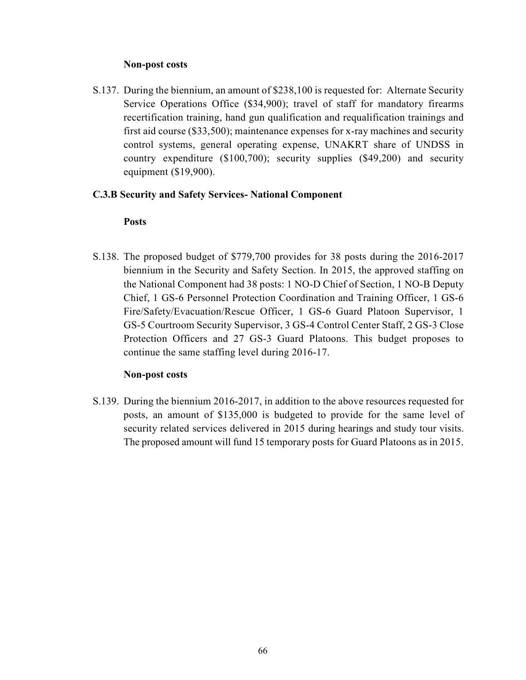#### **Non-post costs**

S.137. During the biennium, an amount of \$238,100 is requested for: Alternate Security Service Operations Office (\$34,900); travel of staff for mandatory firearms recertification training, hand gun qualification and requalification trainings and first aid course (\$33,500); maintenance expenses for x-ray machines and security control systems, general operating expense, UNAKRT share of UNDSS in country expenditure (\$100,700); security supplies (\$49,200) and security equipment (\$19,900).

#### **C.3.B Security and Safety Services- National Component**

#### **Posts**

S.138. The proposed budget of \$779,700 provides for 38 posts during the 2016-2017 biennium in the Security and Safety Section. In 2015, the approved staffing on the National Component had 38 posts: 1 NO-D Chief of Section, 1 NO-B Deputy Chief, 1 GS-6 Personnel Protection Coordination and Training Officer, 1 GS-6 Fire/Safety/Evacuation/Rescue Officer, 1 GS-6 Guard Platoon Supervisor, 1 GS-5 Courtroom Security Supervisor, 3 GS-4 Control Center Staff, 2 GS-3 Close Protection Officers and 27 GS-3 Guard Platoons. This budget proposes to continue the same staffing level during 2016-17.

#### **Non-post costs**

S.139. During the biennium 2016-2017, in addition to the above resources requested for posts, an amount of \$135,000 is budgeted to provide for the same level of security related services delivered in 2015 during hearings and study tour visits. The proposed amount will fund 15 temporary posts for Guard Platoons as in 2015.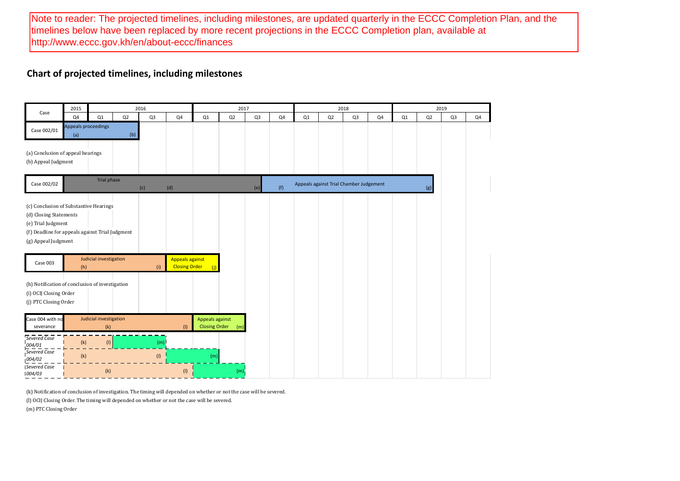Note to reader: The projected timelines, including milestones, are updated quarterly in the ECCC Completion Plan, and the timelines below have been replaced by more recent projections in the ECCC Completion plan, available at <http://www.eccc.gov.kh/en/about-eccc/finances>

## **Chart of projected timelines, including milestones**

|                                                                                                                                                                  | 2015       |                               |     | 2016           |                                                |                                         | 2017 |                |     |    |    | 2018                                    |    |    |     | 2019           |    |
|------------------------------------------------------------------------------------------------------------------------------------------------------------------|------------|-------------------------------|-----|----------------|------------------------------------------------|-----------------------------------------|------|----------------|-----|----|----|-----------------------------------------|----|----|-----|----------------|----|
| Case                                                                                                                                                             | Q4         | Q1                            | Q2  | Q <sub>3</sub> | Q4                                             | Q1                                      | Q2   | Q <sub>3</sub> | Q4  | Q1 | Q2 | Q3                                      | Q4 | Q1 | Q2  | Q <sub>3</sub> | Q4 |
| Case 002/01                                                                                                                                                      | (a)        | Appeals proceedings           | (b) |                |                                                |                                         |      |                |     |    |    |                                         |    |    |     |                |    |
| (a) Conclusion of appeal hearings<br>(b) Appeal Judgment                                                                                                         |            |                               |     |                |                                                |                                         |      |                |     |    |    |                                         |    |    |     |                |    |
| Case 002/02                                                                                                                                                      |            | Trial phase                   |     | (c)            | (d)                                            |                                         |      | (e)            | (f) |    |    | Appeals against Trial Chamber Judgement |    |    | (g) |                |    |
| (c) Conclusion of Substantive Hearings<br>(d) Closing Statements<br>(e) Trial Judgment<br>(f) Deadline for appeals against Trial Judgment<br>(g) Appeal Judgment |            |                               |     |                |                                                |                                         |      |                |     |    |    |                                         |    |    |     |                |    |
| Case 003<br>(h) Notification of conclusion of investigation<br>(i) OCIJ Closing Order<br>(j) PTC Closing Order                                                   | (h)        | Judicial investigation        |     | (i)            | <b>Appeals against</b><br><b>Closing Order</b> |                                         |      |                |     |    |    |                                         |    |    |     |                |    |
| Case 004 with no<br>severance                                                                                                                                    |            | Judicial investigation<br>(k) |     |                | (1)                                            | Appeals against<br><b>Closing Order</b> | (m)  |                |     |    |    |                                         |    |    |     |                |    |
| Severed Case<br>004/01<br>Severed Case<br>1004/02                                                                                                                | (k)<br>(k) | (1)                           |     | (m)<br>(1)     |                                                | (m)                                     |      |                |     |    |    |                                         |    |    |     |                |    |
| <b>ISevered Case</b><br>1004/03                                                                                                                                  |            | (k)                           |     |                | (1)                                            |                                         | (m)  |                |     |    |    |                                         |    |    |     |                |    |

(k) Notification of conclusion of investigation. The timing will depended on whether or not the case will be severed.

(l) OCIJ Closing Order. The timing will depended on whether or not the case will be severed.

(m) PTC Closing Order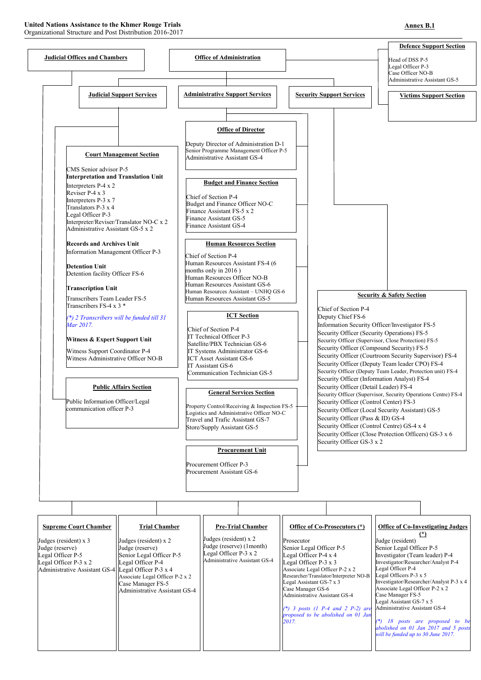### **United Nations Assistance to the Khmer Rouge Trials**

Organizational Structure and Post Distribution 2016-2017



### **Annex B.1**

| <b>Supreme Court Chamber</b>                        | <b>Trial Chamber</b>            | <b>Pre-Trial Chamber</b>                            | Office of Co-Prosecutors (*)                                            | <b>Office of Co-Investigating Judges</b>                  |
|-----------------------------------------------------|---------------------------------|-----------------------------------------------------|-------------------------------------------------------------------------|-----------------------------------------------------------|
| Judges (resident) $x$ 3                             | Judges (resident) $x$ 2         | Judges (resident) $x$ 2<br>Judge (reserve) (1month) | Prosecutor                                                              | Judge (resident)                                          |
| Judge (reserve)                                     | Judge (reserve)                 | Legal Officer $P-3 \times 2$                        | Senior Legal Officer P-5                                                | Senior Legal Officer P-5                                  |
| Legal Officer P-5                                   | Senior Legal Officer P-5        | <b>Administrative Assistant GS-4</b>                | Legal Officer $P-4 \times 4$                                            | Investigator (Team leader) P-4                            |
| Legal Officer $P-3 \times 2$                        | Legal Officer P-4               |                                                     | Legal Officer $P-3 \times 3$<br>Associate Legal Officer P-2 x 2         | Investigator/Researcher/Analyst P-4<br>Legal Officer P-4  |
| Administrative Assistant GS-4 Legal Officer P-3 x 4 | Associate Legal Officer P-2 x 2 |                                                     | Researcher/Translator/Interpreter NO-B                                  | Legal Officers P-3 x 5                                    |
|                                                     | Case Manager FS-5               |                                                     | Legal Assistant GS-7 x 3                                                | Investigator/Researcher/Analyst P-3 x 4                   |
|                                                     | Administrative Assistant GS-4   |                                                     | Case Manager GS-6                                                       | Associate Legal Officer P-2 x 2                           |
|                                                     |                                 |                                                     | <b>Administrative Assistant GS-4</b>                                    | Case Manager FS-5                                         |
|                                                     |                                 |                                                     |                                                                         | Legal Assistant GS-7 x 5<br>Administrative Assistant GS-4 |
|                                                     |                                 |                                                     | (*) 3 posts (1 P-4 and 2 P-2) are<br>proposed to be abolished on 01 Jan |                                                           |
|                                                     |                                 |                                                     | 2017.                                                                   | 18 posts are proposed to be                               |
|                                                     |                                 |                                                     |                                                                         | abolished on 01 Jan 2017 and 5 posts                      |
|                                                     |                                 |                                                     |                                                                         | will be funded up to 30 June 2017.                        |
|                                                     |                                 |                                                     |                                                                         |                                                           |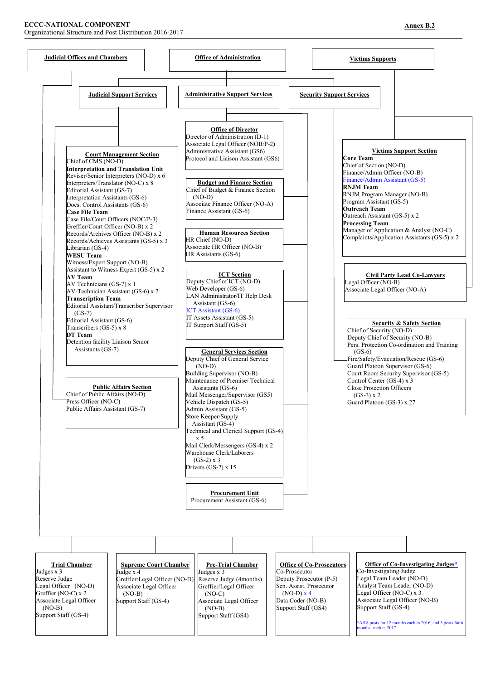#### **ECCC-NATIONAL COMPONENT**

Organizational Structure and Post Distribution 2016-2017



**Pre-Trial Chamber**  Judges x 3 Reserve Judge (4months) Greffier/Legal Officer (NO-C) Associate Legal Officer (NO-B) Support Staff (GS4) **Trial Chamber**  Judges x 3 Reserve Judge Legal Officer (NO-D) Greffier (NO-C) x 2 Associate Legal Officer (NO-B) Support Staff (GS-4) **Office of Co-Prosecutors**  Co-Prosecutor Deputy Prosecutor (P-5) Sen. Assist. Prosecutor  $(NO-D)$   $x$  4 Data Coder (NO-B) Support Staff (GS4) **Office of Co-Investigating Judges\*** Co-Investigating Judge Legal Team Leader (NO-D) Analyst Team Leader (NO-D) Legal Officer (NO-C) x 3 Associate Legal Officer (NO-B) Support Staff (GS-4) \*All 8 posts for 12 months each in 2016, and 5 posts for 6 months each in 2017 **Supreme Court Chamber**  Judge x 4 Greffier/Legal Officer (NO-D) Associate Legal Officer (NO-B) Support Staff (GS-4)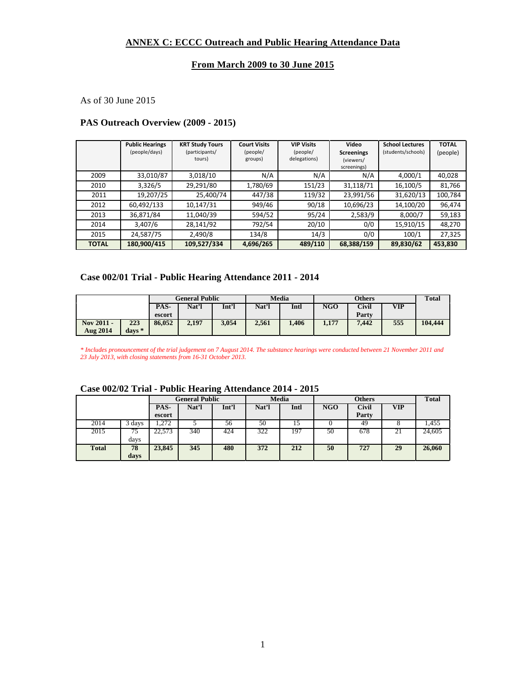#### **ANNEX C: ECCC Outreach and Public Hearing Attendance Data**

#### **From March 2009 to 30 June 2015**

As of 30 June 2015

#### **PAS Outreach Overview (2009 - 2015)**

|              | <b>Public Hearings</b><br>(people/days) | <b>KRT Study Tours</b><br>(participants/<br>tours) | <b>Court Visits</b><br>(people/<br>groups) | <b>VIP Visits</b><br>(people/<br>delegations) | Video<br><b>Screenings</b><br>(viewers/<br>screenings) | <b>School Lectures</b><br>(students/schools) | <b>TOTAL</b><br>(people) |
|--------------|-----------------------------------------|----------------------------------------------------|--------------------------------------------|-----------------------------------------------|--------------------------------------------------------|----------------------------------------------|--------------------------|
| 2009         | 33,010/87                               | 3,018/10                                           | N/A                                        | N/A                                           | N/A                                                    | 4,000/1                                      | 40,028                   |
| 2010         | 3,326/5                                 | 29,291/80                                          | 1,780/69                                   | 151/23                                        | 31,118/71                                              | 16,100/5                                     | 81,766                   |
| 2011         | 19,207/25                               | 25,400/74                                          | 447/38                                     | 119/32                                        | 23,991/56                                              | 31,620/13                                    | 100,784                  |
| 2012         | 60,492/133                              | 10,147/31                                          | 949/46                                     | 90/18                                         | 10,696/23                                              | 14,100/20                                    | 96,474                   |
| 2013         | 36,871/84                               | 11,040/39                                          | 594/52                                     | 95/24                                         | 2,583/9                                                | 8,000/7                                      | 59,183                   |
| 2014         | 3,407/6                                 | 28,141/92                                          | 792/54                                     | 20/10                                         | 0/0                                                    | 15,910/15                                    | 48,270                   |
| 2015         | 24,587/75                               | 2,490/8                                            | 134/8                                      | 14/3                                          | 0/0                                                    | 100/1                                        | 27,325                   |
| <b>TOTAL</b> | 180,900/415                             | 109,527/334                                        | 4,696/265                                  | 489/110                                       | 68,388/159                                             | 89,830/62                                    | 453,830                  |

#### **Case 002/01 Trial - Public Hearing Attendance 2011 - 2014**

|                 |                    |        |       | <b>General Public</b> |       |       |       | <b>Others</b> |            | <b>Total</b> |
|-----------------|--------------------|--------|-------|-----------------------|-------|-------|-------|---------------|------------|--------------|
|                 |                    | PAS-   | Nat'l | Int'l                 | Nat'l | Intl  | NGO   | Civil         | <b>VIP</b> |              |
|                 |                    | escort |       |                       |       |       |       | Party         |            |              |
| Nov 2011 -      | 223                | 86,052 | 2,197 | 3.054                 | 2,561 | 1.406 | 1,177 | 7.442         | 555        | 104.444      |
| <b>Aug 2014</b> | $_{\rm{days}}$ $*$ |        |       |                       |       |       |       |               |            |              |

*\* Includes pronouncement of the trial judgement on 7 August 2014. The substance hearings were conducted between 21 November 2011 and 23 July 2013, with closing statements from 16-31 October 2013.*

|              |      | General Public |       |       | <b>Media</b> |      | <b>Others</b> |       |            | <b>Total</b> |
|--------------|------|----------------|-------|-------|--------------|------|---------------|-------|------------|--------------|
|              |      | PAS-           | Nat'l | Int'l | Nat'l        | Intl | NGO           | Civil | <b>VIP</b> |              |
|              |      | escort         |       |       |              |      |               | Party |            |              |
| 2014         | days | 1.272          |       | 56    | 50           | 15   |               | 49    |            | .455         |
| 2015         | 75   | 22,573         | 340   | 424   | 322          | 197  | 50            | 678   | 21         | 24,605       |
|              | days |                |       |       |              |      |               |       |            |              |
| <b>Total</b> | 78   | 23,845         | 345   | 480   | 372          | 212  | 50            | 727   | 29         | 26,060       |
|              | days |                |       |       |              |      |               |       |            |              |

#### **Case 002/02 Trial - Public Hearing Attendance 2014 - 2015**